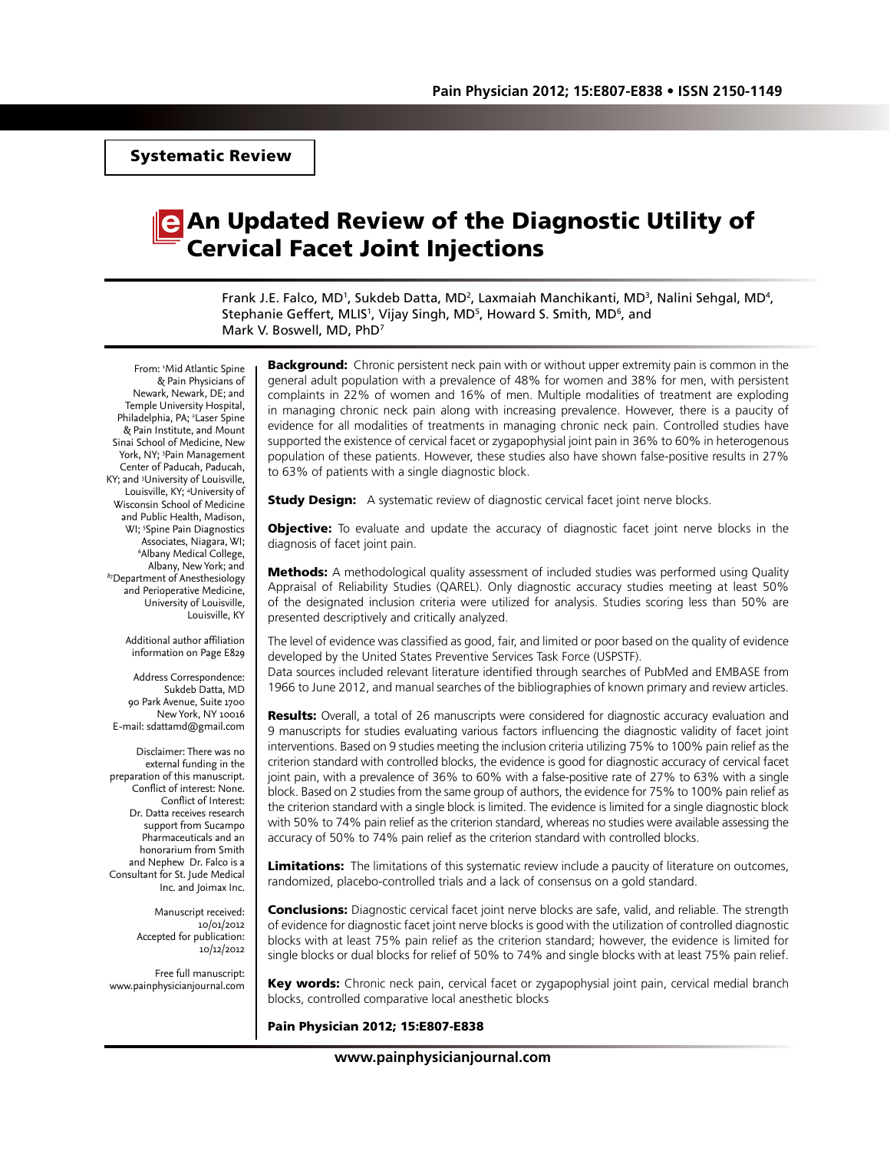# An Updated Review of the Diagnostic Utility of Cervical Facet Joint Injections

Frank J.E. Falco, MD<sup>1</sup>, Sukdeb Datta, MD<sup>2</sup>, Laxmaiah Manchikanti, MD<sup>3</sup>, Nalini Sehgal, MD<sup>4</sup>, Stephanie Geffert, MLIS<sup>1</sup>, Vijay Singh, MD<sup>5</sup>, Howard S. Smith, MD<sup>6</sup>, and Mark V. Boswell, MD, PhD7

From: 1 Mid Atlantic Spine & Pain Physicians of Newark, Newark, DE; and Temple University Hospital, Philadelphia, PA; <sup>2</sup> Laser Spine & Pain Institute, and Mount Sinai School of Medicine, New York, NY; <sup>3</sup>Pain Management Center of Paducah, Paducah, KY; and 3 University of Louisville, Louisville, KY; 4 University of Wisconsin School of Medicine and Public Health, Madison, WI; 5 Spine Pain Diagnostics Associates, Niagara, WI; 6 Albany Medical College, Albany, New York; and<br><sup>87</sup>Department of Anesthesiology and Perioperative Medicine, University of Louisville, Louisville, KY

> Additional author affiliation information on Page E829

Address Correspondence: Sukdeb Datta, MD 90 Park Avenue, Suite 1700 New York, NY 10016 E-mail: sdattamd@gmail.com

Disclaimer: There was no external funding in the preparation of this manuscript. Conflict of interest: None. Conflict of Interest: Dr. Datta receives research support from Sucampo Pharmaceuticals and an honorarium from Smith and Nephew Dr. Falco is a Consultant for St. Jude Medical Inc. and Joimax Inc.

> Manuscript received: 10/01/2012 Accepted for publication: 10/12/2012

Free full manuscript: www.painphysicianjournal.com **Background:** Chronic persistent neck pain with or without upper extremity pain is common in the general adult population with a prevalence of 48% for women and 38% for men, with persistent complaints in 22% of women and 16% of men. Multiple modalities of treatment are exploding in managing chronic neck pain along with increasing prevalence. However, there is a paucity of evidence for all modalities of treatments in managing chronic neck pain. Controlled studies have supported the existence of cervical facet or zygapophysial joint pain in 36% to 60% in heterogenous population of these patients. However, these studies also have shown false-positive results in 27% to 63% of patients with a single diagnostic block.

**Study Design:** A systematic review of diagnostic cervical facet joint nerve blocks.

**Objective:** To evaluate and update the accuracy of diagnostic facet joint nerve blocks in the diagnosis of facet joint pain.

**Methods:** A methodological quality assessment of included studies was performed using Quality Appraisal of Reliability Studies (QAREL). Only diagnostic accuracy studies meeting at least 50% of the designated inclusion criteria were utilized for analysis. Studies scoring less than 50% are presented descriptively and critically analyzed.

The level of evidence was classified as good, fair, and limited or poor based on the quality of evidence developed by the United States Preventive Services Task Force (USPSTF).

Data sources included relevant literature identified through searches of PubMed and EMBASE from 1966 to June 2012, and manual searches of the bibliographies of known primary and review articles.

**Results:** Overall, a total of 26 manuscripts were considered for diagnostic accuracy evaluation and 9 manuscripts for studies evaluating various factors influencing the diagnostic validity of facet joint interventions. Based on 9 studies meeting the inclusion criteria utilizing 75% to 100% pain relief as the criterion standard with controlled blocks, the evidence is good for diagnostic accuracy of cervical facet joint pain, with a prevalence of 36% to 60% with a false-positive rate of 27% to 63% with a single block. Based on 2 studies from the same group of authors, the evidence for 75% to 100% pain relief as the criterion standard with a single block is limited. The evidence is limited for a single diagnostic block with 50% to 74% pain relief as the criterion standard, whereas no studies were available assessing the accuracy of 50% to 74% pain relief as the criterion standard with controlled blocks.

**Limitations:** The limitations of this systematic review include a paucity of literature on outcomes, randomized, placebo-controlled trials and a lack of consensus on a gold standard.

**Conclusions:** Diagnostic cervical facet joint nerve blocks are safe, valid, and reliable. The strength of evidence for diagnostic facet joint nerve blocks is good with the utilization of controlled diagnostic blocks with at least 75% pain relief as the criterion standard; however, the evidence is limited for single blocks or dual blocks for relief of 50% to 74% and single blocks with at least 75% pain relief.

Key words: Chronic neck pain, cervical facet or zygapophysial joint pain, cervical medial branch blocks, controlled comparative local anesthetic blocks

Pain Physician 2012; 15:E807-E838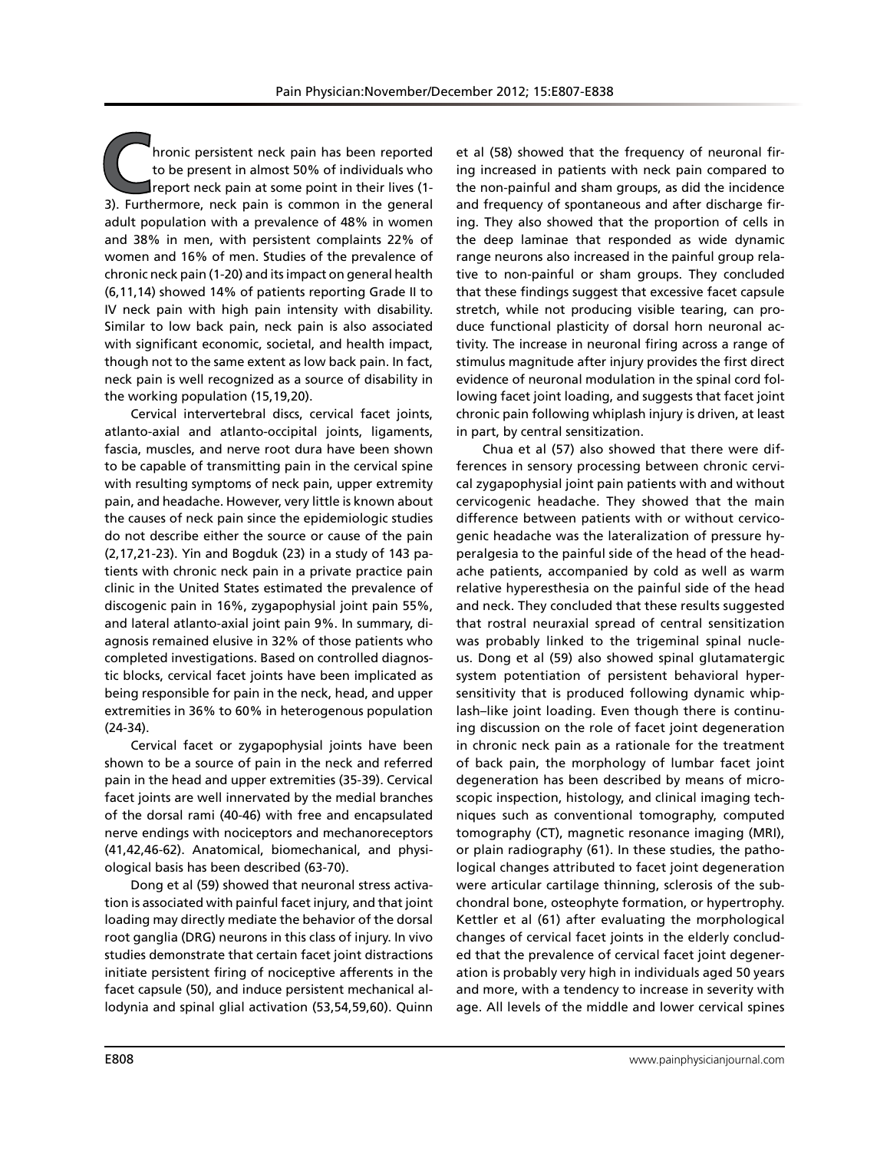**Community of the Christian Exercise of the present in almost 50% of individuals who report neck pain at some point in their lives (1-2). Furthermore, neck pain is common in the general** to be present in almost 50% of individuals who report neck pain at some point in their lives (1- 3). Furthermore, neck pain is common in the general adult population with a prevalence of 48% in women and 38% in men, with persistent complaints 22% of women and 16% of men. Studies of the prevalence of chronic neck pain (1-20) and its impact on general health (6,11,14) showed 14% of patients reporting Grade II to IV neck pain with high pain intensity with disability. Similar to low back pain, neck pain is also associated with significant economic, societal, and health impact, though not to the same extent as low back pain. In fact, neck pain is well recognized as a source of disability in the working population (15,19,20).

Cervical intervertebral discs, cervical facet joints, atlanto-axial and atlanto-occipital joints, ligaments, fascia, muscles, and nerve root dura have been shown to be capable of transmitting pain in the cervical spine with resulting symptoms of neck pain, upper extremity pain, and headache. However, very little is known about the causes of neck pain since the epidemiologic studies do not describe either the source or cause of the pain (2,17,21-23). Yin and Bogduk (23) in a study of 143 patients with chronic neck pain in a private practice pain clinic in the United States estimated the prevalence of discogenic pain in 16%, zygapophysial joint pain 55%, and lateral atlanto-axial joint pain 9%. In summary, diagnosis remained elusive in 32% of those patients who completed investigations. Based on controlled diagnostic blocks, cervical facet joints have been implicated as being responsible for pain in the neck, head, and upper extremities in 36% to 60% in heterogenous population (24-34).

Cervical facet or zygapophysial joints have been shown to be a source of pain in the neck and referred pain in the head and upper extremities (35-39). Cervical facet joints are well innervated by the medial branches of the dorsal rami (40-46) with free and encapsulated nerve endings with nociceptors and mechanoreceptors (41,42,46-62). Anatomical, biomechanical, and physiological basis has been described (63-70).

Dong et al (59) showed that neuronal stress activation is associated with painful facet injury, and that joint loading may directly mediate the behavior of the dorsal root ganglia (DRG) neurons in this class of injury. In vivo studies demonstrate that certain facet joint distractions initiate persistent firing of nociceptive afferents in the facet capsule (50), and induce persistent mechanical allodynia and spinal glial activation (53,54,59,60). Quinn

et al (58) showed that the frequency of neuronal firing increased in patients with neck pain compared to the non-painful and sham groups, as did the incidence and frequency of spontaneous and after discharge firing. They also showed that the proportion of cells in the deep laminae that responded as wide dynamic range neurons also increased in the painful group relative to non-painful or sham groups. They concluded that these findings suggest that excessive facet capsule stretch, while not producing visible tearing, can produce functional plasticity of dorsal horn neuronal activity. The increase in neuronal firing across a range of stimulus magnitude after injury provides the first direct evidence of neuronal modulation in the spinal cord following facet joint loading, and suggests that facet joint chronic pain following whiplash injury is driven, at least in part, by central sensitization.

Chua et al (57) also showed that there were differences in sensory processing between chronic cervical zygapophysial joint pain patients with and without cervicogenic headache. They showed that the main difference between patients with or without cervicogenic headache was the lateralization of pressure hyperalgesia to the painful side of the head of the headache patients, accompanied by cold as well as warm relative hyperesthesia on the painful side of the head and neck. They concluded that these results suggested that rostral neuraxial spread of central sensitization was probably linked to the trigeminal spinal nucleus. Dong et al (59) also showed spinal glutamatergic system potentiation of persistent behavioral hypersensitivity that is produced following dynamic whiplash–like joint loading. Even though there is continuing discussion on the role of facet joint degeneration in chronic neck pain as a rationale for the treatment of back pain, the morphology of lumbar facet joint degeneration has been described by means of microscopic inspection, histology, and clinical imaging techniques such as conventional tomography, computed tomography (CT), magnetic resonance imaging (MRI), or plain radiography (61). In these studies, the pathological changes attributed to facet joint degeneration were articular cartilage thinning, sclerosis of the subchondral bone, osteophyte formation, or hypertrophy. Kettler et al (61) after evaluating the morphological changes of cervical facet joints in the elderly concluded that the prevalence of cervical facet joint degeneration is probably very high in individuals aged 50 years and more, with a tendency to increase in severity with age. All levels of the middle and lower cervical spines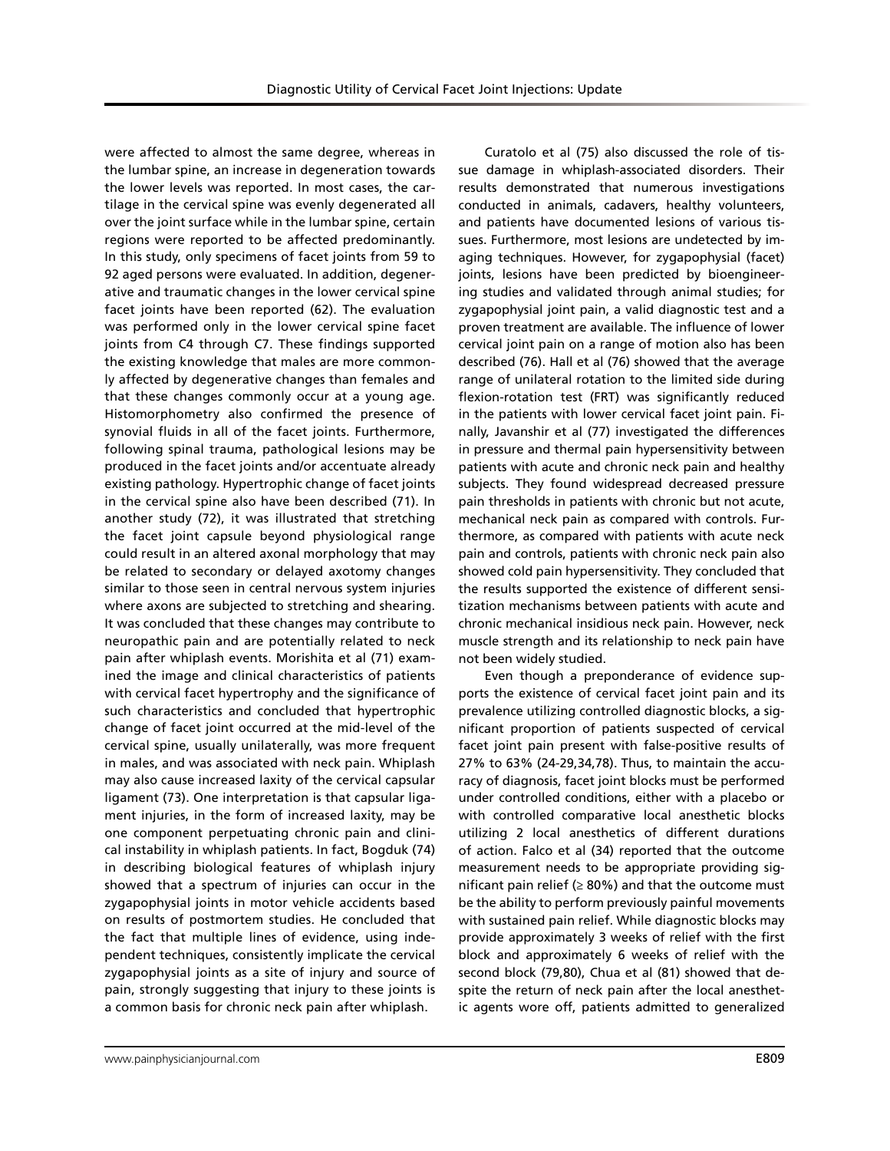were affected to almost the same degree, whereas in the lumbar spine, an increase in degeneration towards the lower levels was reported. In most cases, the cartilage in the cervical spine was evenly degenerated all over the joint surface while in the lumbar spine, certain regions were reported to be affected predominantly. In this study, only specimens of facet joints from 59 to 92 aged persons were evaluated. In addition, degenerative and traumatic changes in the lower cervical spine facet joints have been reported (62). The evaluation was performed only in the lower cervical spine facet joints from C4 through C7. These findings supported the existing knowledge that males are more commonly affected by degenerative changes than females and that these changes commonly occur at a young age. Histomorphometry also confirmed the presence of synovial fluids in all of the facet joints. Furthermore, following spinal trauma, pathological lesions may be produced in the facet joints and/or accentuate already existing pathology. Hypertrophic change of facet joints in the cervical spine also have been described (71). In another study (72), it was illustrated that stretching the facet joint capsule beyond physiological range could result in an altered axonal morphology that may be related to secondary or delayed axotomy changes similar to those seen in central nervous system injuries where axons are subjected to stretching and shearing. It was concluded that these changes may contribute to neuropathic pain and are potentially related to neck pain after whiplash events. Morishita et al (71) examined the image and clinical characteristics of patients with cervical facet hypertrophy and the significance of such characteristics and concluded that hypertrophic change of facet joint occurred at the mid-level of the cervical spine, usually unilaterally, was more frequent in males, and was associated with neck pain. Whiplash may also cause increased laxity of the cervical capsular ligament (73). One interpretation is that capsular ligament injuries, in the form of increased laxity, may be one component perpetuating chronic pain and clinical instability in whiplash patients. In fact, Bogduk (74) in describing biological features of whiplash injury showed that a spectrum of injuries can occur in the zygapophysial joints in motor vehicle accidents based on results of postmortem studies. He concluded that the fact that multiple lines of evidence, using independent techniques, consistently implicate the cervical zygapophysial joints as a site of injury and source of pain, strongly suggesting that injury to these joints is a common basis for chronic neck pain after whiplash.

Curatolo et al (75) also discussed the role of tissue damage in whiplash-associated disorders. Their results demonstrated that numerous investigations conducted in animals, cadavers, healthy volunteers, and patients have documented lesions of various tissues. Furthermore, most lesions are undetected by imaging techniques. However, for zygapophysial (facet) joints, lesions have been predicted by bioengineering studies and validated through animal studies; for zygapophysial joint pain, a valid diagnostic test and a proven treatment are available. The influence of lower cervical joint pain on a range of motion also has been described (76). Hall et al (76) showed that the average range of unilateral rotation to the limited side during flexion-rotation test (FRT) was significantly reduced in the patients with lower cervical facet joint pain. Finally, Javanshir et al (77) investigated the differences in pressure and thermal pain hypersensitivity between patients with acute and chronic neck pain and healthy subjects. They found widespread decreased pressure pain thresholds in patients with chronic but not acute, mechanical neck pain as compared with controls. Furthermore, as compared with patients with acute neck pain and controls, patients with chronic neck pain also showed cold pain hypersensitivity. They concluded that the results supported the existence of different sensitization mechanisms between patients with acute and chronic mechanical insidious neck pain. However, neck muscle strength and its relationship to neck pain have not been widely studied.

Even though a preponderance of evidence supports the existence of cervical facet joint pain and its prevalence utilizing controlled diagnostic blocks, a significant proportion of patients suspected of cervical facet joint pain present with false-positive results of 27% to 63% (24-29,34,78). Thus, to maintain the accuracy of diagnosis, facet joint blocks must be performed under controlled conditions, either with a placebo or with controlled comparative local anesthetic blocks utilizing 2 local anesthetics of different durations of action. Falco et al (34) reported that the outcome measurement needs to be appropriate providing significant pain relief ( $\geq 80\%$ ) and that the outcome must be the ability to perform previously painful movements with sustained pain relief. While diagnostic blocks may provide approximately 3 weeks of relief with the first block and approximately 6 weeks of relief with the second block (79,80), Chua et al (81) showed that despite the return of neck pain after the local anesthetic agents wore off, patients admitted to generalized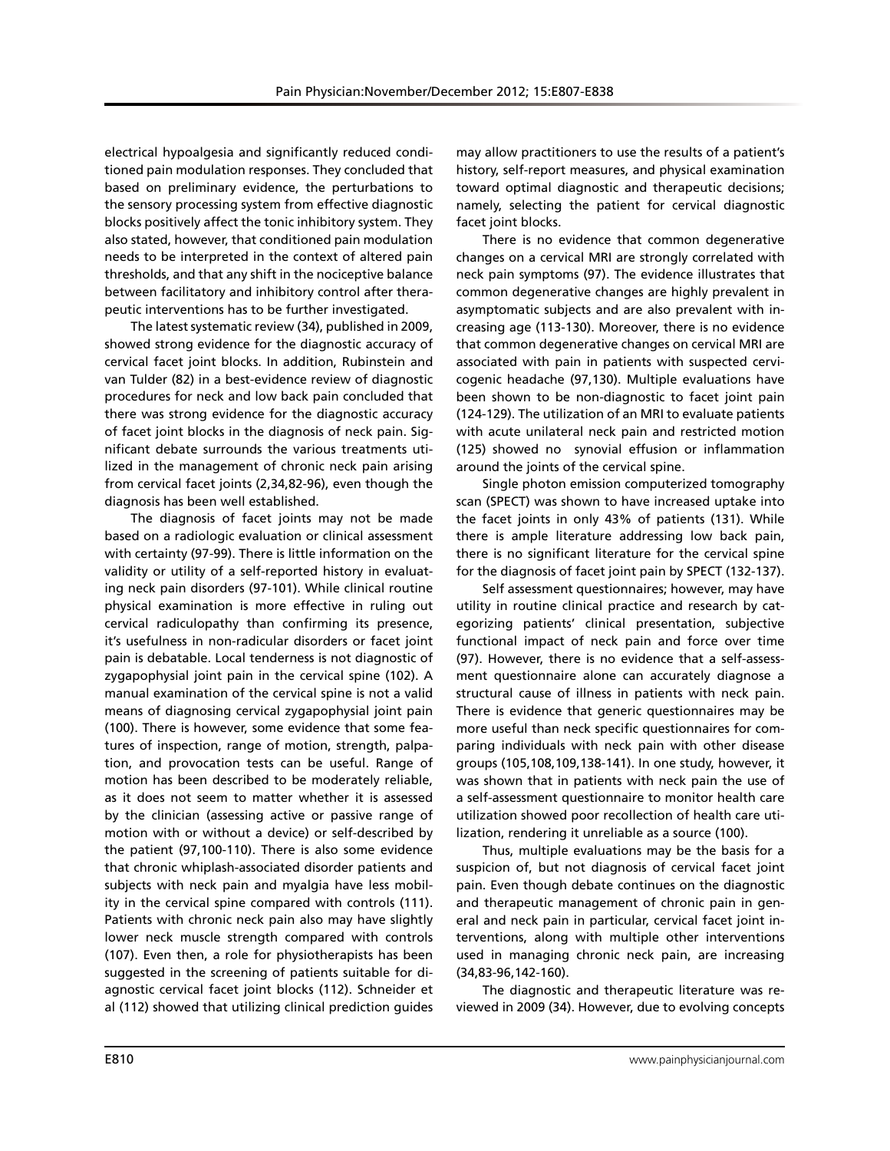electrical hypoalgesia and significantly reduced conditioned pain modulation responses. They concluded that based on preliminary evidence, the perturbations to the sensory processing system from effective diagnostic blocks positively affect the tonic inhibitory system. They also stated, however, that conditioned pain modulation needs to be interpreted in the context of altered pain thresholds, and that any shift in the nociceptive balance between facilitatory and inhibitory control after therapeutic interventions has to be further investigated.

The latest systematic review (34), published in 2009, showed strong evidence for the diagnostic accuracy of cervical facet joint blocks. In addition, Rubinstein and van Tulder (82) in a best-evidence review of diagnostic procedures for neck and low back pain concluded that there was strong evidence for the diagnostic accuracy of facet joint blocks in the diagnosis of neck pain. Significant debate surrounds the various treatments utilized in the management of chronic neck pain arising from cervical facet joints (2,34,82-96), even though the diagnosis has been well established.

The diagnosis of facet joints may not be made based on a radiologic evaluation or clinical assessment with certainty (97-99). There is little information on the validity or utility of a self-reported history in evaluating neck pain disorders (97-101). While clinical routine physical examination is more effective in ruling out cervical radiculopathy than confirming its presence, it's usefulness in non-radicular disorders or facet joint pain is debatable. Local tenderness is not diagnostic of zygapophysial joint pain in the cervical spine (102). A manual examination of the cervical spine is not a valid means of diagnosing cervical zygapophysial joint pain (100). There is however, some evidence that some features of inspection, range of motion, strength, palpation, and provocation tests can be useful. Range of motion has been described to be moderately reliable, as it does not seem to matter whether it is assessed by the clinician (assessing active or passive range of motion with or without a device) or self-described by the patient (97,100-110). There is also some evidence that chronic whiplash-associated disorder patients and subjects with neck pain and myalgia have less mobility in the cervical spine compared with controls (111). Patients with chronic neck pain also may have slightly lower neck muscle strength compared with controls (107). Even then, a role for physiotherapists has been suggested in the screening of patients suitable for diagnostic cervical facet joint blocks (112). Schneider et al (112) showed that utilizing clinical prediction guides

may allow practitioners to use the results of a patient's history, self-report measures, and physical examination toward optimal diagnostic and therapeutic decisions; namely, selecting the patient for cervical diagnostic facet joint blocks.

There is no evidence that common degenerative changes on a cervical MRI are strongly correlated with neck pain symptoms (97). The evidence illustrates that common degenerative changes are highly prevalent in asymptomatic subjects and are also prevalent with increasing age (113-130). Moreover, there is no evidence that common degenerative changes on cervical MRI are associated with pain in patients with suspected cervicogenic headache (97,130). Multiple evaluations have been shown to be non-diagnostic to facet joint pain (124-129). The utilization of an MRI to evaluate patients with acute unilateral neck pain and restricted motion (125) showed no synovial effusion or inflammation around the joints of the cervical spine.

Single photon emission computerized tomography scan (SPECT) was shown to have increased uptake into the facet joints in only 43% of patients (131). While there is ample literature addressing low back pain, there is no significant literature for the cervical spine for the diagnosis of facet joint pain by SPECT (132-137).

Self assessment questionnaires; however, may have utility in routine clinical practice and research by categorizing patients' clinical presentation, subjective functional impact of neck pain and force over time (97). However, there is no evidence that a self-assessment questionnaire alone can accurately diagnose a structural cause of illness in patients with neck pain. There is evidence that generic questionnaires may be more useful than neck specific questionnaires for comparing individuals with neck pain with other disease groups (105,108,109,138-141). In one study, however, it was shown that in patients with neck pain the use of a self-assessment questionnaire to monitor health care utilization showed poor recollection of health care utilization, rendering it unreliable as a source (100).

Thus, multiple evaluations may be the basis for a suspicion of, but not diagnosis of cervical facet joint pain. Even though debate continues on the diagnostic and therapeutic management of chronic pain in general and neck pain in particular, cervical facet joint interventions, along with multiple other interventions used in managing chronic neck pain, are increasing (34,83-96,142-160).

The diagnostic and therapeutic literature was reviewed in 2009 (34). However, due to evolving concepts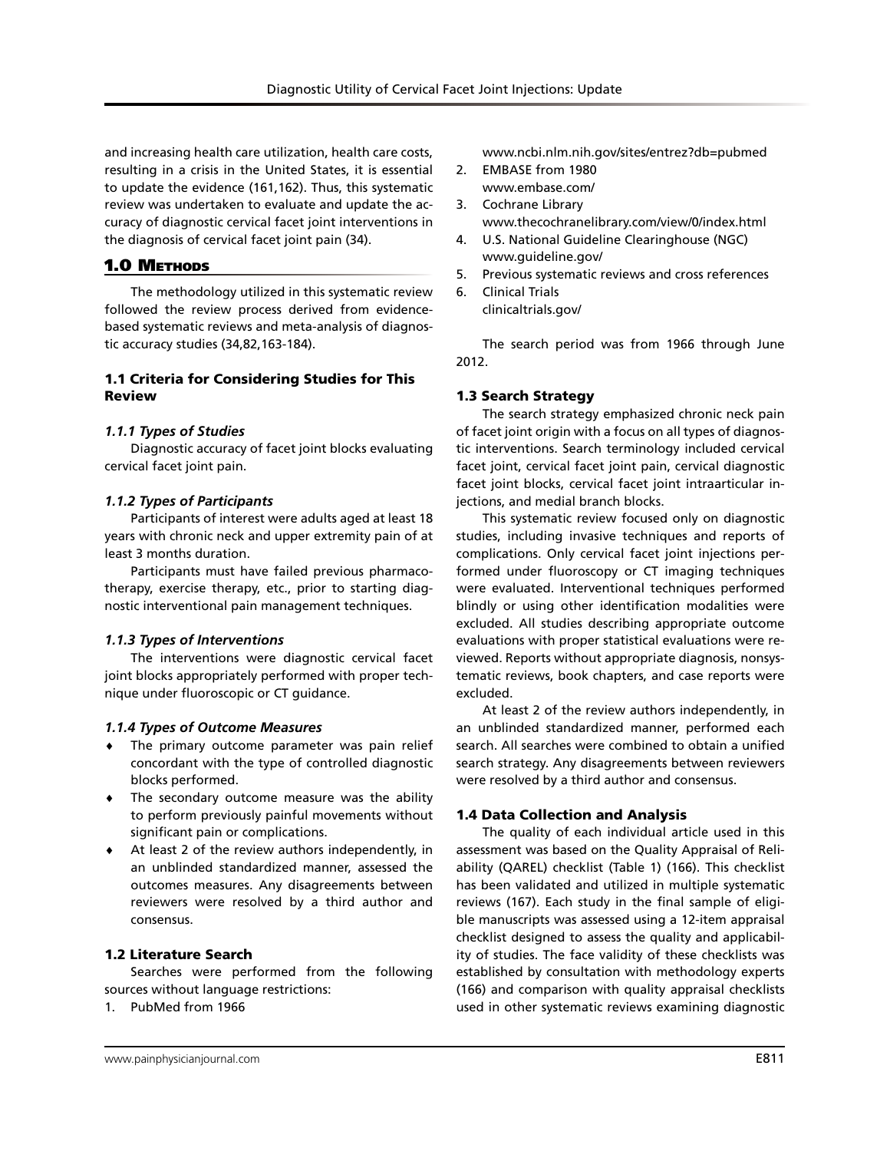and increasing health care utilization, health care costs, resulting in a crisis in the United States, it is essential to update the evidence (161,162). Thus, this systematic review was undertaken to evaluate and update the accuracy of diagnostic cervical facet joint interventions in the diagnosis of cervical facet joint pain (34).

## 1.0 METHODS

The methodology utilized in this systematic review followed the review process derived from evidencebased systematic reviews and meta-analysis of diagnostic accuracy studies (34,82,163-184).

## 1.1 Criteria for Considering Studies for This Review

## *1.1.1 Types of Studies*

Diagnostic accuracy of facet joint blocks evaluating cervical facet joint pain.

## *1.1.2 Types of Participants*

Participants of interest were adults aged at least 18 years with chronic neck and upper extremity pain of at least 3 months duration.

Participants must have failed previous pharmacotherapy, exercise therapy, etc., prior to starting diagnostic interventional pain management techniques.

## *1.1.3 Types of Interventions*

The interventions were diagnostic cervical facet joint blocks appropriately performed with proper technique under fluoroscopic or CT guidance.

## *1.1.4 Types of Outcome Measures*

- ♦ The primary outcome parameter was pain relief concordant with the type of controlled diagnostic blocks performed.
- ♦ The secondary outcome measure was the ability to perform previously painful movements without significant pain or complications.
- ♦ At least 2 of the review authors independently, in an unblinded standardized manner, assessed the outcomes measures. Any disagreements between reviewers were resolved by a third author and consensus.

## 1.2 Literature Search

Searches were performed from the following sources without language restrictions:

1. PubMed from 1966

- 2. EMBASE from 1980 www.embase.com/
- 3. Cochrane Library www.thecochranelibrary.com/view/0/index.html
- 4. U.S. National Guideline Clearinghouse (NGC) www.guideline.gov/
- 5. Previous systematic reviews and cross references
- 6. Clinical Trials clinicaltrials.gov/

The search period was from 1966 through June 2012.

## 1.3 Search Strategy

The search strategy emphasized chronic neck pain of facet joint origin with a focus on all types of diagnostic interventions. Search terminology included cervical facet joint, cervical facet joint pain, cervical diagnostic facet joint blocks, cervical facet joint intraarticular injections, and medial branch blocks.

This systematic review focused only on diagnostic studies, including invasive techniques and reports of complications. Only cervical facet joint injections performed under fluoroscopy or CT imaging techniques were evaluated. Interventional techniques performed blindly or using other identification modalities were excluded. All studies describing appropriate outcome evaluations with proper statistical evaluations were reviewed. Reports without appropriate diagnosis, nonsystematic reviews, book chapters, and case reports were excluded.

At least 2 of the review authors independently, in an unblinded standardized manner, performed each search. All searches were combined to obtain a unified search strategy. Any disagreements between reviewers were resolved by a third author and consensus.

## 1.4 Data Collection and Analysis

The quality of each individual article used in this assessment was based on the Quality Appraisal of Reliability (QAREL) checklist (Table 1) (166). This checklist has been validated and utilized in multiple systematic reviews (167). Each study in the final sample of eligible manuscripts was assessed using a 12-item appraisal checklist designed to assess the quality and applicability of studies. The face validity of these checklists was established by consultation with methodology experts (166) and comparison with quality appraisal checklists used in other systematic reviews examining diagnostic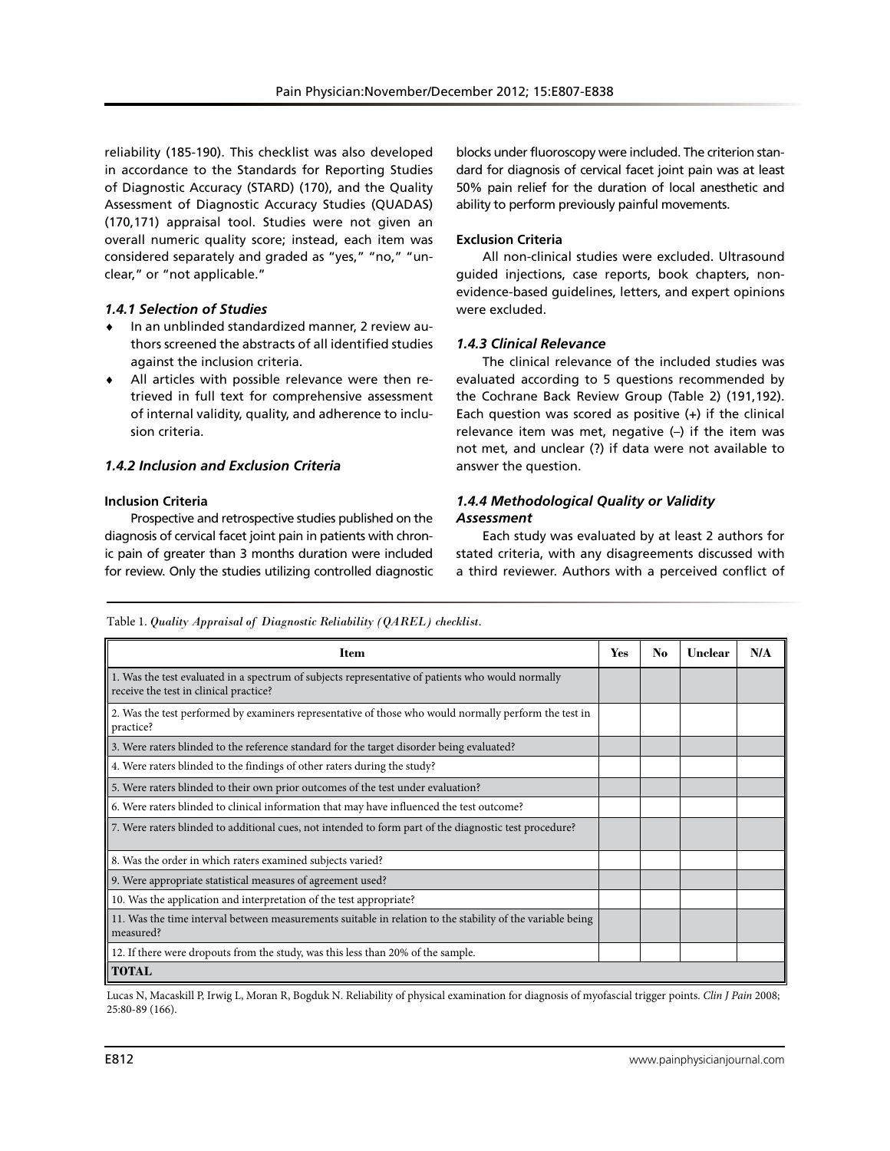reliability (185-190). This checklist was also developed in accordance to the Standards for Reporting Studies of Diagnostic Accuracy (STARD) (170), and the Quality Assessment of Diagnostic Accuracy Studies (QUADAS) (170,171) appraisal tool. Studies were not given an overall numeric quality score; instead, each item was considered separately and graded as "yes," "no," "unclear," or "not applicable."

## *1.4.1 Selection of Studies*

- In an unblinded standardized manner, 2 review authors screened the abstracts of all identified studies against the inclusion criteria.
- ♦ All articles with possible relevance were then retrieved in full text for comprehensive assessment of internal validity, quality, and adherence to inclusion criteria.

## *1.4.2 Inclusion and Exclusion Criteria*

#### **Inclusion Criteria**

Prospective and retrospective studies published on the diagnosis of cervical facet joint pain in patients with chronic pain of greater than 3 months duration were included for review. Only the studies utilizing controlled diagnostic

blocks under fluoroscopy were included. The criterion standard for diagnosis of cervical facet joint pain was at least 50% pain relief for the duration of local anesthetic and ability to perform previously painful movements.

## **Exclusion Criteria**

All non-clinical studies were excluded. Ultrasound guided injections, case reports, book chapters, nonevidence-based guidelines, letters, and expert opinions were excluded.

## *1.4.3 Clinical Relevance*

The clinical relevance of the included studies was evaluated according to 5 questions recommended by the Cochrane Back Review Group (Table 2) (191,192). Each question was scored as positive  $(+)$  if the clinical relevance item was met, negative (–) if the item was not met, and unclear (?) if data were not available to answer the question.

## *1.4.4 Methodological Quality or Validity Assessment*

Each study was evaluated by at least 2 authors for stated criteria, with any disagreements discussed with a third reviewer. Authors with a perceived conflict of

Table 1. *Quality Appraisal of Diagnostic Reliability (QAREL) checklist.*

| <b>Item</b>                                                                                                                                 | Yes | No | Unclear | N/A |
|---------------------------------------------------------------------------------------------------------------------------------------------|-----|----|---------|-----|
| 1. Was the test evaluated in a spectrum of subjects representative of patients who would normally<br>receive the test in clinical practice? |     |    |         |     |
| 2. Was the test performed by examiners representative of those who would normally perform the test in<br>practice?                          |     |    |         |     |
| 3. Were raters blinded to the reference standard for the target disorder being evaluated?                                                   |     |    |         |     |
| 4. Were raters blinded to the findings of other raters during the study?                                                                    |     |    |         |     |
| 5. Were raters blinded to their own prior outcomes of the test under evaluation?                                                            |     |    |         |     |
| 6. Were raters blinded to clinical information that may have influenced the test outcome?                                                   |     |    |         |     |
| 7. Were raters blinded to additional cues, not intended to form part of the diagnostic test procedure?                                      |     |    |         |     |
| 8. Was the order in which raters examined subjects varied?                                                                                  |     |    |         |     |
| 9. Were appropriate statistical measures of agreement used?                                                                                 |     |    |         |     |
| 10. Was the application and interpretation of the test appropriate?                                                                         |     |    |         |     |
| 11. Was the time interval between measurements suitable in relation to the stability of the variable being<br>measured?                     |     |    |         |     |
| 12. If there were dropouts from the study, was this less than 20% of the sample.                                                            |     |    |         |     |
| <b>TOTAL</b>                                                                                                                                |     |    |         |     |

Lucas N, Macaskill P, Irwig L, Moran R, Bogduk N. Reliability of physical examination for diagnosis of myofascial trigger points. *Clin J Pain* 2008; 25:80-89 (166).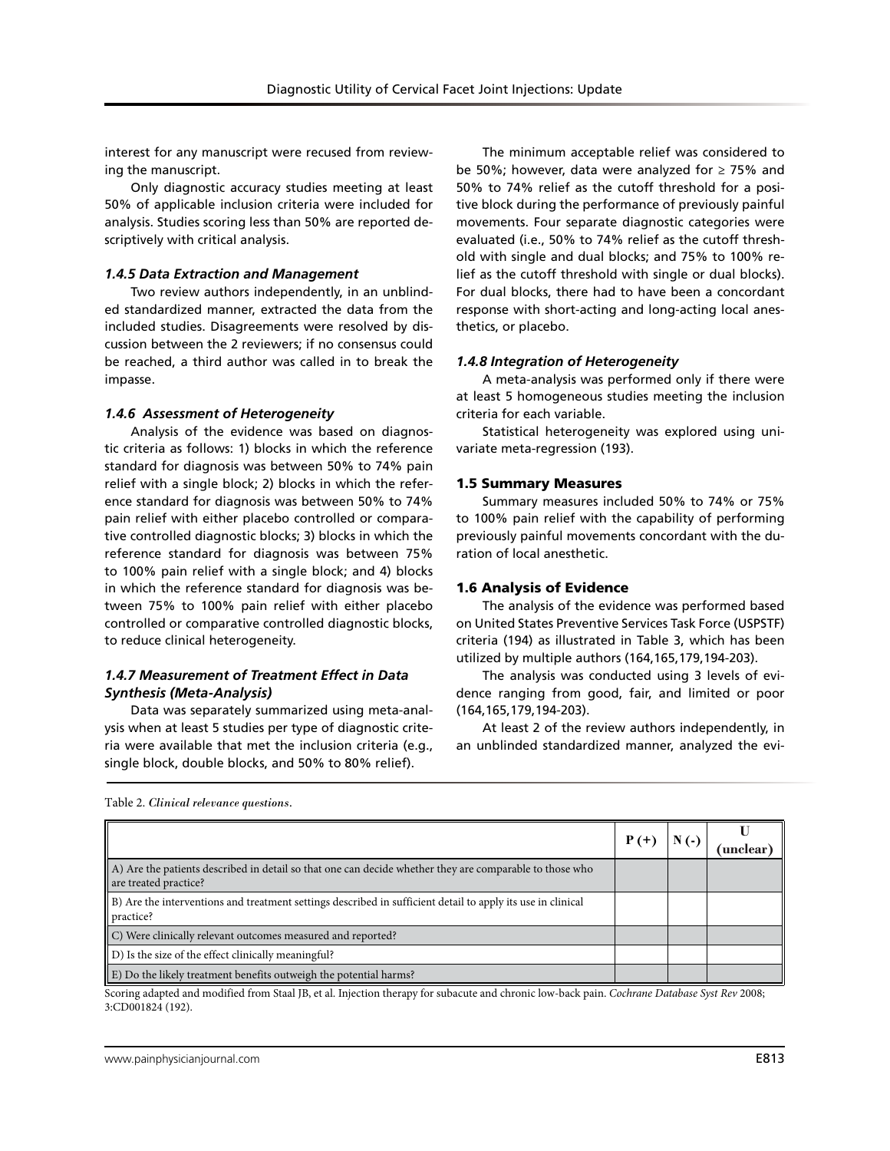interest for any manuscript were recused from reviewing the manuscript.

Only diagnostic accuracy studies meeting at least 50% of applicable inclusion criteria were included for analysis. Studies scoring less than 50% are reported descriptively with critical analysis.

#### *1.4.5 Data Extraction and Management*

Two review authors independently, in an unblinded standardized manner, extracted the data from the included studies. Disagreements were resolved by discussion between the 2 reviewers; if no consensus could be reached, a third author was called in to break the impasse.

#### *1.4.6 Assessment of Heterogeneity*

Analysis of the evidence was based on diagnostic criteria as follows: 1) blocks in which the reference standard for diagnosis was between 50% to 74% pain relief with a single block; 2) blocks in which the reference standard for diagnosis was between 50% to 74% pain relief with either placebo controlled or comparative controlled diagnostic blocks; 3) blocks in which the reference standard for diagnosis was between 75% to 100% pain relief with a single block; and 4) blocks in which the reference standard for diagnosis was between 75% to 100% pain relief with either placebo controlled or comparative controlled diagnostic blocks, to reduce clinical heterogeneity.

## *1.4.7 Measurement of Treatment Effect in Data Synthesis (Meta-Analysis)*

Data was separately summarized using meta-analysis when at least 5 studies per type of diagnostic criteria were available that met the inclusion criteria (e.g., single block, double blocks, and 50% to 80% relief).

The minimum acceptable relief was considered to be 50%; however, data were analyzed for  $\geq$  75% and 50% to 74% relief as the cutoff threshold for a positive block during the performance of previously painful movements. Four separate diagnostic categories were evaluated (i.e., 50% to 74% relief as the cutoff threshold with single and dual blocks; and 75% to 100% relief as the cutoff threshold with single or dual blocks). For dual blocks, there had to have been a concordant response with short-acting and long-acting local anesthetics, or placebo.

## *1.4.8 Integration of Heterogeneity*

A meta-analysis was performed only if there were at least 5 homogeneous studies meeting the inclusion criteria for each variable.

Statistical heterogeneity was explored using univariate meta-regression (193).

## 1.5 Summary Measures

Summary measures included 50% to 74% or 75% to 100% pain relief with the capability of performing previously painful movements concordant with the duration of local anesthetic.

## 1.6 Analysis of Evidence

The analysis of the evidence was performed based on United States Preventive Services Task Force (USPSTF) criteria (194) as illustrated in Table 3, which has been utilized by multiple authors (164,165,179,194-203).

The analysis was conducted using 3 levels of evidence ranging from good, fair, and limited or poor (164,165,179,194-203).

At least 2 of the review authors independently, in an unblinded standardized manner, analyzed the evi-

|  |  |  | Table 2. Clinical relevance questions. |
|--|--|--|----------------------------------------|
|--|--|--|----------------------------------------|

|                                                                                                                                  | P (+ | unclear |
|----------------------------------------------------------------------------------------------------------------------------------|------|---------|
| A) Are the patients described in detail so that one can decide whether they are comparable to those who<br>are treated practice? |      |         |
| [B] Are the interventions and treatment settings described in sufficient detail to apply its use in clinical<br>practice?        |      |         |
| C) Were clinically relevant outcomes measured and reported?                                                                      |      |         |
| $\parallel$ D) Is the size of the effect clinically meaningful?                                                                  |      |         |
| [E] Do the likely treatment benefits outweigh the potential harms?                                                               |      |         |

Scoring adapted and modified from Staal JB, et al. Injection therapy for subacute and chronic low-back pain. *Cochrane Database Syst Rev* 2008; 3:CD001824 (192).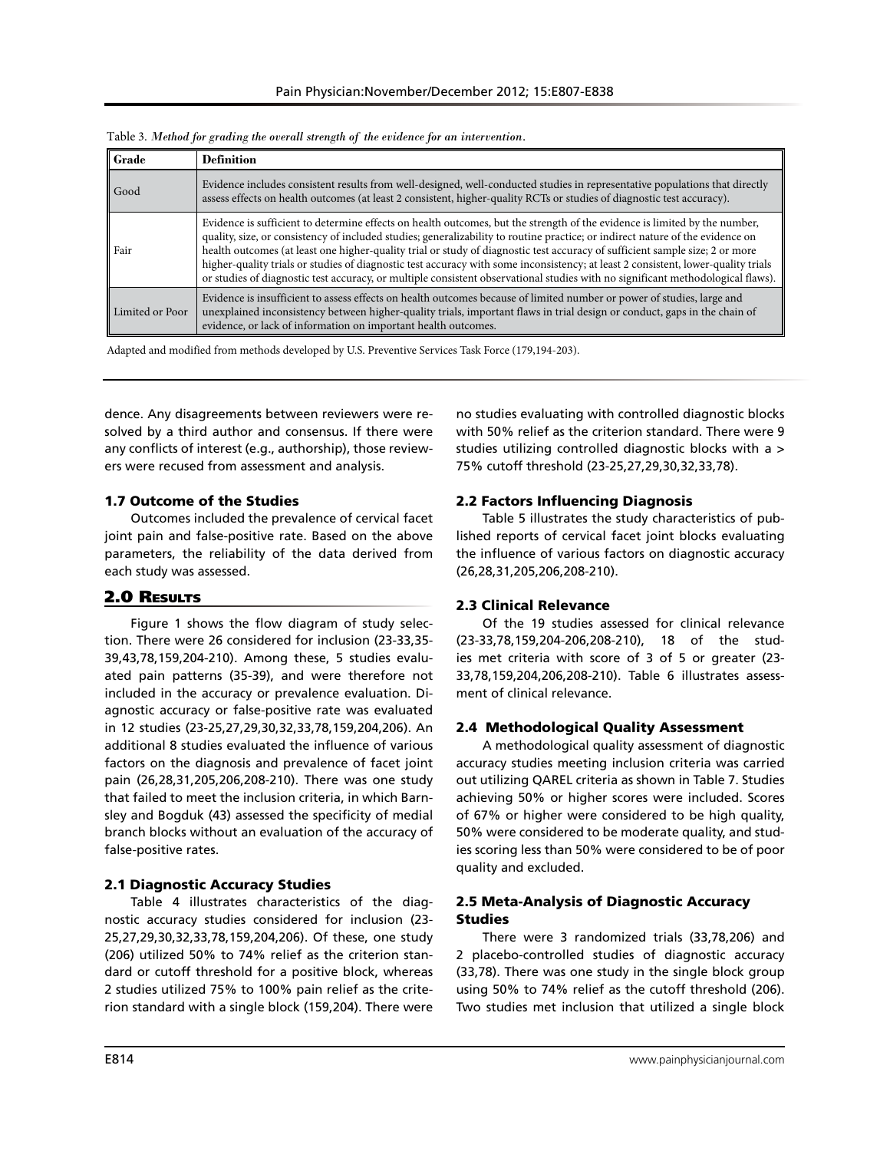| Grade           | <b>Definition</b>                                                                                                                                                                                                                                                                                                                                                                                                                                                                                                                                                                                                                                                    |
|-----------------|----------------------------------------------------------------------------------------------------------------------------------------------------------------------------------------------------------------------------------------------------------------------------------------------------------------------------------------------------------------------------------------------------------------------------------------------------------------------------------------------------------------------------------------------------------------------------------------------------------------------------------------------------------------------|
| Good            | Evidence includes consistent results from well-designed, well-conducted studies in representative populations that directly<br>assess effects on health outcomes (at least 2 consistent, higher-quality RCTs or studies of diagnostic test accuracy).                                                                                                                                                                                                                                                                                                                                                                                                                |
| Fair            | Evidence is sufficient to determine effects on health outcomes, but the strength of the evidence is limited by the number,<br>quality, size, or consistency of included studies; generalizability to routine practice; or indirect nature of the evidence on<br>health outcomes (at least one higher-quality trial or study of diagnostic test accuracy of sufficient sample size; 2 or more<br>higher-quality trials or studies of diagnostic test accuracy with some inconsistency; at least 2 consistent, lower-quality trials<br>or studies of diagnostic test accuracy, or multiple consistent observational studies with no significant methodological flaws). |
| Limited or Poor | Evidence is insufficient to assess effects on health outcomes because of limited number or power of studies, large and<br>unexplained inconsistency between higher-quality trials, important flaws in trial design or conduct, gaps in the chain of<br>evidence, or lack of information on important health outcomes.                                                                                                                                                                                                                                                                                                                                                |

Table 3. *Method for grading the overall strength of the evidence for an intervention.*

Adapted and modified from methods developed by U.S. Preventive Services Task Force (179,194-203).

dence. Any disagreements between reviewers were resolved by a third author and consensus. If there were any conflicts of interest (e.g., authorship), those reviewers were recused from assessment and analysis.

#### 1.7 Outcome of the Studies

Outcomes included the prevalence of cervical facet joint pain and false-positive rate. Based on the above parameters, the reliability of the data derived from each study was assessed.

## 2.0 Results

Figure 1 shows the flow diagram of study selection. There were 26 considered for inclusion (23-33,35- 39,43,78,159,204-210). Among these, 5 studies evaluated pain patterns (35-39), and were therefore not included in the accuracy or prevalence evaluation. Diagnostic accuracy or false-positive rate was evaluated in 12 studies (23-25,27,29,30,32,33,78,159,204,206). An additional 8 studies evaluated the influence of various factors on the diagnosis and prevalence of facet joint pain (26,28,31,205,206,208-210). There was one study that failed to meet the inclusion criteria, in which Barnsley and Bogduk (43) assessed the specificity of medial branch blocks without an evaluation of the accuracy of false-positive rates.

## 2.1 Diagnostic Accuracy Studies

Table 4 illustrates characteristics of the diagnostic accuracy studies considered for inclusion (23- 25,27,29,30,32,33,78,159,204,206). Of these, one study (206) utilized 50% to 74% relief as the criterion standard or cutoff threshold for a positive block, whereas 2 studies utilized 75% to 100% pain relief as the criterion standard with a single block (159,204). There were

no studies evaluating with controlled diagnostic blocks with 50% relief as the criterion standard. There were 9 studies utilizing controlled diagnostic blocks with a > 75% cutoff threshold (23-25,27,29,30,32,33,78).

## 2.2 Factors Influencing Diagnosis

Table 5 illustrates the study characteristics of published reports of cervical facet joint blocks evaluating the influence of various factors on diagnostic accuracy (26,28,31,205,206,208-210).

#### 2.3 Clinical Relevance

Of the 19 studies assessed for clinical relevance (23-33,78,159,204-206,208-210), 18 of the studies met criteria with score of 3 of 5 or greater (23- 33,78,159,204,206,208-210). Table 6 illustrates assessment of clinical relevance.

## 2.4 Methodological Quality Assessment

A methodological quality assessment of diagnostic accuracy studies meeting inclusion criteria was carried out utilizing QAREL criteria as shown in Table 7. Studies achieving 50% or higher scores were included. Scores of 67% or higher were considered to be high quality, 50% were considered to be moderate quality, and studies scoring less than 50% were considered to be of poor quality and excluded.

## 2.5 Meta-Analysis of Diagnostic Accuracy Studies

There were 3 randomized trials (33,78,206) and 2 placebo-controlled studies of diagnostic accuracy (33,78). There was one study in the single block group using 50% to 74% relief as the cutoff threshold (206). Two studies met inclusion that utilized a single block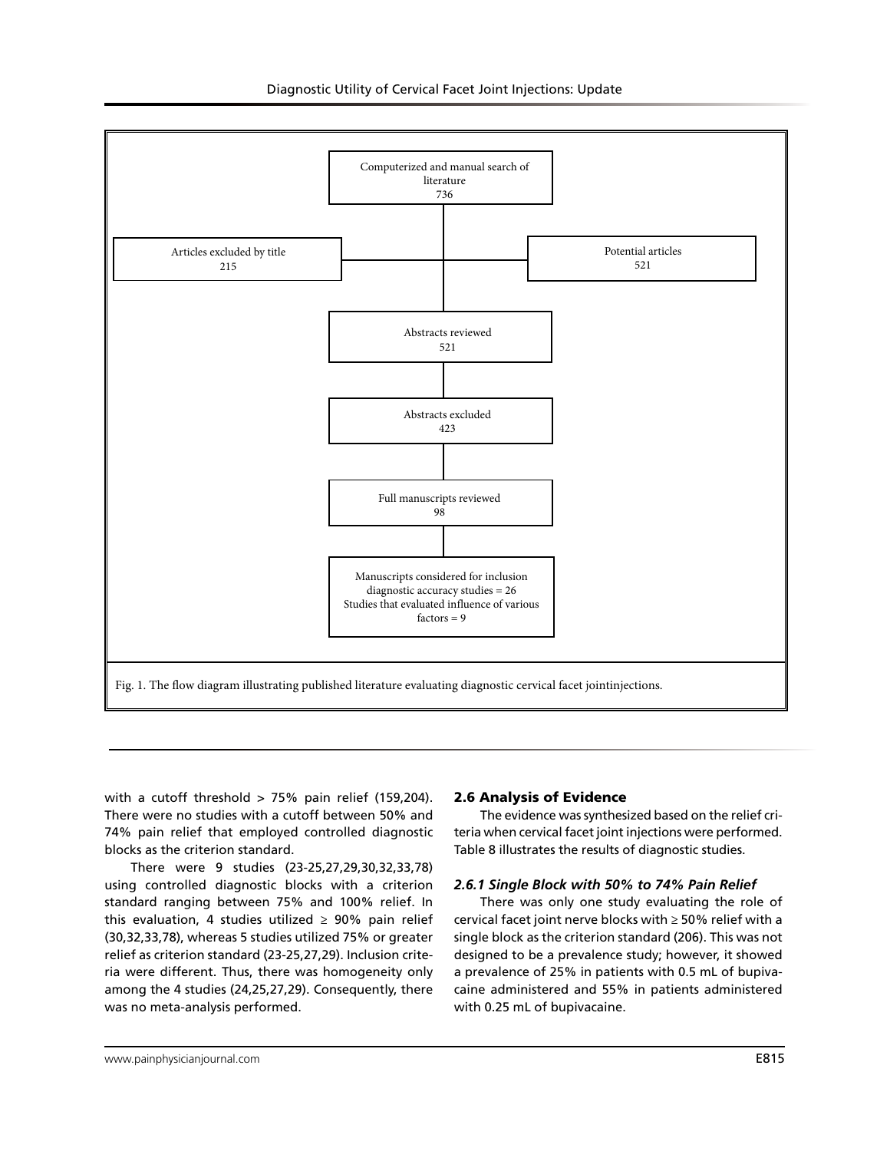

with a cutoff threshold  $> 75%$  pain relief (159,204). There were no studies with a cutoff between 50% and 74% pain relief that employed controlled diagnostic blocks as the criterion standard.

There were 9 studies (23-25,27,29,30,32,33,78) using controlled diagnostic blocks with a criterion standard ranging between 75% and 100% relief. In this evaluation, 4 studies utilized  $\geq$  90% pain relief (30,32,33,78), whereas 5 studies utilized 75% or greater relief as criterion standard (23-25,27,29). Inclusion criteria were different. Thus, there was homogeneity only among the 4 studies (24,25,27,29). Consequently, there was no meta-analysis performed.

#### 2.6 Analysis of Evidence

The evidence was synthesized based on the relief criteria when cervical facet joint injections were performed. Table 8 illustrates the results of diagnostic studies.

#### *2.6.1 Single Block with 50% to 74% Pain Relief*

There was only one study evaluating the role of cervical facet joint nerve blocks with ≥ 50% relief with a single block as the criterion standard (206). This was not designed to be a prevalence study; however, it showed a prevalence of 25% in patients with 0.5 mL of bupivacaine administered and 55% in patients administered with 0.25 mL of bupivacaine.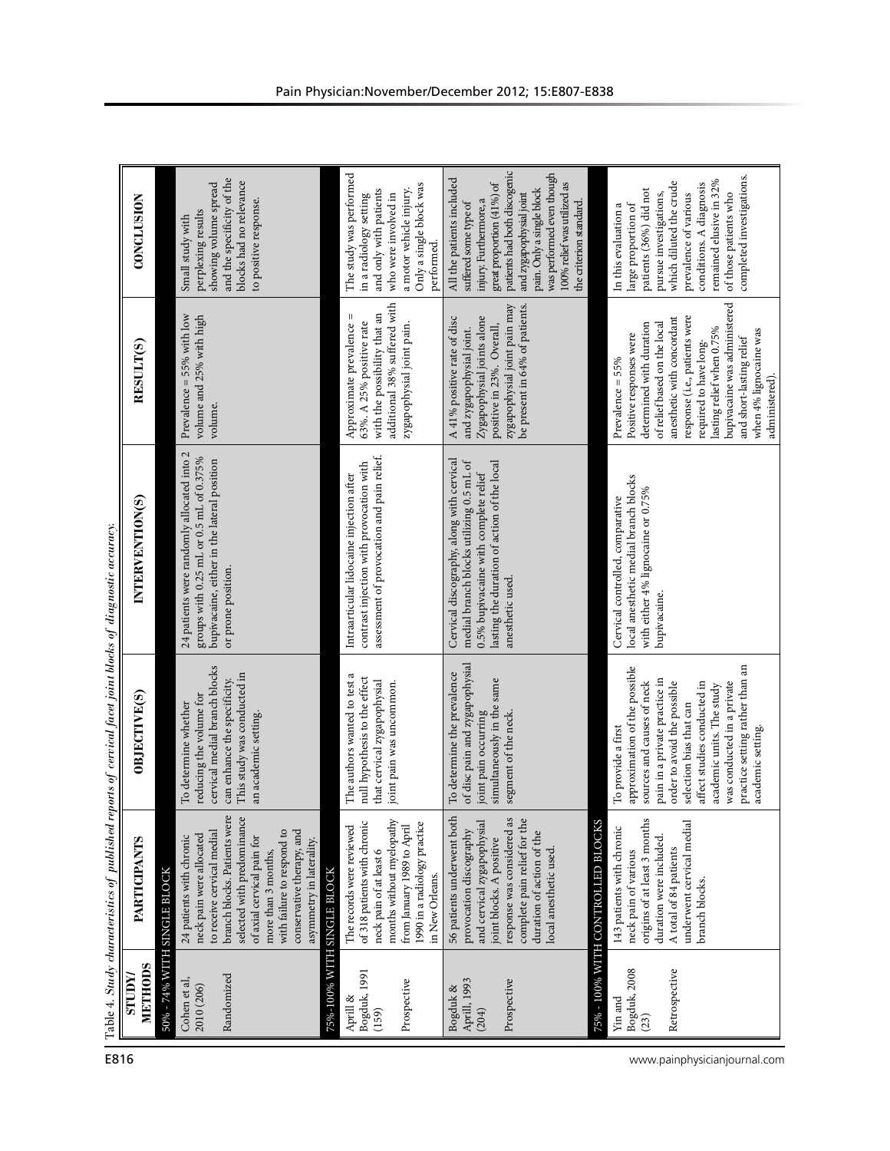| E816                         |                                                  |                                                                                                                                                                                                                                                                                              | Table 4. Study characteristics of published reports of cervical facet joint blocks of diagnostic accuracy.                                                                                                                                                                                                                     |                                                                                                                                                                                                   |                                                                                                                                                                                                                                                                                                                                       |                                                                                                                                                                                                                                                                                          |  |
|------------------------------|--------------------------------------------------|----------------------------------------------------------------------------------------------------------------------------------------------------------------------------------------------------------------------------------------------------------------------------------------------|--------------------------------------------------------------------------------------------------------------------------------------------------------------------------------------------------------------------------------------------------------------------------------------------------------------------------------|---------------------------------------------------------------------------------------------------------------------------------------------------------------------------------------------------|---------------------------------------------------------------------------------------------------------------------------------------------------------------------------------------------------------------------------------------------------------------------------------------------------------------------------------------|------------------------------------------------------------------------------------------------------------------------------------------------------------------------------------------------------------------------------------------------------------------------------------------|--|
|                              | METHODS<br><b>XunLS</b>                          | PARTICIPANTS                                                                                                                                                                                                                                                                                 | OBJECTIVE(S)                                                                                                                                                                                                                                                                                                                   | INTERVENTION(S)                                                                                                                                                                                   | RESULT(S)                                                                                                                                                                                                                                                                                                                             | <b>CONCLUSION</b>                                                                                                                                                                                                                                                                        |  |
|                              |                                                  | 50% - 74% WITH SINGLE BLOCK                                                                                                                                                                                                                                                                  |                                                                                                                                                                                                                                                                                                                                |                                                                                                                                                                                                   |                                                                                                                                                                                                                                                                                                                                       |                                                                                                                                                                                                                                                                                          |  |
|                              | Randomized<br>Cohen et al,<br>2010 (206)         | branch blocks. Patients were<br>selected with predominance<br>conservative therapy, and<br>with failure to respond to<br>to receive cervical medial<br>neck pain were allocated<br>24 patients with chronic<br>of axial cervical pain for<br>asymmetry in laterality.<br>more than 3 months, | cervical medial branch blocks<br>This study was conducted in<br>can enhance the specificity.<br>reducing the volume for<br>To determine whether<br>an academic setting.                                                                                                                                                        | 24 patients were randomly allocated into 2<br>groups with 0.25 mL or 0.5 mL of 0.375%<br>bupivacaine, either in the lateral position<br>or prone position.                                        | Prevalence = 55% with low<br>volume and 25% with high<br>volume.                                                                                                                                                                                                                                                                      | and the specificity of the<br>blocks had no relevance<br>showing volume spread<br>to positive response.<br>perplexing results<br>Small study with                                                                                                                                        |  |
|                              | 75%-100% WITH                                    | <b>SINGLE BLOCK</b>                                                                                                                                                                                                                                                                          |                                                                                                                                                                                                                                                                                                                                |                                                                                                                                                                                                   |                                                                                                                                                                                                                                                                                                                                       |                                                                                                                                                                                                                                                                                          |  |
|                              | Bogduk, 1991<br>Prospective<br>Aprill &<br>(159) | months without myelopathy<br>of 318 patients with chronic<br>1990 in a radiology practice<br>from January 1989 to April<br>The records were reviewed<br>neck pain of at least 6<br>in New Orleans.                                                                                           | The authors wanted to test a<br>null hypothesis to the effect<br>that cervical zygapophysial<br>joint pain was uncommon.                                                                                                                                                                                                       | assessment of provocation and pain relief.<br>contrast injection with provocation with<br>Intraarticular lidocaine injection after                                                                | additional 38% suffered with<br>with the possibility that an<br>Ш<br>63%. A 25% positive rate<br>Approximate prevalence<br>zygapophysial joint pain.                                                                                                                                                                                  | The study was performed<br>Only a single block was<br>a motor vehicle injury.<br>and only with patients<br>in a radiology setting<br>who were involved in<br>performed.                                                                                                                  |  |
|                              | Prospective<br>Aprill, 1993<br>Bogduk &<br>(204) | 56 patients underwent both<br>response was considered as<br>complete pain relief for the<br>and cervical zygapophysial<br>duration of action of the<br>provocation discography<br>joint blocks. A positive<br>local anesthetic used.                                                         | of disc pain and zygapophysial<br>To determine the prevalence<br>simultaneously in the same<br>segment of the neck.<br>joint pain occurring                                                                                                                                                                                    | Cervical discography, along with cervical<br>medial branch blocks utilizing 0.5 mL of<br>lasting the duration of action of the local<br>0.5% bupivacaine with complete relief<br>anesthetic used. | zygapophysial joint pain may<br>be present in 64% of patients.<br>Zygapophysial joints alone<br>A 41% positive rate of disc<br>positive in 23%. Overall,<br>and zygapophysial joint.                                                                                                                                                  | patients had both discogenic<br>was performed even though<br>All the patients included<br>100% relief was utilized as<br>great proportion (41%) of<br>pain. Only a single block<br>and zygapophysial joint<br>injury. Furthermore, a<br>suffered some type of<br>the criterion standard. |  |
|                              |                                                  | 75% - 100% WITH CONTROLLED BLOCKS                                                                                                                                                                                                                                                            |                                                                                                                                                                                                                                                                                                                                |                                                                                                                                                                                                   |                                                                                                                                                                                                                                                                                                                                       |                                                                                                                                                                                                                                                                                          |  |
| www.painphysicianjournal.com | Bogduk, 2008<br>Retrospective<br>Yin and<br>(23) | origins of at least 3 months<br>underwent cervical medial<br>143 patients with chronic<br>duration were included.<br>A total of 84 patients<br>neck pain of various<br>branch blocks.                                                                                                        | practice setting rather than an<br>approximation of the possible<br>pain in a private practice in<br>sources and causes of neck<br>was conducted in a private<br>affect studies conducted in<br>order to avoid the possible<br>academic units. The study<br>selection bias that can<br>To provide a first<br>academic setting. | local anesthetic medial branch blocks<br>with either 4% lignocaine or 0.75%<br>Cervical controlled, comparative<br>bupivacaine.                                                                   | bupivacaine was administered<br>response (i.e., patients were<br>anesthetic with concordant<br>of relief based on the local<br>determined with duration<br>lasting relief when 0.75%<br>when 4% lignocaine was<br>Positive responses were<br>and short-lasting relief<br>required to have long-<br>Prevalence = 55%<br>administered). | completed investigations.<br>remained elusive in 32%<br>which diluted the crude<br>conditions. A diagnosis<br>patients (36%) did not<br>pursue investigations,<br>prevalence of various<br>of those patients who<br>large proportion of<br>In this evaluation a                          |  |
|                              |                                                  |                                                                                                                                                                                                                                                                                              |                                                                                                                                                                                                                                                                                                                                |                                                                                                                                                                                                   |                                                                                                                                                                                                                                                                                                                                       |                                                                                                                                                                                                                                                                                          |  |

| Š<br>í    |  |
|-----------|--|
|           |  |
| )<br>j    |  |
| ֡֡֡֡֡֡    |  |
|           |  |
|           |  |
|           |  |
| ì<br>ś    |  |
| š<br>Į    |  |
| i<br>ĕ    |  |
| ì         |  |
| ś         |  |
| î<br>l    |  |
| í         |  |
|           |  |
|           |  |
|           |  |
| Ë<br>j    |  |
| ā<br>¢    |  |
|           |  |
|           |  |
|           |  |
| i         |  |
|           |  |
| ì         |  |
|           |  |
| I         |  |
| ₹         |  |
| d<br>ăDi∉ |  |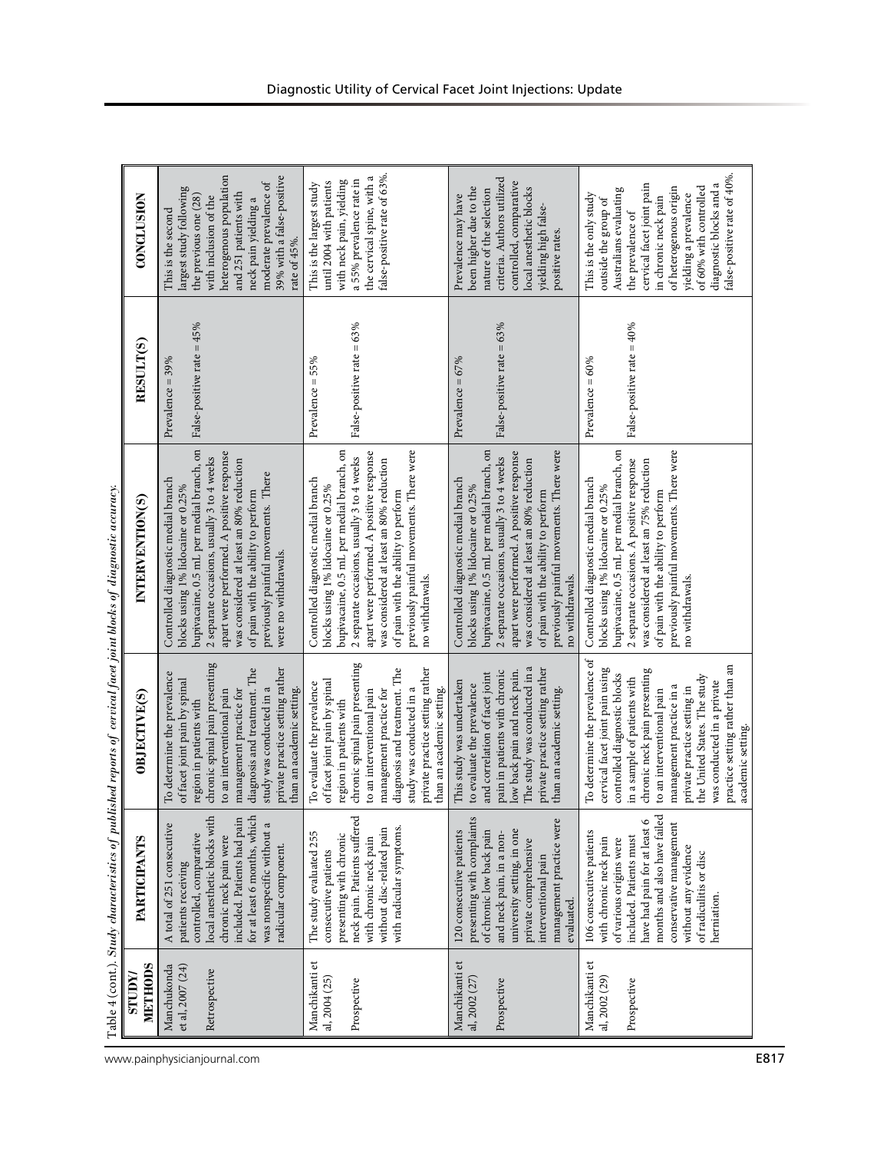|                                                  |                                                                                                                                                                                                                                                                     |                                                                                                                                                                                                                                                                                                                                                                                 | Table 4 (cont.). Study characteristics of published reports of cervical facet joint blocks of diagnostic accuracy.                                                                                                                                                                                                                                                  |                                                    |                                                                                                                                                                                                                                                                                          |
|--------------------------------------------------|---------------------------------------------------------------------------------------------------------------------------------------------------------------------------------------------------------------------------------------------------------------------|---------------------------------------------------------------------------------------------------------------------------------------------------------------------------------------------------------------------------------------------------------------------------------------------------------------------------------------------------------------------------------|---------------------------------------------------------------------------------------------------------------------------------------------------------------------------------------------------------------------------------------------------------------------------------------------------------------------------------------------------------------------|----------------------------------------------------|------------------------------------------------------------------------------------------------------------------------------------------------------------------------------------------------------------------------------------------------------------------------------------------|
| METHODS<br><b>ZunLS</b>                          | PARTICIPANTS                                                                                                                                                                                                                                                        | OBJECTIVE(S)                                                                                                                                                                                                                                                                                                                                                                    | INTERVENTION(S)                                                                                                                                                                                                                                                                                                                                                     | RESULT(S)                                          | <b>CONCLUSION</b>                                                                                                                                                                                                                                                                        |
| Manchukonda<br>et al, 2007 (24)<br>Retrospective | local anesthetic blocks with<br>for at least 6 months, which<br>included. Patients had pain<br>was nonspecific without a<br>A total of 251 consecutive<br>controlled, comparative<br>chronic neck pain were<br>radicular component.<br>patients receiving           | chronic spinal pain presenting<br>private practice setting rather<br>diagnosis and treatment. The<br>To determine the prevalence<br>of facet joint pain by spinal<br>study was conducted in a<br>than an academic setting.<br>management practice for<br>to an interventional pain<br>region in patients with                                                                   | bupivacaine, 0.5 mL per medial branch, on<br>apart were performed. A positive response<br>2 separate occasions, usually 3 to 4 weeks<br>was considered at least an 80% reduction<br>previously painful movements. There<br>Controlled diagnostic medial branch<br>blocks using 1% lidocaine or 0.25%<br>of pain with the ability to perform<br>were no withdrawals. | False-positive rate = 45%<br>Prevalence = 39%      | heterogenous population<br>39% with a false-positive<br>moderate prevalence of<br>largest study following<br>and 251 patients with<br>the previous one (28)<br>with inclusion of the<br>neck pain yielding a<br>This is the second<br>rate of 45%.                                       |
| Manchikanti et<br>al, 2004 (25)<br>Prospective   | neck pain. Patients suffered<br>with radicular symptoms.<br>without disc-related pain<br>The study evaluated 255<br>presenting with chronic<br>with chronic neck pain<br>consecutive patients                                                                       | chronic spinal pain presenting<br>diagnosis and treatment. The<br>private practice setting rather<br>of facet joint pain by spinal<br>To evaluate the prevalence<br>study was conducted in a<br>than an academic setting.<br>management practice for<br>to an interventional pain<br>region in patients with                                                                    | previously painful movements. There were<br>bupivacaine, 0.5 mL per medial branch, on<br>apart were performed. A positive response<br>2 separate occasions, usually 3 to 4 weeks<br>was considered at least an 80% reduction<br>Controlled diagnostic medial branch<br>blocks using 1% lidocaine or 0.25%<br>of pain with the ability to perform<br>no withdrawals. | False-positive rate = 63%<br>Prevalence = 55%      | false-positive rate of 63%.<br>the cervical spine, with a<br>a 55% prevalence rate in<br>with neck pain, yielding<br>until 2004 with patients<br>This is the largest study                                                                                                               |
| Manchikanti et<br>al, 2002 (27)<br>Prospective   | presenting with complaints<br>management practice were<br>university setting, in one<br>120 consecutive patients<br>of chronic low back pain<br>and neck pain, in a non-<br>private comprehensive<br>interventional pain<br>evaluated.                              | The study was conducted in a<br>private practice setting rather<br>pain in patients with chronic<br>low back pain and neck pain.<br>and correlation of facet joint<br>This study was undertaken<br>to evaluate the prevalence<br>than an academic setting.                                                                                                                      | previously painful movements. There were<br>bupivacaine, 0.5 mL per medial branch, on<br>apart were performed. A positive response<br>2 separate occasions, usually 3 to 4 weeks<br>was considered at least an 80% reduction<br>Controlled diagnostic medial branch<br>blocks using 1% lidocaine or 0.25%<br>of pain with the ability to perform<br>no withdrawals. | False-positive rate = 63%<br>Prevalence = $67\%$   | criteria. Authors utilized<br>controlled, comparative<br>been higher due to the<br>local anesthetic blocks<br>nature of the selection<br>Prevalence may have<br>yielding high false-<br>positive rates.                                                                                  |
| Manchikanti et<br>al, 2002 (29)<br>Prospective   | months and also have failed<br>have had pain for at least 6<br>conservative management<br>106 consecutive patients<br>included. Patients must<br>with chronic neck pain<br>of various origins were<br>without any evidence<br>of radiculitis or disc<br>herniation. | To determine the prevalence of<br>practice setting rather than an<br>cervical facet joint pain using<br>chronic neck pain presenting<br>controlled diagnostic blocks<br>the United States. The study<br>in a sample of patients with<br>was conducted in a private<br>management practice in a<br>private practice setting in<br>to an interventional pain<br>academic setting. | previously painful movements. There were<br>bupivacaine, 0.5 mL per medial branch, on<br>2 separate occasions. A positive response<br>was considered at least an 75% reduction<br>Controlled diagnostic medial branch<br>blocks using 1% lidocaine or 0.25%<br>of pain with the ability to perform<br>no withdrawals.                                               | False-positive rate $=40\%$<br>Prevalence = $60\%$ | false-positive rate of 40%<br>cervical facet joint pain<br>diagnostic blocks and a<br>of 60% with controlled<br>of heterogenous origin<br>Australians evaluating<br>This is the only study<br>yielding a prevalence<br>in chronic neck pain<br>outside the group of<br>the prevalence of |

| ١<br>Ì                    |  |
|---------------------------|--|
|                           |  |
|                           |  |
|                           |  |
|                           |  |
|                           |  |
| i<br>Ï                    |  |
|                           |  |
| l                         |  |
|                           |  |
|                           |  |
| i                         |  |
| l                         |  |
|                           |  |
|                           |  |
|                           |  |
|                           |  |
|                           |  |
|                           |  |
|                           |  |
|                           |  |
|                           |  |
| ţ<br>۲.<br>F<br>֚֘֝֬<br>l |  |

www.painphysicianjournal.com **E817**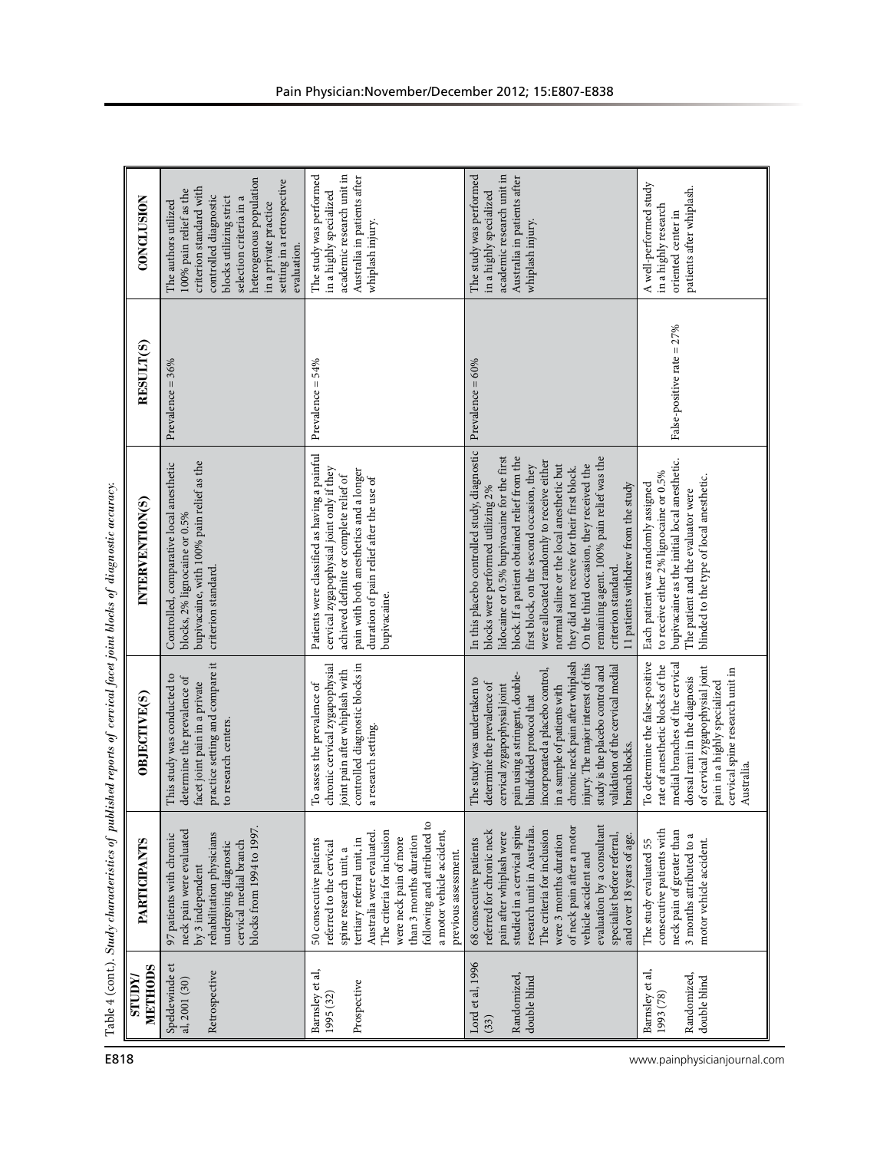| <b>CONCLUSION</b>                | heterogenous population<br>setting in a retrospective<br>criterion standard with<br>100% pain relief as the<br>controlled diagnostic<br>selection criteria in a<br>blocks utilizing strict<br>The authors utilized<br>in a private practice<br>evaluation. | academic research unit in<br>The study was performed<br>Australia in patients after<br>in a highly specialized<br>whiplash injury.                                                                                                                                                                            | academic research unit in<br>The study was performed<br>Australia in patients after<br>in a highly specialized<br>whiplash injury.                                                                                                                                                                                                                                                                                                                                                                                             | A well-performed study<br>patients after whiplash.<br>in a highly research<br>oriented center in                                                                                                                                                           |
|----------------------------------|------------------------------------------------------------------------------------------------------------------------------------------------------------------------------------------------------------------------------------------------------------|---------------------------------------------------------------------------------------------------------------------------------------------------------------------------------------------------------------------------------------------------------------------------------------------------------------|--------------------------------------------------------------------------------------------------------------------------------------------------------------------------------------------------------------------------------------------------------------------------------------------------------------------------------------------------------------------------------------------------------------------------------------------------------------------------------------------------------------------------------|------------------------------------------------------------------------------------------------------------------------------------------------------------------------------------------------------------------------------------------------------------|
| RESULT(S)                        | Prevalence = $36%$                                                                                                                                                                                                                                         | Prevalence = 54%                                                                                                                                                                                                                                                                                              | Prevalence = $60\%$                                                                                                                                                                                                                                                                                                                                                                                                                                                                                                            | False-positive rate = 27%                                                                                                                                                                                                                                  |
| INTERVENTION(S)                  | bupivacaine, with 100% pain relief as the<br>Controlled, comparative local anesthetic<br>blocks, 2% lignocaine or 0.5%<br>criterion standard.                                                                                                              | Patients were classified as having a painful<br>cervical zygapophysial joint only if they<br>pain with both anesthetics and a longer<br>achieved definite or complete relief of<br>duration of pain relief after the use of<br>bupivacaine.                                                                   | In this placebo controlled study, diagnostic<br>remaining agent. 100% pain relief was the<br>lidocaine or 0.5% bupivacaine for the first<br>block. If a patient obtained relief from the<br>were allocated randomly to receive either<br>first block, on the second occasion, they<br>normal saline or the local anesthetic but<br>On the third occasion, they received the<br>they did not receive for their first block.<br>11 patients withdrew from the study<br>blocks were performed utilizing 2%<br>criterion standard. | bupivacaine as the initial local anesthetic.<br>to receive either 2% lignocaine or 0.5%<br>blinded to the type of local anesthetic.<br>Each patient was randomly assigned<br>The patient and the evaluator were                                            |
| OBJECTIVE(S)                     | practice setting and compare it<br>This study was conducted to<br>determine the prevalence of<br>facet joint pain in a private<br>to research centers.                                                                                                     | controlled diagnostic blocks in<br>chronic cervical zygapophysial<br>joint pain after whiplash with<br>To assess the prevalence of<br>a research setting.                                                                                                                                                     | chronic neck pain after whiplash<br>injury. The major interest of this<br>study is the placebo control and<br>validation of the cervical medial<br>incorporated a placebo control,<br>pain using a stringent, double-<br>The study was undertaken to<br>determine the prevalence of<br>cervical zygapophysial joint<br>in a sample of patients with<br>blindfolded protocol that<br>branch blocks.                                                                                                                             | To determine the false-positive<br>medial branches of the cervical<br>rate of anesthetic blocks of the<br>of cervical zygapophysial joint<br>cervical spine research unit in<br>dorsal rami in the diagnosis<br>pain in a highly specialized<br>Australia. |
| PARTICIPANTS                     | blocks from 1994 to 1997.<br>neck pain were evaluated<br>rehabilitation physicians<br>97 patients with chronic<br>cervical medial branch<br>undergoing diagnostic<br>by 3 independent                                                                      | following and attributed to<br>The criteria for inclusion<br>a motor vehicle accident,<br>Australia were evaluated<br>than 3 months duration<br>were neck pain of more<br>50 consecutive patients<br>tertiary referral unit, in<br>referred to the cervical<br>spine research unit, a<br>previous assessment. | studied in a cervical spine<br>evaluation by a consultant<br>of neck pain after a motor<br>research unit in Australia.<br>The criteria for inclusion<br>referred for chronic neck<br>pain after whiplash were<br>specialist before referral,<br>and over 18 years of age.<br>were 3 months duration<br>68 consecutive patients<br>vehicle accident and                                                                                                                                                                         | consecutive patients with<br>neck pain of greater than<br>3 months attributed to a<br>motor vehicle accident.<br>The study evaluated 55                                                                                                                    |
| METHODS<br><b>NUIDES</b><br>E818 | Speldewinde et<br>Retrospective<br>al, 2001 (30)                                                                                                                                                                                                           | Barnsley et al,<br>Prospective<br>1995 (32)                                                                                                                                                                                                                                                                   | Lord et al, 1996<br>Randomized<br>double blind<br>(33)                                                                                                                                                                                                                                                                                                                                                                                                                                                                         | Barnsley et al,<br>Randomized,<br>double blind<br>1993 (78)                                                                                                                                                                                                |

| ļ<br>J<br>$\ddot{\phantom{a}}$<br>j |
|-------------------------------------|
|                                     |
|                                     |
|                                     |
|                                     |
|                                     |
|                                     |
|                                     |
| ¢                                   |
| j                                   |
| I                                   |
| l                                   |
|                                     |
|                                     |
|                                     |
| j                                   |
|                                     |
| ļ<br>Ì                              |
| ֖֖֚֚֚֡֬֝֬֝<br>d                     |
| í<br>$\overline{\phantom{a}}$       |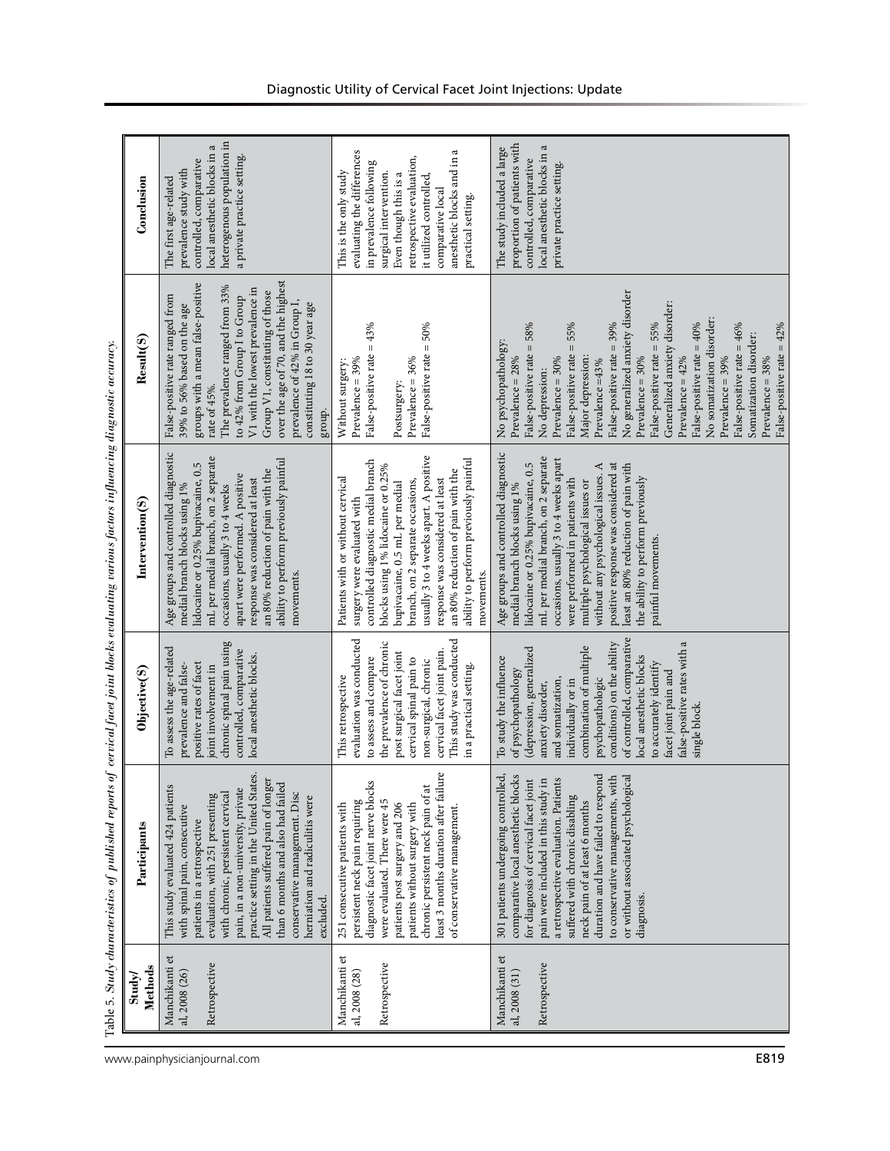| Conclusion                                                                                                                        | heterogenous population in<br>local anesthetic blocks in a<br>a private practice setting.<br>controlled, comparative<br>prevalence study with<br>The first age-related                                                                                                                                                                                                                                                  | $\omega$<br>evaluating the differences<br>retrospective evaluation,<br>anesthetic blocks and in<br>in prevalence following<br>This is the only study<br>surgical intervention.<br>Even though this is a<br>it utilized controlled,<br>comparative local<br>practical setting.                                                                                                                 | proportion of patients with<br>local anesthetic blocks in a<br>The study included a large<br>controlled, comparative<br>private practice setting.                                                                                                                                                                                                                                                                                                                                                                                                            |
|-----------------------------------------------------------------------------------------------------------------------------------|-------------------------------------------------------------------------------------------------------------------------------------------------------------------------------------------------------------------------------------------------------------------------------------------------------------------------------------------------------------------------------------------------------------------------|-----------------------------------------------------------------------------------------------------------------------------------------------------------------------------------------------------------------------------------------------------------------------------------------------------------------------------------------------------------------------------------------------|--------------------------------------------------------------------------------------------------------------------------------------------------------------------------------------------------------------------------------------------------------------------------------------------------------------------------------------------------------------------------------------------------------------------------------------------------------------------------------------------------------------------------------------------------------------|
| Result(S)                                                                                                                         | over the age of 70, and the highest<br>groups with a mean false-positive<br>The prevalence ranged from 33%<br>V1 with the lowest prevalence in<br>Group V1, constituting of those<br>False-positive rate ranged from<br>to 42% from Group I to Group<br>prevalence of 42% in Group I,<br>constituting 18 to 30 year age<br>39% to 56% based on the age<br>rate of 45%.<br>group.                                        | False-positive rate = 43%<br>$=50%$<br>False-positive rate<br>Prevalence = 39%<br>Prevalence = 36%<br>Without surgery:<br>Postsurgery:                                                                                                                                                                                                                                                        | No generalized anxiety disorder<br>Generalized anxiety disorder:<br>No somatization disorder:<br>False-positive rate = 58%<br>$= 55%$<br>False-positive rate = 39%<br>False-positive rate = 55%<br>False-positive rate = $40\%$<br>False-positive rate = 46%<br>False-positive rate = 42%<br>Somatization disorder:<br>No psychopathology:<br>False-positive rate<br>Prevalence = $30\%$<br>Prevalence = $42\%$<br>Prevalence = 39%<br>Prevalence = 38%<br>Prevalence = $28\%$<br>Prevalence = 30%<br>Major depression:<br>Prevalence =43%<br>No depression: |
| is along the product of the product of the product of the product of the product of the product of the product<br>Intervention(S) | Age groups and controlled diagnostic<br>mL per medial branch, on 2 separate<br>ability to perform previously painful<br>lidocaine or 0.25% bupivacaine, 0.5<br>an 80% reduction of pain with the<br>apart were performed. A positive<br>response was considered at least<br>medial branch blocks using 1%<br>occasions, usually 3 to 4 weeks<br>movements.                                                              | usually 3 to 4 weeks apart. A positive<br>controlled diagnostic medial branch<br>ability to perform previously painful<br>blocks using 1% lidocaine or 0.25%<br>an 80% reduction of pain with the<br>response was considered at least<br>Patients with or without cervical<br>branch, on 2 separate occasions,<br>bupivacaine, 0.5 mL per medial<br>surgery were evaluated with<br>movements. | Age groups and controlled diagnostic<br>mL per medial branch, on 2 separate<br>occasions, usually 3 to 4 weeks apart<br>lidocaine or 0.25% bupivacaine, 0.5<br>positive response was considered at<br>least an 80% reduction of pain with<br>without any psychological issues. A<br>the ability to perform previously<br>were performed in patients with<br>multiple psychological issues or<br>medial branch blocks using 1%<br>painful movements.                                                                                                          |
| Objective(S)                                                                                                                      | chronic spinal pain using<br>To assess the age-related<br>controlled, comparative<br>local anesthetic blocks.<br>positive rates of facet<br>prevalence and false-<br>joint involvement in                                                                                                                                                                                                                               | evaluation was conducted<br>This study was conducted<br>the prevalence of chronic<br>cervical facet joint pain.<br>post surgical facet joint<br>to assess and compare<br>cervical spinal pain to<br>non-surgical, chronic<br>in a practical setting.<br>This retrospective                                                                                                                    | of controlled, comparative<br>false-positive rates with a<br>conditions) on the ability<br>combination of multiple<br>(depression, generalized<br>To study the influence<br>local anesthetic blocks<br>to accurately identify<br>of psychopathology<br>facet joint pain and<br>psychopathologic<br>and somatization,<br>individually or in<br>anxiety disorder,<br>single block.                                                                                                                                                                             |
| control of the parameter of the property of the parameter of the second the second terms of the second terms of<br>Participants   | practice setting in the United States.<br>All patients suffered pain of longer<br>This study evaluated 424 patients<br>than 6 months and also had failed<br>pain, in a non-university, private<br>conservative management. Disc<br>with chronic, persistent cervical<br>evaluation, with 251 presenting<br>herniation and radiculitis were<br>with spinal pain, consecutive<br>patients in a retrospective<br>excluded. | least 3 months duration after failure<br>diagnostic facet joint nerve blocks<br>chronic persistent neck pain of at<br>persistent neck pain requiring<br>were evaluated. There were 45<br>patients post surgery and 206<br>251 consecutive patients with<br>patients without surgery with<br>of conservative management                                                                        | 301 patients undergoing controlled,<br>comparative local anesthetic blocks<br>duration and have failed to respond<br>to conservative managements, with<br>or without associated psychological<br>for diagnosis of cervical facet joint<br>a retrospective evaluation. Patients<br>pain were included in this study in<br>suffered with chronic disabling<br>neck pain of at least 6 months<br>diagnosis.                                                                                                                                                     |
| Methods<br>Study                                                                                                                  | Manchikanti et<br>Retrospective<br>al, 2008 (26)                                                                                                                                                                                                                                                                                                                                                                        | Manchikanti et<br>Retrospective<br>al, 2008 (28)                                                                                                                                                                                                                                                                                                                                              | Manchikanti et<br>Retrospective<br>al, 2008 (31)                                                                                                                                                                                                                                                                                                                                                                                                                                                                                                             |

Table 5. *Study characteristics of published reports of cervical facet joint blocks evaluating various factors influencing diagnostic accuracy.*  $\alpha$ etic $\alpha$ arious factors influencing diau rts of cervical facet joint blocks evaluating cteristics of published ren Study che Table 5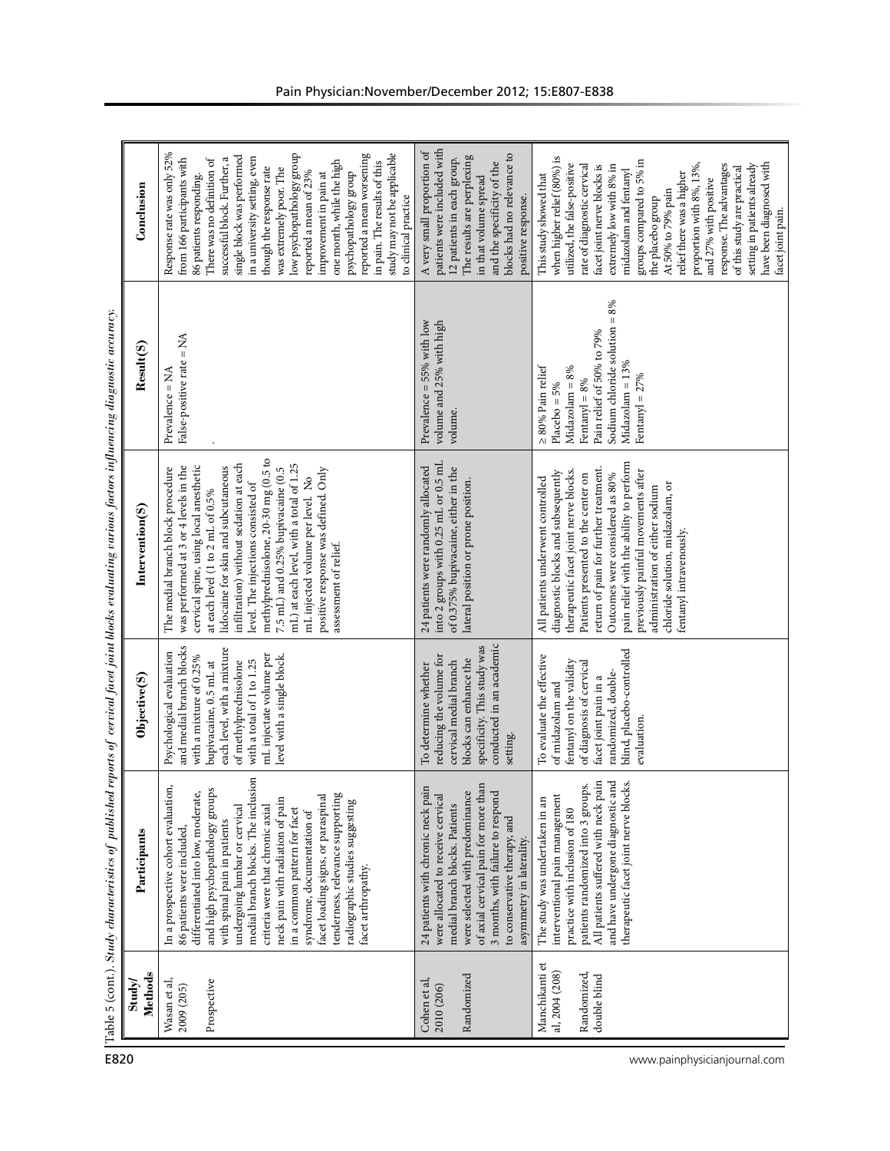| ì<br>ś                     |
|----------------------------|
| i<br>ì                     |
|                            |
|                            |
|                            |
| j                          |
|                            |
| į<br>í                     |
| j                          |
| į                          |
|                            |
|                            |
| j                          |
| ì                          |
| í<br>í                     |
|                            |
|                            |
| $\overline{\phantom{a}}$   |
|                            |
| į                          |
|                            |
|                            |
| ł                          |
| .<br>.<br>.<br>į<br>۲<br>j |
| ֠֕                         |
|                            |
| I<br>j                     |
|                            |
|                            |
|                            |
|                            |
|                            |
|                            |
| ļ                          |
|                            |
| Ì<br>j                     |
|                            |
|                            |
| ֘֒                         |
|                            |
| ł                          |
|                            |
| $\mathbf{I}$               |
| j<br>$\frac{ab}{2}$        |
| F                          |

| Conclusion                                                                                                                                                               | Response rate was only 52%<br>low psychopathology group<br>study may not be applicable<br>reported a mean worsening<br>single block was performed<br>in a university setting, even<br>successful block. Further, a<br>from 166 participants with<br>There was no definition of<br>one month, while the high<br>in pain. The results of this<br>though the response rate<br>was extremely poor. The<br>reported a mean of 23%<br>psychopathology group<br>improvement in pain at<br>86 patients responding.<br>to clinical practice | patients were included with<br>A very small proportion of<br>blocks had no relevance to<br>The results are perplexing<br>12 patients in each group.<br>and the specificity of the<br>in that volume spread<br>positive response.                                                       | when higher relief (80%) is<br>groups compared to 5% in<br>have been diagnosed with<br>utilized, the false-positive<br>proportion with 8%, 13%,<br>response. The advantages<br>setting in patients already<br>rate of diagnostic cervical<br>extremely low with 8% in<br>facet joint nerve blocks is<br>of this study are practical<br>midazolam and fentanyl<br>relief there was a higher<br>This study showed that<br>and 27% with positive<br>At 50% to 79% pain<br>the placebo group<br>facet joint pain. |
|--------------------------------------------------------------------------------------------------------------------------------------------------------------------------|------------------------------------------------------------------------------------------------------------------------------------------------------------------------------------------------------------------------------------------------------------------------------------------------------------------------------------------------------------------------------------------------------------------------------------------------------------------------------------------------------------------------------------|----------------------------------------------------------------------------------------------------------------------------------------------------------------------------------------------------------------------------------------------------------------------------------------|---------------------------------------------------------------------------------------------------------------------------------------------------------------------------------------------------------------------------------------------------------------------------------------------------------------------------------------------------------------------------------------------------------------------------------------------------------------------------------------------------------------|
| Result(S)                                                                                                                                                                | False-positive rate = NA<br>$= NA$<br>Prevalence                                                                                                                                                                                                                                                                                                                                                                                                                                                                                   | Prevalence = $55\%$ with low<br>volume and 25% with high<br>volume                                                                                                                                                                                                                     | Sodium chloride solution = $8\%$<br>Pain relief of 50% to 79%<br>Midazolam = 13%<br>≥ 80% Pain relief<br>Midazolam = 8%<br>Fentanyl = $27%$<br>Fentanyl = $8\%$<br>$Placebo = 5%$                                                                                                                                                                                                                                                                                                                             |
| Table 5 (cont.). Sudy characteristics of published reports of cervical facet joint blocks evaluating various factors influencing diagnostic accuracy.<br>Intervention(S) | methylprednisolone, 20-30 mg (0.5 to<br>infiltration) without sedation at each<br>mL) at each level, with a total of 1.25<br>cervical spine, using local anesthetic<br>lidocaine for skin and subcutaneous<br>was performed at 3 or 4 levels in the<br>7.5 mL) and 0.25% bupivacaine (0.5<br>positive response was defined. Only<br>The medial branch block procedure<br>mL injected volume per level. No<br>level. The injections consisted of<br>at each level (1 to 2 mL of 0.5%<br>assessment of relief.                       | into 2 groups with 0.25 mL or 0.5 mL<br>24 patients were randomly allocated<br>of 0.375% bupivacaine, either in the<br>lateral position or prone position.                                                                                                                             | pain relief with the ability to perform<br>return of pain for further treatment.<br>previously painful movements after<br>therapeutic facet joint nerve blocks.<br>diagnostic blocks and subsequently<br>Patients presented to the center on<br>Outcomes were considered as 80%<br>All patients underwent controlled<br>chloride solution, midazolam, or<br>administration of either sodium<br>fentanyl intravenously.                                                                                        |
| Objective(S)                                                                                                                                                             | and medial branch blocks<br>each level, with a mixture<br>Psychological evaluation<br>mL injectate volume per<br>level with a single block.<br>with a mixture of 0.25%<br>with a total of 1 to 1.25<br>of methylprednisolone<br>bupivacaine, 0.5 mL at                                                                                                                                                                                                                                                                             | conducted in an academic<br>specificity. This study was<br>reducing the volume for<br>blocks can enhance the<br>cervical medial branch<br>To determine whether<br>setting.                                                                                                             | blind, placebo-controlled<br>To evaluate the effective<br>fentanyl on the validity<br>of diagnosis of cervical<br>randomized, double-<br>facet joint pain in a<br>of midazolam and<br>evaluation.                                                                                                                                                                                                                                                                                                             |
| Participants                                                                                                                                                             | medial branch blocks. The inclusion<br>In a prospective cohort evaluation,<br>and high psychopathology groups<br>differentiated into low, moderate,<br>tenderness, relevance supporting<br>facet loading signs, or paraspinal<br>neck pain with radiation of pain<br>radiographic studies suggesting<br>undergoing lumbar or cervical<br>criteria were that chronic axial<br>in a common pattern for facet<br>syndrome, documentation of<br>with spinal pain in patients<br>86 patients were included,<br>facet arthropathy.       | of axial cervical pain for more than<br>24 patients with chronic neck pain<br>were selected with predominance<br>3 months, with failure to respond<br>were allocated to receive cervical<br>medial branch blocks. Patients<br>to conservative therapy, and<br>asymmetry in laterality. | patients randomized into 3 groups.<br>All patients suffered with neck pair<br>and have undergone diagnostic and<br>therapeutic facet joint nerve blocks<br>interventional pain management<br>The study was undertaken in an<br>practice with inclusion of 180                                                                                                                                                                                                                                                 |
| Methods<br>Study/<br>E820                                                                                                                                                | Prospective<br>Wasan et al,<br>2009 (205)                                                                                                                                                                                                                                                                                                                                                                                                                                                                                          | Randomized<br>Cohen et al,<br>2010 (206)                                                                                                                                                                                                                                               | Manchikanti et<br>al, 2004 (208)<br>Randomized,<br>double blind<br>www.painphysicianjournal.com                                                                                                                                                                                                                                                                                                                                                                                                               |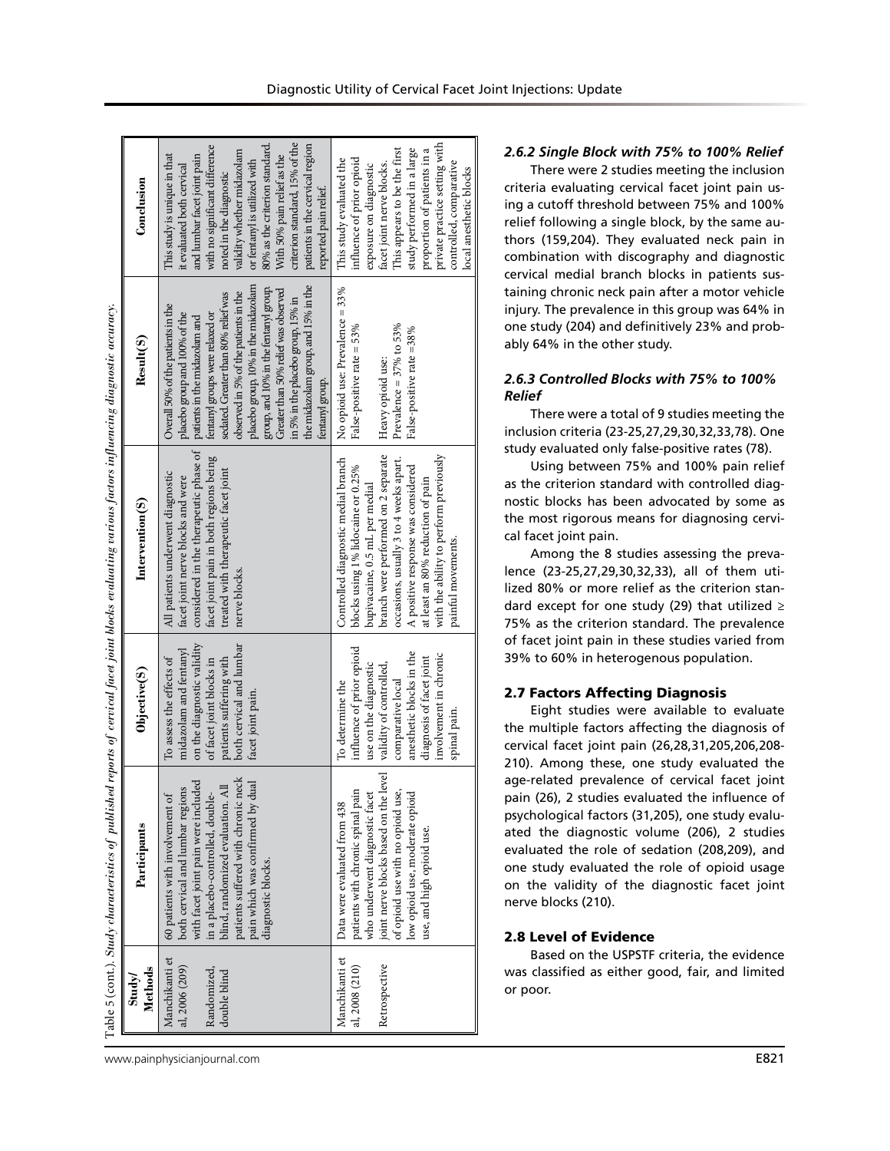Table 5 (cont.). Suudy characteristics of published reports of cervical facet joint blocks evaluating various factors influencing diagnostic accuracy. Table 5 (cont.). *Study characteristics of published reports of cervical facet joint blocks evaluating various factors influencing diagnostic accuracy.*

| Conclusion               | criterion standard, 15% of the<br>80% as the criterion standard.<br>with no significant difference<br>patients in the cervical region<br>validity whether midazolam<br>This study is unique in that<br>With 50% pain relief as the<br>and lumbar facet joint pain<br>or fentanyl is utilized with<br>it evaluated both cervical<br>noted in the diagnostic<br>reported pain relief.                                                              | private practice setting with<br>This appears to be the first<br>study performed in a large<br>proportion of patients in a<br>influence of prior opioid<br>This study evaluated the<br>controlled, comparative<br>facet joint nerve blocks.<br>exposure on diagnostic<br>local anesthetic blocks                                        |
|--------------------------|--------------------------------------------------------------------------------------------------------------------------------------------------------------------------------------------------------------------------------------------------------------------------------------------------------------------------------------------------------------------------------------------------------------------------------------------------|-----------------------------------------------------------------------------------------------------------------------------------------------------------------------------------------------------------------------------------------------------------------------------------------------------------------------------------------|
| Result(S)                | placebo group, 10% in the midazolam<br>the midazolam group, and 15% in the<br>group, and 10% in the fentanyl group.<br>Greater than 50% relief was observed<br>observed in 5% of the patients in the<br>sedated. Greater than 80% relief was<br>in 5% in the placebo group, 15% in<br>Overall 50% of the patients in the<br>placebo group and 100% of the<br>fentanyl groups were relaxed or<br>patients in the midazolam and<br>fentanyl group. | No opioid use: Prevalence = 33%<br>False-positive rate = 53%<br>Prevalence = $37\%$ to $53\%$<br>False-positive rate =38%<br>Heavy opioid use:                                                                                                                                                                                          |
| $\text{Intervention}(S)$ | considered in the therapeutic phase of<br>facet joint pain in both regions being<br>treated with therapeutic facet joint<br>All patients underwent diagnostic<br>facet joint nerve blocks and were<br>nerve blocks.                                                                                                                                                                                                                              | with the ability to perform previously<br>branch were performed on 2 separate<br>Controlled diagnostic medial branch<br>occasions, usually 3 to 4 weeks apart.<br>A positive response was considered<br>blocks using 1% lidocaine or 0.25%<br>at least an 80% reduction of pain<br>bupivacaine, 0.5 mL per medial<br>painful movements. |
| Objective(S)             | on the diagnostic validity<br>both cervical and lumbar<br>midazolam and fentanyl<br>To assess the effects of<br>of facet joint blocks in<br>patients suffering with<br>facet joint pain.                                                                                                                                                                                                                                                         | influence of prior opioid<br>anesthetic blocks in the<br>involvement in chronic<br>diagnosis of facet joint<br>use on the diagnostic<br>validity of controlled,<br>comparative local<br>To determine the<br>spinal pain.                                                                                                                |
| Participants             | patients suffered with chronic neck<br>with facet joint pain were included<br>pain which was confirmed by dual<br>both cervical and lumbar regions<br>blind, randomized evaluation. Al<br>60 patients with involvement of<br>in a placebo-controlled, double-<br>diagnostic blocks.                                                                                                                                                              | joint nerve blocks based on the level<br>patients with chronic spinal pain<br>of opioid use with no opioid use,<br>who underwent diagnostic facet<br>low opioid use, moderate opioid<br>Data were evaluated from 438<br>use, and high opioid use.                                                                                       |
| Methods<br>Study         | Manchikanti et<br>al, 2006 (209)<br>Randomized,<br>double blind                                                                                                                                                                                                                                                                                                                                                                                  | Manchikanti et<br>Retrospective<br>al, 2008 (210)                                                                                                                                                                                                                                                                                       |

#### Diagnostic Utility of Cervical Facet Joint Injections: Update

## *2.6.2 Single Block with 75% to 100% Relief*

There were 2 studies meeting the inclusion criteria evaluating cervical facet joint pain using a cutoff threshold between 75% and 100% relief following a single block, by the same authors (159,204). They evaluated neck pain in combination with discography and diagnostic cervical medial branch blocks in patients sustaining chronic neck pain after a motor vehicle injury. The prevalence in this group was 64% in one study (204) and definitively 23% and probably 64% in the other study.

## *2.6.3 Controlled Blocks with 75% to 100% Relief*

There were a total of 9 studies meeting the inclusion criteria (23-25,27,29,30,32,33,78). One study evaluated only false-positive rates (78).

Using between 75% and 100% pain relief as the criterion standard with controlled diagnostic blocks has been advocated by some as the most rigorous means for diagnosing cervical facet joint pain.

Among the 8 studies assessing the prevalence (23-25,27,29,30,32,33), all of them utilized 80% or more relief as the criterion standard except for one study (29) that utilized  $≥$ 75% as the criterion standard. The prevalence of facet joint pain in these studies varied from 39% to 60% in heterogenous population.

#### 2.7 Factors Affecting Diagnosis

Eight studies were available to evaluate the multiple factors affecting the diagnosis of cervical facet joint pain (26,28,31,205,206,208- 210). Among these, one study evaluated the age-related prevalence of cervical facet joint pain (26), 2 studies evaluated the influence of psychological factors (31,205), one study evaluated the diagnostic volume (206), 2 studies evaluated the role of sedation (208,209), and one study evaluated the role of opioid usage on the validity of the diagnostic facet joint nerve blocks (210).

## 2.8 Level of Evidence

Based on the USPSTF criteria, the evidence was classified as either good, fair, and limited or poor.

www.painphysicianjournal.com **E821**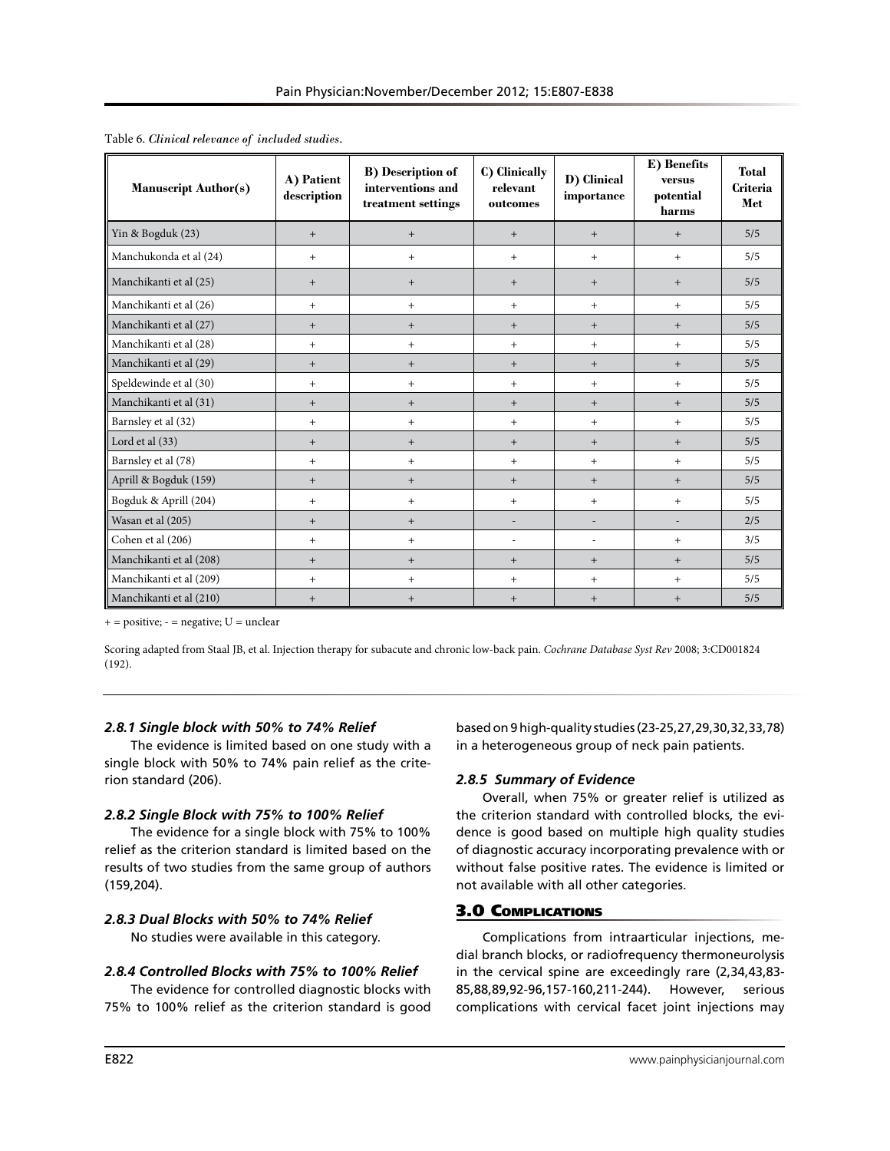| <b>Manuscript Author(s)</b> | A) Patient<br>description | <b>B)</b> Description of<br>interventions and<br>treatment settings | C) Clinically<br>relevant<br>outcomes | D) Clinical<br>importance | E) Benefits<br>versus<br>potential<br>harms | <b>Total</b><br><b>Criteria</b><br>Met |
|-----------------------------|---------------------------|---------------------------------------------------------------------|---------------------------------------|---------------------------|---------------------------------------------|----------------------------------------|
| Yin & Bogduk (23)           | $+$                       | $+$                                                                 | $+$                                   | $+$                       | $+$                                         | 5/5                                    |
| Manchukonda et al (24)      | $+$                       | $+$                                                                 | $+$                                   | $+$                       | $+$                                         | 5/5                                    |
| Manchikanti et al (25)      | $+$                       | $+$                                                                 | $+$                                   | $+$                       | $+$                                         | 5/5                                    |
| Manchikanti et al (26)      | $+$                       | $+$                                                                 | $+$                                   | $+$                       | $+$                                         | 5/5                                    |
| Manchikanti et al (27)      | $+$                       | $+$                                                                 | $+$                                   | $+$                       | $+$                                         | 5/5                                    |
| Manchikanti et al (28)      | $+$                       | $+$                                                                 | $+$                                   | $+$                       | $+$                                         | 5/5                                    |
| Manchikanti et al (29)      | $+$                       | $+$                                                                 | $+$                                   | $+$                       | $+$                                         | 5/5                                    |
| Speldewinde et al (30)      | $+$                       | $+$                                                                 | $+$                                   | $+$                       | $+$                                         | 5/5                                    |
| Manchikanti et al (31)      | $+$                       | $+$                                                                 | $+$                                   | $+$                       | $+$                                         | 5/5                                    |
| Barnsley et al (32)         | $+$                       | $+$                                                                 | $+$                                   | $+$                       | $+$                                         | 5/5                                    |
| Lord et al (33)             | $+$                       | $+$                                                                 | $+$                                   | $+$                       | $+$                                         | 5/5                                    |
| Barnsley et al (78)         | $+$                       | $+$                                                                 | $+$                                   | $+$                       | $+$                                         | 5/5                                    |
| Aprill & Bogduk (159)       | $^{+}$                    | $^{+}$                                                              | $+$                                   | $+$                       | $+$                                         | 5/5                                    |
| Bogduk & Aprill (204)       | $+$                       | $+$                                                                 | $+$                                   | $+$                       | $+$                                         | 5/5                                    |
| Wasan et al (205)           | $+$                       | $+$                                                                 | $\overline{\phantom{a}}$              |                           | ÷,                                          | 2/5                                    |
| Cohen et al (206)           | $+$                       | $+$                                                                 | $\overline{\phantom{a}}$              | ÷,                        | $+$                                         | 3/5                                    |
| Manchikanti et al (208)     | $^{+}$                    | $^{+}$                                                              | $+$                                   | $+$                       | $^{+}$                                      | 5/5                                    |
| Manchikanti et al (209)     | $+$                       | $+$                                                                 | $+$                                   | $+$                       | $+$                                         | 5/5                                    |
| Manchikanti et al (210)     | $+$                       | $+$                                                                 | $+$                                   | $+$                       | $+$                                         | 5/5                                    |

Table 6. *Clinical relevance of included studies.*

 $+$  = positive;  $-$  = negative;  $U$  = unclear

Scoring adapted from Staal JB, et al. Injection therapy for subacute and chronic low-back pain. *Cochrane Database Syst Rev* 2008; 3:CD001824 (192).

#### *2.8.1 Single block with 50% to 74% Relief*

The evidence is limited based on one study with a single block with 50% to 74% pain relief as the criterion standard (206).

#### *2.8.2 Single Block with 75% to 100% Relief*

The evidence for a single block with 75% to 100% relief as the criterion standard is limited based on the results of two studies from the same group of authors (159,204).

## *2.8.3 Dual Blocks with 50% to 74% Relief*

No studies were available in this category.

## *2.8.4 Controlled Blocks with 75% to 100% Relief*

The evidence for controlled diagnostic blocks with 75% to 100% relief as the criterion standard is good based on 9 high-quality studies (23-25,27,29,30,32,33,78) in a heterogeneous group of neck pain patients.

## *2.8.5 Summary of Evidence*

Overall, when 75% or greater relief is utilized as the criterion standard with controlled blocks, the evidence is good based on multiple high quality studies of diagnostic accuracy incorporating prevalence with or without false positive rates. The evidence is limited or not available with all other categories.

## 3.0 Complications

Complications from intraarticular injections, medial branch blocks, or radiofrequency thermoneurolysis in the cervical spine are exceedingly rare (2,34,43,83- 85,88,89,92-96,157-160,211-244). However, serious complications with cervical facet joint injections may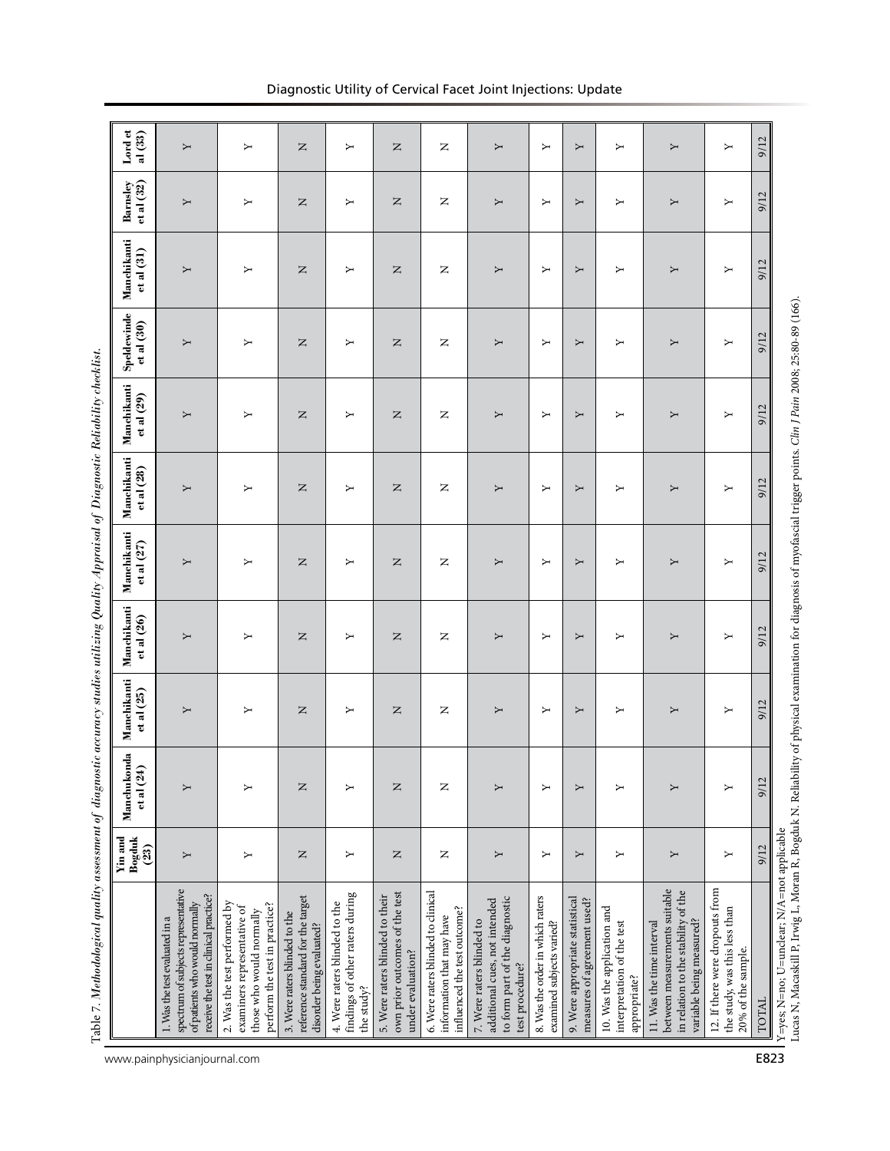|                                                                                                                                                                                                                           | Bogduk<br>Yin and<br>(23) | Manchukonda<br>et al (24) | Manchikanti<br>et al (25) | Manchikanti<br>et al (26) | Manchikanti<br>et al $(27)$ | Manchikanti<br>et al (28) | Manchikanti<br>et al (29) | Speldewinde<br>et al (30) | Manchikanti<br>et al (31) | Barnsley<br>et al (32) | Lord et<br>al $(33)$ |
|---------------------------------------------------------------------------------------------------------------------------------------------------------------------------------------------------------------------------|---------------------------|---------------------------|---------------------------|---------------------------|-----------------------------|---------------------------|---------------------------|---------------------------|---------------------------|------------------------|----------------------|
| spectrum of subjects representative<br>receive the test in dinical practice?<br>of patients who would normally<br>1. Was the test evaluated in a                                                                          | Y                         | ≻                         | Υ                         | Υ                         | Y                           | Σ                         | Y                         | Y                         | Υ                         | Υ                      | Υ                    |
| 2. Was the test performed by<br>perform the test in practice?<br>examiners representative of<br>those who would normally                                                                                                  | ≻                         |                           | Υ                         | ≻                         | ≻                           | ≻                         | ≻                         | ≻                         | ≻                         | Σ                      | Υ                    |
| reference standard for the target<br>3. Were raters blinded to the<br>disorder being evaluated?                                                                                                                           | $\mathsf{z}$              | z                         | z                         | Z                         | z                           | z                         | z                         | z                         | Z                         | $\square$              | z                    |
| findings of other raters during<br>4. Were raters blinded to the<br>the study?                                                                                                                                            | ≻                         | ≻                         | Υ                         | Σ                         | Σ                           | Σ                         | ≻                         | ≻                         | Σ                         | Υ                      | Υ                    |
| own prior outcomes of the test<br>5. Were raters blinded to their<br>under evaluation?                                                                                                                                    | $\mathsf{z}$              | z                         | z                         | $\square$                 | $\mathsf{z}$                | $\square$                 | $\square$                 | z                         | $\square$                 | z                      | z                    |
| 6. Were raters blinded to clinical<br>influenced the test outcome?<br>information that may have                                                                                                                           | Z                         | z                         | z                         | z                         | z                           | z                         | z                         | z                         | z                         | z                      | z                    |
| to form part of the diagnostic<br>additional cues, not intended<br>7. Were raters blinded to<br>test procedure?                                                                                                           | Σ                         |                           | Υ                         | Σ                         | Υ                           | Σ                         | Σ                         | Σ                         | Σ                         | Υ                      | Υ                    |
| 8. Was the order in which raters<br>examined subjects varied?                                                                                                                                                             | Σ                         | ≻                         | ≻                         | ≻                         | Σ                           | Σ                         | ≻                         | ≻                         | ≻                         | Σ                      | Υ                    |
| 9. Were appropriate statistical<br>measures of agreement used?                                                                                                                                                            | Υ                         | Υ                         | Υ                         | Υ                         | Υ                           | Υ                         | Υ                         | Υ                         | Υ                         | Υ                      | Υ                    |
| 10. Was the application and<br>interpretation of the test<br>appropriate?                                                                                                                                                 | Υ                         | ≻                         | Σ                         | Σ                         | Σ                           | Σ                         | Υ                         | ≻                         | ≻                         | Σ                      | Υ                    |
| between measurements suitable<br>in relation to the stability of the<br>variable being measured?<br>11. Was the time interval                                                                                             | Υ                         | ≻                         | Υ                         | Υ                         | Υ                           | Υ                         | Σ                         | Υ                         | Υ                         | Υ                      | Υ                    |
| 12. If there were dropouts from<br>the study, was this less than<br>20% of the sample.                                                                                                                                    | Σ                         | ≻                         | Υ                         | Σ                         | Σ                           | ≻                         | ≻                         | ≻                         | Σ                         | Υ                      | Υ                    |
| TOTAL                                                                                                                                                                                                                     | 9/12                      | 9/12                      | 9/12                      | 9/12                      | 9/12                        | 9/12                      | 9/12                      | 9/12                      | 9/12                      | 9/12                   | 9/12                 |
| Lucas N, Macaskill P, Irwig L, Moran R, Bogduk N. Reliability of physical examination for diagnosis of myofascial trigger points. <i>Clin J Pain 2008</i> ; 25:80-89 (166).<br>Y=yes; N=no; U=unclear; N/A=not applicable |                           |                           |                           |                           |                             |                           |                           |                           |                           |                        |                      |

# Diagnostic Utility of Cervical Facet Joint Injections: Update

www.painphysicianjournal.com **E823**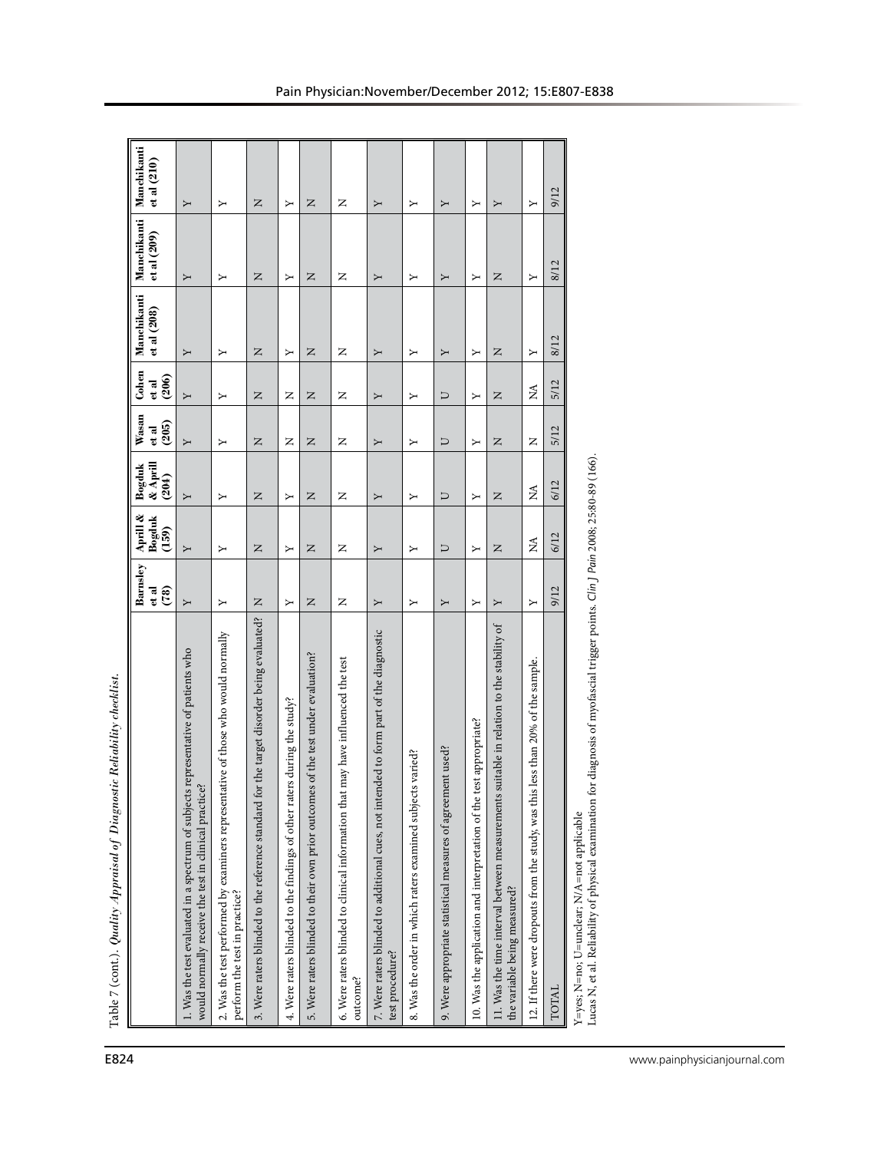| E824                         | Table 7 (cont.). Quality Appraisal of Diagnostic Reliability checklist                                                                                                            |                           |                                |                                |                         |                          |                            |                            |                            |
|------------------------------|-----------------------------------------------------------------------------------------------------------------------------------------------------------------------------------|---------------------------|--------------------------------|--------------------------------|-------------------------|--------------------------|----------------------------|----------------------------|----------------------------|
|                              |                                                                                                                                                                                   | Barnsley<br>et al<br>(78) | Aprill &<br>Bogduk<br>(159)    | $\&$ Aprill<br>Bogduk<br>(204) | Wasan<br>(205)<br>et al | Cohen<br>$\frac{d}{206}$ | Manchikanti<br>et al (208) | Manchikanti<br>et al (209) | Manchikanti<br>et al (210) |
|                              | 1. Was the test evaluated in a spectrum of subjects representative of patients who<br>would normally receive the test in clinical practice?                                       | Υ                         | Υ                              | Υ                              | Σ                       | Υ                        | Υ                          | Υ                          | Υ                          |
|                              | 2. Was the test performed by examiners representative of those who would normally<br>perform the test in practice?                                                                | Σ                         | ≻                              | ≻                              | ≻                       | Σ                        | Σ                          | Y                          | Σ                          |
|                              | for the target disorder being evaluated?<br>3. Were raters blinded to the reference standard                                                                                      | z                         | $\mathsf{z}$                   | $\mathsf{z}$                   | z                       | $\mathsf{z}$             | z                          | $\square$                  | z                          |
|                              | 4. Were raters blinded to the findings of other raters during the study?                                                                                                          | $\blacktriangleright$     | ≻                              | ≻                              | z                       | z                        | ≻                          | ≻                          | Σ                          |
|                              | es of the test under evaluation?<br>5. Were raters blinded to their own prior outcom                                                                                              | $\square$                 | $\square$                      | $\square$                      | $\square$               | $\square$                | $\square$                  | $\square$                  | $\square$                  |
|                              | at may have influenced the test<br>6. Were raters blinded to clinical information that<br>outcome?                                                                                | z                         | z                              | z                              | z                       | z                        | z                          | z                          | z                          |
|                              | 7. Were raters blinded to additional cues, not intended to form part of the diagnostic<br>test procedure?                                                                         | Υ                         | Υ                              | Υ                              | Υ                       | Υ                        | Υ                          | Υ                          | Υ                          |
|                              | 8. Was the order in which raters examined subjects varied?                                                                                                                        | Σ                         | ≻                              | ≻                              | ≻                       | Σ                        | Σ                          | Υ                          | Σ                          |
|                              | 9. Were appropriate statistical measures of agreement used?                                                                                                                       | Υ                         | U                              | U                              | Þ                       | U                        | Y                          | Y                          | Υ                          |
|                              | test appropriate?<br>10. Was the application and interpretation of the                                                                                                            | Υ                         | Σ                              | Σ                              | Y                       | Σ                        | Σ                          | Y                          | Σ                          |
|                              | s suitable in relation to the stability of<br>11. Was the time interval between measurement<br>the variable being measured?                                                       | Υ                         | $\mathsf{z}$                   | $\mathsf{z}$                   | z                       | z                        | z                          | z                          | Υ                          |
|                              | 12. If there were dropouts from the study, was this less than 20% of the sample.                                                                                                  | Υ                         | $\boldsymbol{\mathsf{\Sigma}}$ | $\lesssim$                     | z                       | $\lessapprox$            | Υ                          | ≻                          | Υ                          |
|                              | TOTAL                                                                                                                                                                             | 9/12                      | 6/12                           | 6/12                           | 5/12                    | 5/12                     | 8/12                       | 8/12                       | 9/12                       |
|                              | for diagnosis of myofascial trigger points. Clin J Pain 2008; 25:80-89 (166)<br>Lucas N, et al. Reliability of physical examination<br>Y=yes; N=no; U=unclear; N/A=not applicable |                           |                                |                                |                         |                          |                            |                            |                            |
|                              |                                                                                                                                                                                   |                           |                                |                                |                         |                          |                            |                            |                            |
| www.painphysicianjournal.com |                                                                                                                                                                                   |                           |                                |                                |                         |                          |                            |                            |                            |
|                              |                                                                                                                                                                                   |                           |                                |                                |                         |                          |                            |                            |                            |
|                              |                                                                                                                                                                                   |                           |                                |                                |                         |                          |                            |                            |                            |
|                              |                                                                                                                                                                                   |                           |                                |                                |                         |                          |                            |                            |                            |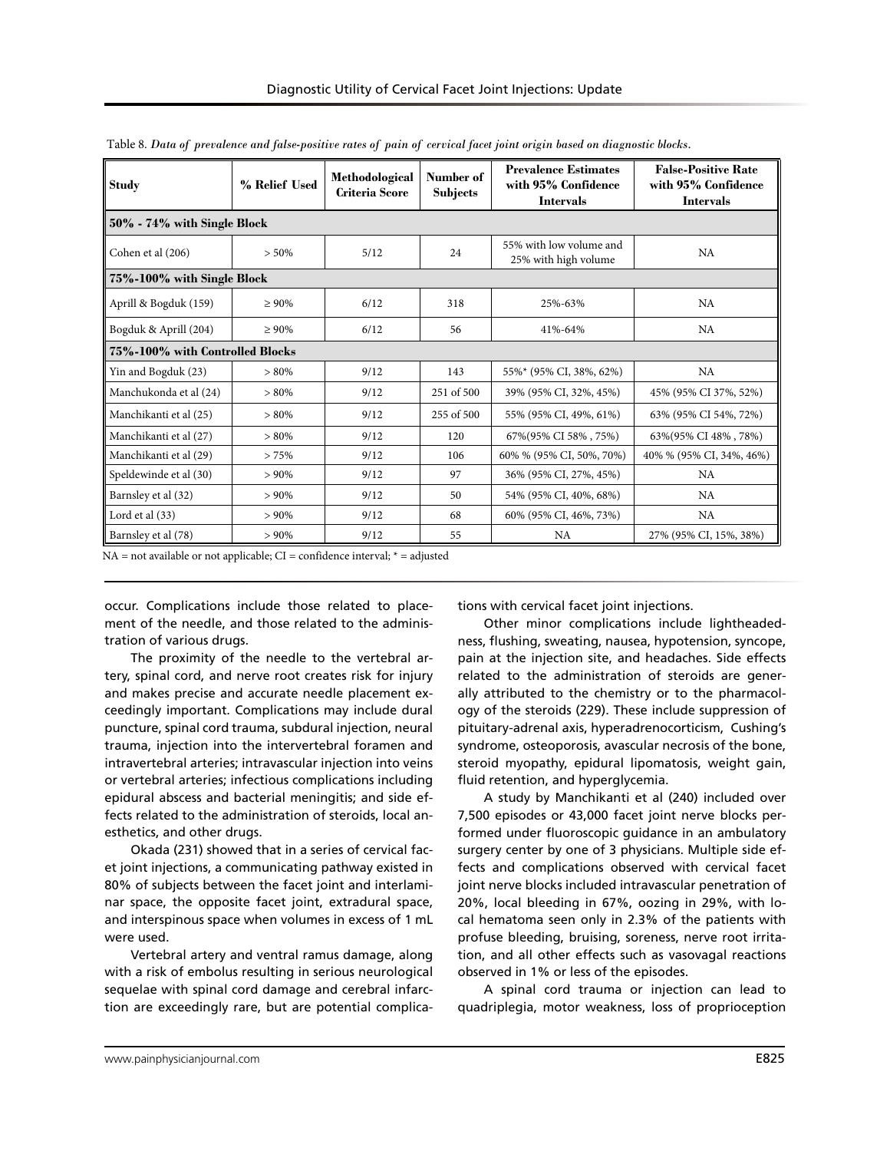| <b>Study</b>                    | % Relief Used | Methodological<br><b>Criteria Score</b> | Number of<br>Subjects | <b>Prevalence Estimates</b><br>with 95% Confidence<br><b>Intervals</b> | <b>False-Positive Rate</b><br>with 95% Confidence<br><b>Intervals</b> |
|---------------------------------|---------------|-----------------------------------------|-----------------------|------------------------------------------------------------------------|-----------------------------------------------------------------------|
| 50% - 74% with Single Block     |               |                                         |                       |                                                                        |                                                                       |
| Cohen et al (206)               | $> 50\%$      | 5/12                                    | 24                    | 55% with low volume and<br>25% with high volume                        | <b>NA</b>                                                             |
| 75%-100% with Single Block      |               |                                         |                       |                                                                        |                                                                       |
| Aprill & Bogduk (159)           | $\geq 90\%$   | 6/12                                    | 318                   | 25%-63%                                                                | <b>NA</b>                                                             |
| Bogduk & Aprill (204)           | $\geq 90\%$   | 6/12                                    | 56                    | 41%-64%                                                                | <b>NA</b>                                                             |
| 75%-100% with Controlled Blocks |               |                                         |                       |                                                                        |                                                                       |
| Yin and Bogduk (23)             | $> 80\%$      | 9/12                                    | 143                   | 55%* (95% CI, 38%, 62%)                                                | <b>NA</b>                                                             |
| Manchukonda et al (24)          | $> 80\%$      | 9/12                                    | 251 of 500            | 39% (95% CI, 32%, 45%)                                                 | 45% (95% CI 37%, 52%)                                                 |
| Manchikanti et al (25)          | $> 80\%$      | 9/12                                    | 255 of 500            | 55% (95% CI, 49%, 61%)                                                 | 63% (95% CI 54%, 72%)                                                 |
| Manchikanti et al (27)          | $> 80\%$      | 9/12                                    | 120                   | 67% (95% CI 58%, 75%)                                                  | 63% (95% CI 48%, 78%)                                                 |
| Manchikanti et al (29)          | >75%          | 9/12                                    | 106                   | 60% % (95% CI, 50%, 70%)                                               | 40% % (95% CI, 34%, 46%)                                              |
| Speldewinde et al (30)          | $> 90\%$      | 9/12                                    | 97                    | 36% (95% CI, 27%, 45%)                                                 | <b>NA</b>                                                             |
| Barnsley et al (32)             | $> 90\%$      | 9/12                                    | 50                    | 54% (95% CI, 40%, 68%)                                                 | <b>NA</b>                                                             |
| Lord et al (33)                 | $> 90\%$      | 9/12                                    | 68                    | 60% (95% CI, 46%, 73%)                                                 | <b>NA</b>                                                             |
| Barnsley et al (78)             | $> 90\%$      | 9/12                                    | 55                    | <b>NA</b>                                                              | 27% (95% CI, 15%, 38%)                                                |

Table 8. *Data of prevalence and false-positive rates of pain of cervical facet joint origin based on diagnostic blocks.* 

 $NA = not available or not applicable; CI = confidence interval; * = adjusted$ 

occur. Complications include those related to placement of the needle, and those related to the administration of various drugs.

The proximity of the needle to the vertebral artery, spinal cord, and nerve root creates risk for injury and makes precise and accurate needle placement exceedingly important. Complications may include dural puncture, spinal cord trauma, subdural injection, neural trauma, injection into the intervertebral foramen and intravertebral arteries; intravascular injection into veins or vertebral arteries; infectious complications including epidural abscess and bacterial meningitis; and side effects related to the administration of steroids, local anesthetics, and other drugs.

Okada (231) showed that in a series of cervical facet joint injections, a communicating pathway existed in 80% of subjects between the facet joint and interlaminar space, the opposite facet joint, extradural space, and interspinous space when volumes in excess of 1 mL were used.

Vertebral artery and ventral ramus damage, along with a risk of embolus resulting in serious neurological sequelae with spinal cord damage and cerebral infarction are exceedingly rare, but are potential complications with cervical facet joint injections.

Other minor complications include lightheadedness, flushing, sweating, nausea, hypotension, syncope, pain at the injection site, and headaches. Side effects related to the administration of steroids are generally attributed to the chemistry or to the pharmacology of the steroids (229). These include suppression of pituitary-adrenal axis, hyperadrenocorticism, Cushing's syndrome, osteoporosis, avascular necrosis of the bone, steroid myopathy, epidural lipomatosis, weight gain, fluid retention, and hyperglycemia.

A study by Manchikanti et al (240) included over 7,500 episodes or 43,000 facet joint nerve blocks performed under fluoroscopic guidance in an ambulatory surgery center by one of 3 physicians. Multiple side effects and complications observed with cervical facet joint nerve blocks included intravascular penetration of 20%, local bleeding in 67%, oozing in 29%, with local hematoma seen only in 2.3% of the patients with profuse bleeding, bruising, soreness, nerve root irritation, and all other effects such as vasovagal reactions observed in 1% or less of the episodes.

A spinal cord trauma or injection can lead to quadriplegia, motor weakness, loss of proprioception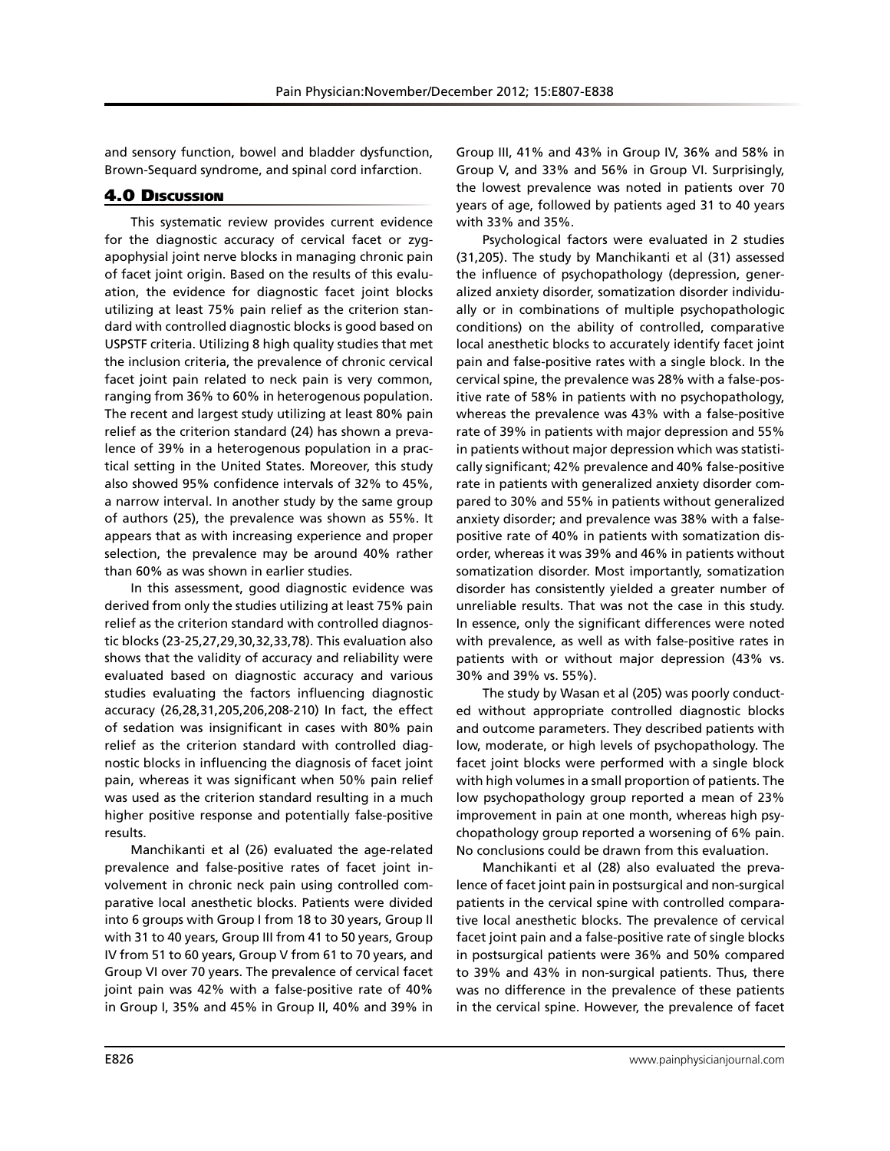and sensory function, bowel and bladder dysfunction, Brown-Sequard syndrome, and spinal cord infarction.

# 4.0 Discussion

This systematic review provides current evidence for the diagnostic accuracy of cervical facet or zygapophysial joint nerve blocks in managing chronic pain of facet joint origin. Based on the results of this evaluation, the evidence for diagnostic facet joint blocks utilizing at least 75% pain relief as the criterion standard with controlled diagnostic blocks is good based on USPSTF criteria. Utilizing 8 high quality studies that met the inclusion criteria, the prevalence of chronic cervical facet joint pain related to neck pain is very common, ranging from 36% to 60% in heterogenous population. The recent and largest study utilizing at least 80% pain relief as the criterion standard (24) has shown a prevalence of 39% in a heterogenous population in a practical setting in the United States. Moreover, this study also showed 95% confidence intervals of 32% to 45%, a narrow interval. In another study by the same group of authors (25), the prevalence was shown as 55%. It appears that as with increasing experience and proper selection, the prevalence may be around 40% rather than 60% as was shown in earlier studies.

In this assessment, good diagnostic evidence was derived from only the studies utilizing at least 75% pain relief as the criterion standard with controlled diagnostic blocks (23-25,27,29,30,32,33,78). This evaluation also shows that the validity of accuracy and reliability were evaluated based on diagnostic accuracy and various studies evaluating the factors influencing diagnostic accuracy (26,28,31,205,206,208-210) In fact, the effect of sedation was insignificant in cases with 80% pain relief as the criterion standard with controlled diagnostic blocks in influencing the diagnosis of facet joint pain, whereas it was significant when 50% pain relief was used as the criterion standard resulting in a much higher positive response and potentially false-positive results.

Manchikanti et al (26) evaluated the age-related prevalence and false-positive rates of facet joint involvement in chronic neck pain using controlled comparative local anesthetic blocks. Patients were divided into 6 groups with Group I from 18 to 30 years, Group II with 31 to 40 years, Group III from 41 to 50 years, Group IV from 51 to 60 years, Group V from 61 to 70 years, and Group VI over 70 years. The prevalence of cervical facet joint pain was 42% with a false-positive rate of 40% in Group I, 35% and 45% in Group II, 40% and 39% in

Group III, 41% and 43% in Group IV, 36% and 58% in Group V, and 33% and 56% in Group VI. Surprisingly, the lowest prevalence was noted in patients over 70 years of age, followed by patients aged 31 to 40 years with 33% and 35%.

Psychological factors were evaluated in 2 studies (31,205). The study by Manchikanti et al (31) assessed the influence of psychopathology (depression, generalized anxiety disorder, somatization disorder individually or in combinations of multiple psychopathologic conditions) on the ability of controlled, comparative local anesthetic blocks to accurately identify facet joint pain and false-positive rates with a single block. In the cervical spine, the prevalence was 28% with a false-positive rate of 58% in patients with no psychopathology, whereas the prevalence was 43% with a false-positive rate of 39% in patients with major depression and 55% in patients without major depression which was statistically significant; 42% prevalence and 40% false-positive rate in patients with generalized anxiety disorder compared to 30% and 55% in patients without generalized anxiety disorder; and prevalence was 38% with a falsepositive rate of 40% in patients with somatization disorder, whereas it was 39% and 46% in patients without somatization disorder. Most importantly, somatization disorder has consistently yielded a greater number of unreliable results. That was not the case in this study. In essence, only the significant differences were noted with prevalence, as well as with false-positive rates in patients with or without major depression (43% vs. 30% and 39% vs. 55%).

The study by Wasan et al (205) was poorly conducted without appropriate controlled diagnostic blocks and outcome parameters. They described patients with low, moderate, or high levels of psychopathology. The facet joint blocks were performed with a single block with high volumes in a small proportion of patients. The low psychopathology group reported a mean of 23% improvement in pain at one month, whereas high psychopathology group reported a worsening of 6% pain. No conclusions could be drawn from this evaluation.

Manchikanti et al (28) also evaluated the prevalence of facet joint pain in postsurgical and non-surgical patients in the cervical spine with controlled comparative local anesthetic blocks. The prevalence of cervical facet joint pain and a false-positive rate of single blocks in postsurgical patients were 36% and 50% compared to 39% and 43% in non-surgical patients. Thus, there was no difference in the prevalence of these patients in the cervical spine. However, the prevalence of facet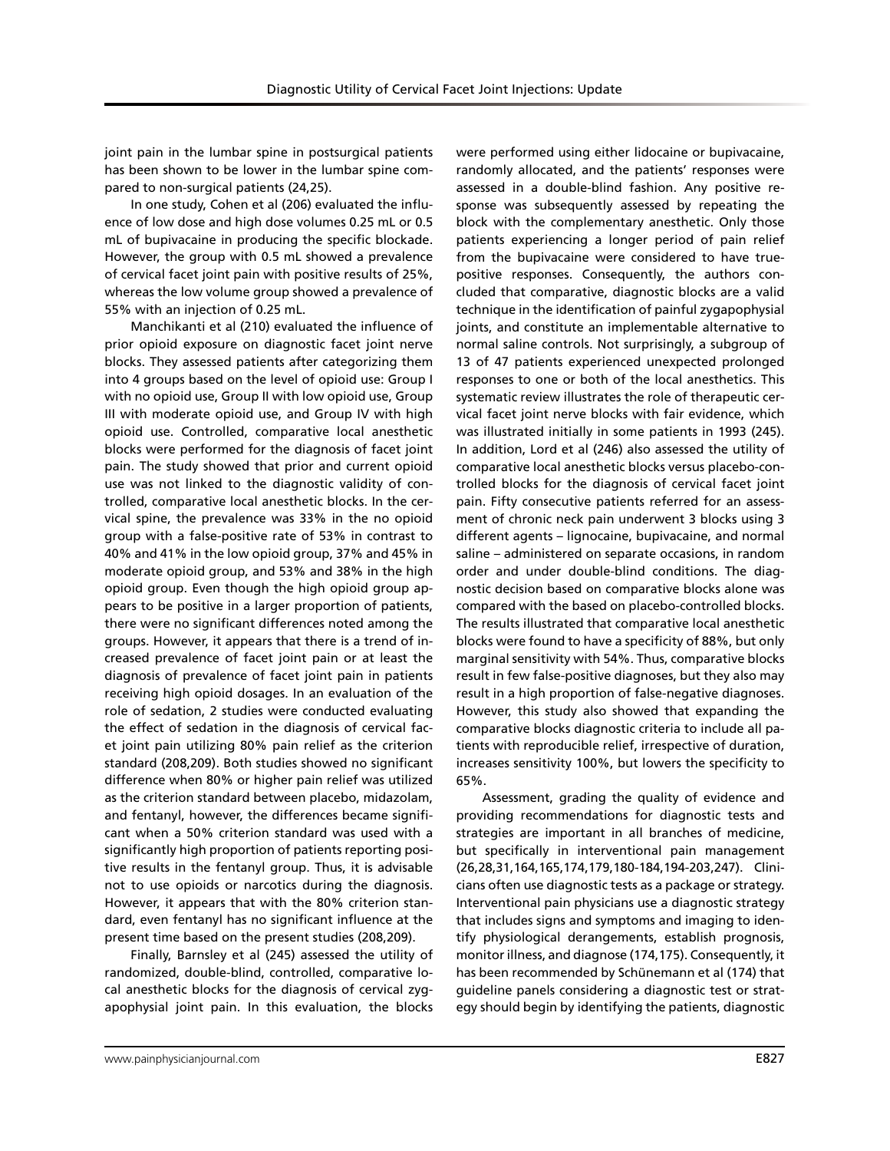joint pain in the lumbar spine in postsurgical patients has been shown to be lower in the lumbar spine compared to non-surgical patients (24,25).

In one study, Cohen et al (206) evaluated the influence of low dose and high dose volumes 0.25 mL or 0.5 mL of bupivacaine in producing the specific blockade. However, the group with 0.5 mL showed a prevalence of cervical facet joint pain with positive results of 25%, whereas the low volume group showed a prevalence of 55% with an injection of 0.25 mL.

Manchikanti et al (210) evaluated the influence of prior opioid exposure on diagnostic facet joint nerve blocks. They assessed patients after categorizing them into 4 groups based on the level of opioid use: Group I with no opioid use, Group II with low opioid use, Group III with moderate opioid use, and Group IV with high opioid use. Controlled, comparative local anesthetic blocks were performed for the diagnosis of facet joint pain. The study showed that prior and current opioid use was not linked to the diagnostic validity of controlled, comparative local anesthetic blocks. In the cervical spine, the prevalence was 33% in the no opioid group with a false-positive rate of 53% in contrast to 40% and 41% in the low opioid group, 37% and 45% in moderate opioid group, and 53% and 38% in the high opioid group. Even though the high opioid group appears to be positive in a larger proportion of patients, there were no significant differences noted among the groups. However, it appears that there is a trend of increased prevalence of facet joint pain or at least the diagnosis of prevalence of facet joint pain in patients receiving high opioid dosages. In an evaluation of the role of sedation, 2 studies were conducted evaluating the effect of sedation in the diagnosis of cervical facet joint pain utilizing 80% pain relief as the criterion standard (208,209). Both studies showed no significant difference when 80% or higher pain relief was utilized as the criterion standard between placebo, midazolam, and fentanyl, however, the differences became significant when a 50% criterion standard was used with a significantly high proportion of patients reporting positive results in the fentanyl group. Thus, it is advisable not to use opioids or narcotics during the diagnosis. However, it appears that with the 80% criterion standard, even fentanyl has no significant influence at the present time based on the present studies (208,209).

Finally, Barnsley et al (245) assessed the utility of randomized, double-blind, controlled, comparative local anesthetic blocks for the diagnosis of cervical zygapophysial joint pain. In this evaluation, the blocks

were performed using either lidocaine or bupivacaine, randomly allocated, and the patients' responses were assessed in a double-blind fashion. Any positive response was subsequently assessed by repeating the block with the complementary anesthetic. Only those patients experiencing a longer period of pain relief from the bupivacaine were considered to have truepositive responses. Consequently, the authors concluded that comparative, diagnostic blocks are a valid technique in the identification of painful zygapophysial joints, and constitute an implementable alternative to normal saline controls. Not surprisingly, a subgroup of 13 of 47 patients experienced unexpected prolonged responses to one or both of the local anesthetics. This systematic review illustrates the role of therapeutic cervical facet joint nerve blocks with fair evidence, which was illustrated initially in some patients in 1993 (245). In addition, Lord et al (246) also assessed the utility of comparative local anesthetic blocks versus placebo-controlled blocks for the diagnosis of cervical facet joint pain. Fifty consecutive patients referred for an assessment of chronic neck pain underwent 3 blocks using 3 different agents – lignocaine, bupivacaine, and normal saline – administered on separate occasions, in random order and under double-blind conditions. The diagnostic decision based on comparative blocks alone was compared with the based on placebo-controlled blocks. The results illustrated that comparative local anesthetic blocks were found to have a specificity of 88%, but only marginal sensitivity with 54%. Thus, comparative blocks result in few false-positive diagnoses, but they also may result in a high proportion of false-negative diagnoses. However, this study also showed that expanding the comparative blocks diagnostic criteria to include all patients with reproducible relief, irrespective of duration, increases sensitivity 100%, but lowers the specificity to 65%.

Assessment, grading the quality of evidence and providing recommendations for diagnostic tests and strategies are important in all branches of medicine, but specifically in interventional pain management (26,28,31,164,165,174,179,180-184,194-203,247). Clinicians often use diagnostic tests as a package or strategy. Interventional pain physicians use a diagnostic strategy that includes signs and symptoms and imaging to identify physiological derangements, establish prognosis, monitor illness, and diagnose (174,175). Consequently, it has been recommended by Schünemann et al (174) that guideline panels considering a diagnostic test or strategy should begin by identifying the patients, diagnostic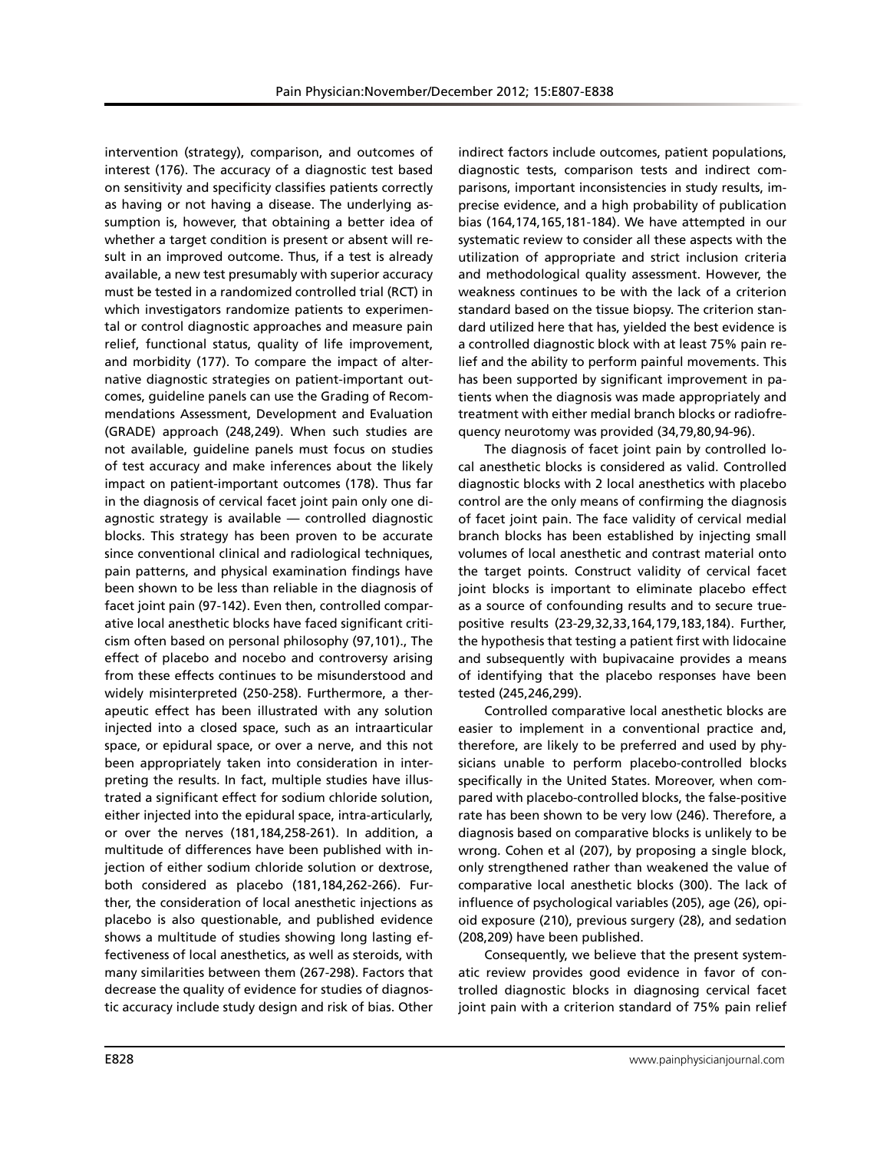intervention (strategy), comparison, and outcomes of interest (176). The accuracy of a diagnostic test based on sensitivity and specificity classifies patients correctly as having or not having a disease. The underlying assumption is, however, that obtaining a better idea of whether a target condition is present or absent will result in an improved outcome. Thus, if a test is already available, a new test presumably with superior accuracy must be tested in a randomized controlled trial (RCT) in which investigators randomize patients to experimental or control diagnostic approaches and measure pain relief, functional status, quality of life improvement, and morbidity (177). To compare the impact of alternative diagnostic strategies on patient-important outcomes, guideline panels can use the Grading of Recommendations Assessment, Development and Evaluation (GRADE) approach (248,249). When such studies are not available, guideline panels must focus on studies of test accuracy and make inferences about the likely impact on patient-important outcomes (178). Thus far in the diagnosis of cervical facet joint pain only one diagnostic strategy is available — controlled diagnostic blocks. This strategy has been proven to be accurate since conventional clinical and radiological techniques, pain patterns, and physical examination findings have been shown to be less than reliable in the diagnosis of facet joint pain (97-142). Even then, controlled comparative local anesthetic blocks have faced significant criticism often based on personal philosophy (97,101)., The effect of placebo and nocebo and controversy arising from these effects continues to be misunderstood and widely misinterpreted (250-258). Furthermore, a therapeutic effect has been illustrated with any solution injected into a closed space, such as an intraarticular space, or epidural space, or over a nerve, and this not been appropriately taken into consideration in interpreting the results. In fact, multiple studies have illustrated a significant effect for sodium chloride solution, either injected into the epidural space, intra-articularly, or over the nerves (181,184,258-261). In addition, a multitude of differences have been published with injection of either sodium chloride solution or dextrose, both considered as placebo (181,184,262-266). Further, the consideration of local anesthetic injections as placebo is also questionable, and published evidence shows a multitude of studies showing long lasting effectiveness of local anesthetics, as well as steroids, with many similarities between them (267-298). Factors that decrease the quality of evidence for studies of diagnostic accuracy include study design and risk of bias. Other

indirect factors include outcomes, patient populations, diagnostic tests, comparison tests and indirect comparisons, important inconsistencies in study results, imprecise evidence, and a high probability of publication bias (164,174,165,181-184). We have attempted in our systematic review to consider all these aspects with the utilization of appropriate and strict inclusion criteria and methodological quality assessment. However, the weakness continues to be with the lack of a criterion standard based on the tissue biopsy. The criterion standard utilized here that has, yielded the best evidence is a controlled diagnostic block with at least 75% pain relief and the ability to perform painful movements. This has been supported by significant improvement in patients when the diagnosis was made appropriately and treatment with either medial branch blocks or radiofrequency neurotomy was provided (34,79,80,94-96).

The diagnosis of facet joint pain by controlled local anesthetic blocks is considered as valid. Controlled diagnostic blocks with 2 local anesthetics with placebo control are the only means of confirming the diagnosis of facet joint pain. The face validity of cervical medial branch blocks has been established by injecting small volumes of local anesthetic and contrast material onto the target points. Construct validity of cervical facet joint blocks is important to eliminate placebo effect as a source of confounding results and to secure truepositive results (23-29,32,33,164,179,183,184). Further, the hypothesis that testing a patient first with lidocaine and subsequently with bupivacaine provides a means of identifying that the placebo responses have been tested (245,246,299).

Controlled comparative local anesthetic blocks are easier to implement in a conventional practice and, therefore, are likely to be preferred and used by physicians unable to perform placebo-controlled blocks specifically in the United States. Moreover, when compared with placebo-controlled blocks, the false-positive rate has been shown to be very low (246). Therefore, a diagnosis based on comparative blocks is unlikely to be wrong. Cohen et al (207), by proposing a single block, only strengthened rather than weakened the value of comparative local anesthetic blocks (300). The lack of influence of psychological variables (205), age (26), opioid exposure (210), previous surgery (28), and sedation (208,209) have been published.

Consequently, we believe that the present systematic review provides good evidence in favor of controlled diagnostic blocks in diagnosing cervical facet joint pain with a criterion standard of 75% pain relief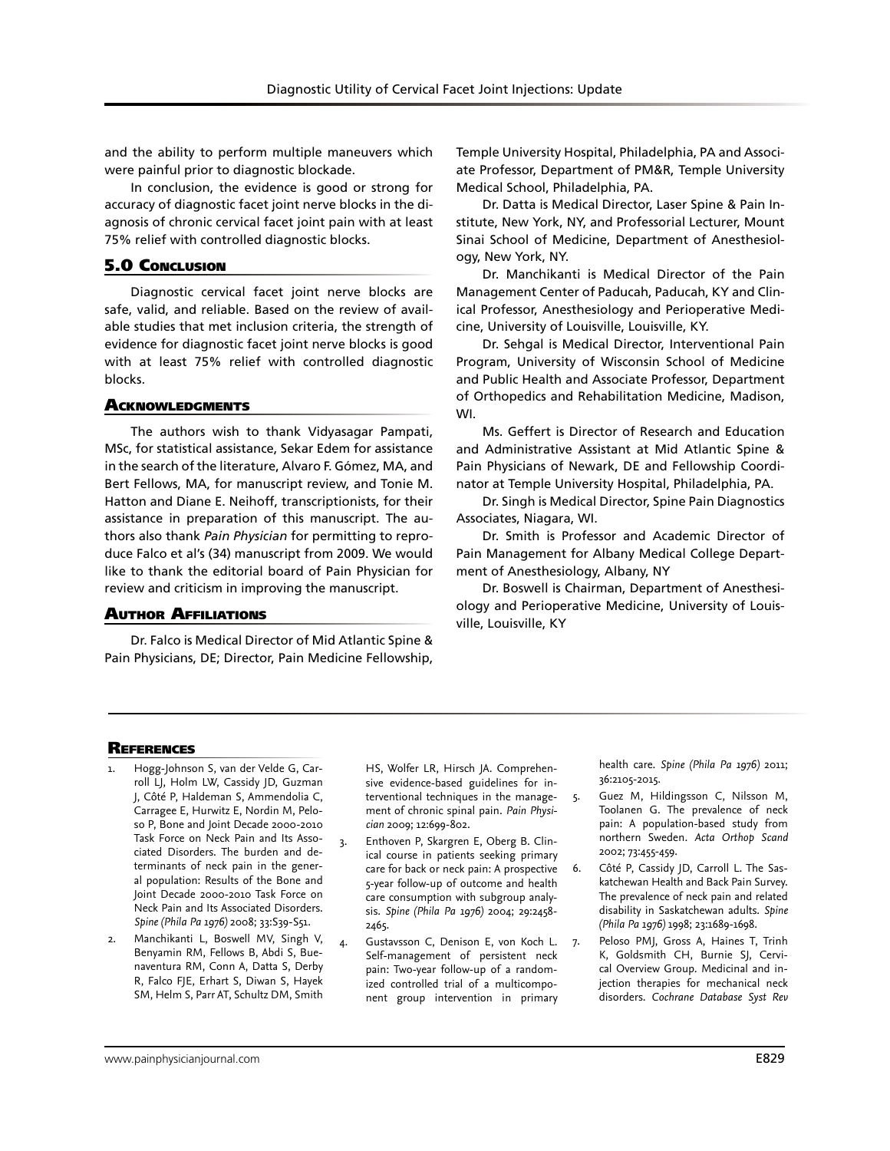and the ability to perform multiple maneuvers which were painful prior to diagnostic blockade.

In conclusion, the evidence is good or strong for accuracy of diagnostic facet joint nerve blocks in the diagnosis of chronic cervical facet joint pain with at least 75% relief with controlled diagnostic blocks.

## 5.0 Conclusion

Diagnostic cervical facet joint nerve blocks are safe, valid, and reliable. Based on the review of available studies that met inclusion criteria, the strength of evidence for diagnostic facet joint nerve blocks is good with at least 75% relief with controlled diagnostic blocks.

#### **ACKNOWLEDGMENTS**

The authors wish to thank Vidyasagar Pampati, MSc, for statistical assistance, Sekar Edem for assistance in the search of the literature, Alvaro F. Gómez, MA, and Bert Fellows, MA, for manuscript review, and Tonie M. Hatton and Diane E. Neihoff, transcriptionists, for their assistance in preparation of this manuscript. The authors also thank *Pain Physician* for permitting to reproduce Falco et al's (34) manuscript from 2009. We would like to thank the editorial board of Pain Physician for review and criticism in improving the manuscript.

## Author Affiliations

Dr. Falco is Medical Director of Mid Atlantic Spine & Pain Physicians, DE; Director, Pain Medicine Fellowship,

Temple University Hospital, Philadelphia, PA and Associate Professor, Department of PM&R, Temple University Medical School, Philadelphia, PA.

Dr. Datta is Medical Director, Laser Spine & Pain Institute, New York, NY, and Professorial Lecturer, Mount Sinai School of Medicine, Department of Anesthesiology, New York, NY.

Dr. Manchikanti is Medical Director of the Pain Management Center of Paducah, Paducah, KY and Clinical Professor, Anesthesiology and Perioperative Medicine, University of Louisville, Louisville, KY.

Dr. Sehgal is Medical Director, Interventional Pain Program, University of Wisconsin School of Medicine and Public Health and Associate Professor, Department of Orthopedics and Rehabilitation Medicine, Madison, WI.

Ms. Geffert is Director of Research and Education and Administrative Assistant at Mid Atlantic Spine & Pain Physicians of Newark, DE and Fellowship Coordinator at Temple University Hospital, Philadelphia, PA.

Dr. Singh is Medical Director, Spine Pain Diagnostics Associates, Niagara, WI.

Dr. Smith is Professor and Academic Director of Pain Management for Albany Medical College Department of Anesthesiology, Albany, NY

Dr. Boswell is Chairman, Department of Anesthesiology and Perioperative Medicine, University of Louisville, Louisville, KY

#### **REFERENCES**

- Hogg-Johnson S, van der Velde G, Carroll LJ, Holm LW, Cassidy JD, Guzman J, Côté P, Haldeman S, Ammendolia C, Carragee E, Hurwitz E, Nordin M, Peloso P, Bone and Joint Decade 2000-2010 Task Force on Neck Pain and Its Associated Disorders. The burden and determinants of neck pain in the general population: Results of the Bone and Joint Decade 2000-2010 Task Force on Neck Pain and Its Associated Disorders. *Spine (Phila Pa 1976)* 2008; 33:S39-S51.
- 2. Manchikanti L, Boswell MV, Singh V, Benyamin RM, Fellows B, Abdi S, Buenaventura RM, Conn A, Datta S, Derby R, Falco FJE, Erhart S, Diwan S, Hayek SM, Helm S, Parr AT, Schultz DM, Smith

HS, Wolfer LR, Hirsch JA. Comprehensive evidence-based guidelines for interventional techniques in the management of chronic spinal pain. *Pain Physician* 2009; 12:699-802.

- 3. Enthoven P, Skargren E, Oberg B. Clinical course in patients seeking primary care for back or neck pain: A prospective 5-year follow-up of outcome and health care consumption with subgroup analysis. *Spine (Phila Pa 1976)* 2004; 29:2458- 2465.
- 4. Gustavsson C, Denison E, von Koch L. Self-management of persistent neck pain: Two-year follow-up of a randomized controlled trial of a multicomponent group intervention in primary

health care. *Spine (Phila Pa 1976)* 2011; 36:2105-2015.

- Guez M, Hildingsson C, Nilsson M, Toolanen G. The prevalence of neck pain: A population-based study from northern Sweden. *Acta Orthop Scand* 2002; 73:455-459.
- 6. Côté P, Cassidy JD, Carroll L. The Saskatchewan Health and Back Pain Survey. The prevalence of neck pain and related disability in Saskatchewan adults. *Spine (Phila Pa 1976)* 1998; 23:1689-1698.
- 7. Peloso PMJ, Gross A, Haines T, Trinh K, Goldsmith CH, Burnie SJ, Cervical Overview Group. Medicinal and injection therapies for mechanical neck disorders. *Cochrane Database Syst Rev*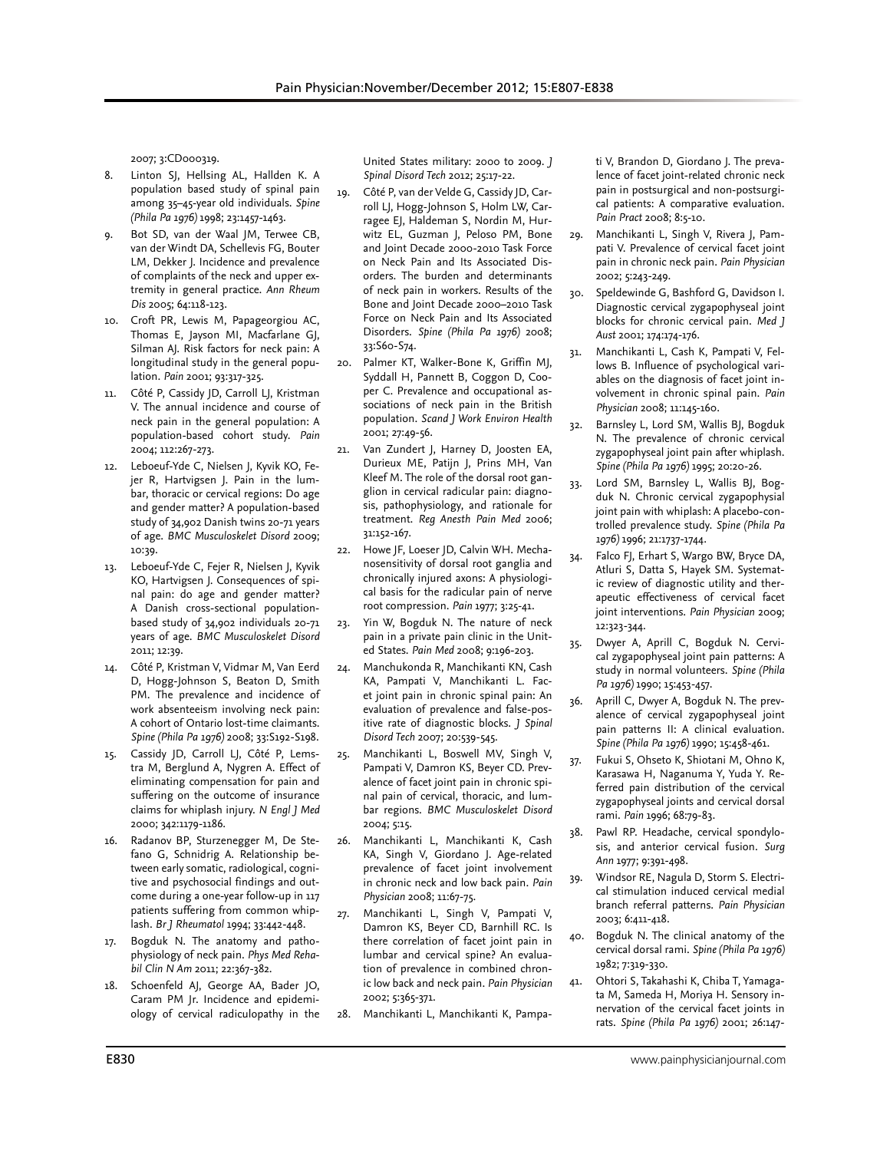2007; 3:CD000319.

- 8. Linton SJ, Hellsing AL, Hallden K. A population based study of spinal pain among 35–45-year old individuals. *Spine (Phila Pa 1976)* 1998; 23:1457-1463.
- Bot SD, van der Waal JM, Terwee CB, van der Windt DA, Schellevis FG, Bouter LM, Dekker J. Incidence and prevalence of complaints of the neck and upper extremity in general practice. *Ann Rheum Dis* 2005; 64:118-123.
- 10. Croft PR, Lewis M, Papageorgiou AC, Thomas E, Jayson MI, Macfarlane GJ, Silman AJ. Risk factors for neck pain: A longitudinal study in the general population. *Pain* 2001; 93:317-325.
- 11. Côté P, Cassidy JD, Carroll LJ, Kristman V. The annual incidence and course of neck pain in the general population: A population-based cohort study. *Pain*  2004; 112:267-273.
- 12. Leboeuf-Yde C, Nielsen J, Kyvik KO, Fejer R, Hartvigsen J. Pain in the lumbar, thoracic or cervical regions: Do age and gender matter? A population-based study of 34,902 Danish twins 20-71 years of age. *BMC Musculoskelet Disord* 2009; 10:39.
- 13. Leboeuf-Yde C, Fejer R, Nielsen J, Kyvik KO, Hartvigsen J. Consequences of spinal pain: do age and gender matter? A Danish cross-sectional populationbased study of 34,902 individuals 20-71 years of age. *BMC Musculoskelet Disord* 2011; 12:39.
- 14. Côté P, Kristman V, Vidmar M, Van Eerd D, Hogg-Johnson S, Beaton D, Smith PM. The prevalence and incidence of work absenteeism involving neck pain: A cohort of Ontario lost-time claimants. *Spine (Phila Pa 1976)* 2008; 33:S192-S198.
- 15. Cassidy JD, Carroll LJ, Côté P, Lemstra M, Berglund A, Nygren A. Effect of eliminating compensation for pain and suffering on the outcome of insurance claims for whiplash injury. *N Engl J Med* 2000; 342:1179-1186.
- 16. Radanov BP, Sturzenegger M, De Stefano G, Schnidrig A. Relationship between early somatic, radiological, cognitive and psychosocial findings and outcome during a one-year follow-up in 117 patients suffering from common whiplash. *Br J Rheumatol* 1994; 33:442-448.
- 17. Bogduk N. The anatomy and pathophysiology of neck pain. *Phys Med Rehabil Clin N Am* 2011; 22:367-382.
- 18. Schoenfeld AJ, George AA, Bader JO, Caram PM Jr. Incidence and epidemiology of cervical radiculopathy in the

United States military: 2000 to 2009. *J Spinal Disord Tech* 2012; 25:17-22.

- 19. Côté P, van der Velde G, Cassidy JD, Carroll LJ, Hogg-Johnson S, Holm LW, Carragee EJ, Haldeman S, Nordin M, Hurwitz EL, Guzman J, Peloso PM, Bone and Joint Decade 2000-2010 Task Force on Neck Pain and Its Associated Disorders. The burden and determinants of neck pain in workers. Results of the Bone and Joint Decade 2000–2010 Task Force on Neck Pain and Its Associated Disorders. *Spine (Phila Pa 1976)* 2008; 33:S60-S74.
- 20. Palmer KT, Walker-Bone K, Griffin MJ, Syddall H, Pannett B, Coggon D, Cooper C. Prevalence and occupational associations of neck pain in the British population. *Scand J Work Environ Health*  2001; 27:49-56.
- 21. Van Zundert J, Harney D, Joosten EA, Durieux ME, Patijn J, Prins MH, Van Kleef M. The role of the dorsal root ganglion in cervical radicular pain: diagnosis, pathophysiology, and rationale for treatment. *Reg Anesth Pain Med* 2006; 31:152-167.
- 22. Howe JF, Loeser JD, Calvin WH. Mechanosensitivity of dorsal root ganglia and chronically injured axons: A physiological basis for the radicular pain of nerve root compression. *Pain* 1977; 3:25-41.
- 23. Yin W, Bogduk N. The nature of neck pain in a private pain clinic in the United States. *Pain Med* 2008; 9:196-203.
- 24. Manchukonda R, Manchikanti KN, Cash KA, Pampati V, Manchikanti L. Facet joint pain in chronic spinal pain: An evaluation of prevalence and false-positive rate of diagnostic blocks. *J Spinal Disord Tech* 2007; 20:539-545.
- 25. Manchikanti L, Boswell MV, Singh V, Pampati V, Damron KS, Beyer CD. Prevalence of facet joint pain in chronic spinal pain of cervical, thoracic, and lumbar regions. *BMC Musculoskelet Disord* 2004; 5:15.
- 26. Manchikanti L, Manchikanti K, Cash KA, Singh V, Giordano J. Age-related prevalence of facet joint involvement in chronic neck and low back pain. *Pain Physician* 2008; 11:67-75.
- 27. Manchikanti L, Singh V, Pampati V, Damron KS, Beyer CD, Barnhill RC. Is there correlation of facet joint pain in lumbar and cervical spine? An evaluation of prevalence in combined chronic low back and neck pain. *Pain Physician* 2002; 5:365-371.
- 28. Manchikanti L, Manchikanti K, Pampa-

ti V, Brandon D, Giordano J. The prevalence of facet joint-related chronic neck pain in postsurgical and non-postsurgical patients: A comparative evaluation. *Pain Pract* 2008; 8:5-10.

- 29. Manchikanti L, Singh V, Rivera J, Pampati V. Prevalence of cervical facet joint pain in chronic neck pain. *Pain Physician* 2002; 5:243-249.
- 30. Speldewinde G, Bashford G, Davidson I. Diagnostic cervical zygapophyseal joint blocks for chronic cervical pain. *Med J Aust* 2001; 174:174-176.
- 31. Manchikanti L, Cash K, Pampati V, Fellows B. Influence of psychological variables on the diagnosis of facet joint involvement in chronic spinal pain. *Pain Physician* 2008; 11:145-160.
- Barnsley L, Lord SM, Wallis BJ, Bogduk N. The prevalence of chronic cervical zygapophyseal joint pain after whiplash. *Spine (Phila Pa 1976)* 1995; 20:20-26.
- 33. Lord SM, Barnsley L, Wallis BJ, Bogduk N. Chronic cervical zygapophysial joint pain with whiplash: A placebo-controlled prevalence study. *Spine (Phila Pa 1976)* 1996; 21:1737-1744.
- 34. Falco FJ, Erhart S, Wargo BW, Bryce DA, Atluri S, Datta S, Hayek SM. Systematic review of diagnostic utility and therapeutic effectiveness of cervical facet joint interventions. *Pain Physician* 2009; 12:323-344.
- 35. Dwyer A, Aprill C, Bogduk N. Cervical zygapophyseal joint pain patterns: A study in normal volunteers. *Spine (Phila Pa 1976)* 1990; 15:453-457.
- 36. Aprill C, Dwyer A, Bogduk N. The prevalence of cervical zygapophyseal joint pain patterns II: A clinical evaluation. *Spine (Phila Pa 1976)* 1990; 15:458-461.
- 37. Fukui S, Ohseto K, Shiotani M, Ohno K, Karasawa H, Naganuma Y, Yuda Y. Referred pain distribution of the cervical zygapophyseal joints and cervical dorsal rami. *Pain* 1996; 68:79-83.
- 38. Pawl RP. Headache, cervical spondylosis, and anterior cervical fusion. *Surg Ann* 1977; 9:391-498.
- 39. Windsor RE, Nagula D, Storm S. Electrical stimulation induced cervical medial branch referral patterns. *Pain Physician*  2003; 6:411-418.
- 40. Bogduk N. The clinical anatomy of the cervical dorsal rami. *Spine (Phila Pa 1976)*  1982; 7:319-330.
- 41. Ohtori S, Takahashi K, Chiba T, Yamagata M, Sameda H, Moriya H. Sensory innervation of the cervical facet joints in rats. *Spine (Phila Pa 1976)* 2001; 26:147-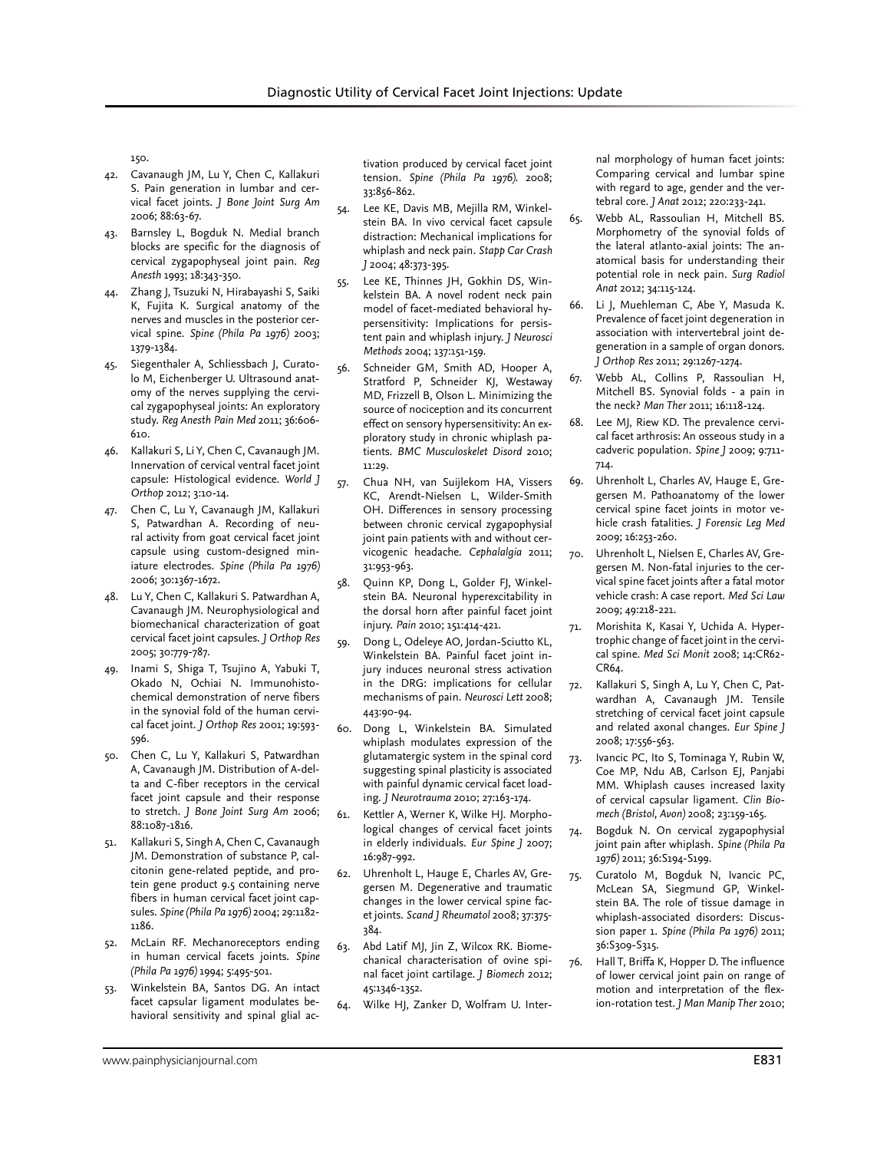150.

- 42. Cavanaugh JM, Lu Y, Chen C, Kallakuri S. Pain generation in lumbar and cervical facet joints. *J Bone Joint Surg Am*  2006; 88:63-67.
- 43. Barnsley L, Bogduk N. Medial branch blocks are specific for the diagnosis of cervical zygapophyseal joint pain. *Reg Anesth* 1993; 18:343-350.
- 44. Zhang J, Tsuzuki N, Hirabayashi S, Saiki K, Fujita K. Surgical anatomy of the nerves and muscles in the posterior cervical spine. *Spine (Phila Pa 1976)* 2003; 1379-1384.
- 45. Siegenthaler A, Schliessbach J, Curatolo M, Eichenberger U. Ultrasound anatomy of the nerves supplying the cervical zygapophyseal joints: An exploratory study. *Reg Anesth Pain Med* 2011; 36:606- 610.
- 46. Kallakuri S, Li Y, Chen C, Cavanaugh JM. Innervation of cervical ventral facet joint capsule: Histological evidence. *World J Orthop* 2012; 3:10-14.
- 47. Chen C, Lu Y, Cavanaugh JM, Kallakuri S, Patwardhan A. Recording of neural activity from goat cervical facet joint capsule using custom-designed miniature electrodes. *Spine (Phila Pa 1976)*  2006; 30:1367-1672.
- 48. Lu Y, Chen C, Kallakuri S. Patwardhan A, Cavanaugh JM. Neurophysiological and biomechanical characterization of goat cervical facet joint capsules. *J Orthop Res*  2005; 30:779-787.
- 49. Inami S, Shiga T, Tsujino A, Yabuki T, Okado N, Ochiai N. Immunohistochemical demonstration of nerve fibers in the synovial fold of the human cervical facet joint. *J Orthop Res* 2001; 19:593- 596.
- 50. Chen C, Lu Y, Kallakuri S, Patwardhan A, Cavanaugh JM. Distribution of A-delta and C-fiber receptors in the cervical facet joint capsule and their response to stretch. *J Bone Joint Surg Am* 2006; 88:1087-1816.
- 51. Kallakuri S, Singh A, Chen C, Cavanaugh JM. Demonstration of substance P, calcitonin gene-related peptide, and protein gene product 9.5 containing nerve fibers in human cervical facet joint capsules. *Spine (Phila Pa 1976)* 2004; 29:1182- 1186.
- 52. McLain RF. Mechanoreceptors ending in human cervical facets joints. *Spine (Phila Pa 1976)* 1994; 5:495-501.
- 53. Winkelstein BA, Santos DG. An intact facet capsular ligament modulates behavioral sensitivity and spinal glial ac-

tivation produced by cervical facet joint tension. *Spine (Phila Pa 1976)*. 2008; 33:856-862.

- 54. Lee KE, Davis MB, Mejilla RM, Winkelstein BA. In vivo cervical facet capsule distraction: Mechanical implications for whiplash and neck pain. *Stapp Car Crash J* 2004; 48:373-395.
- 55. Lee KE, Thinnes JH, Gokhin DS, Winkelstein BA. A novel rodent neck pain model of facet-mediated behavioral hypersensitivity: Implications for persistent pain and whiplash injury. *J Neurosci Methods* 2004; 137:151-159.
- 56. Schneider GM, Smith AD, Hooper A, Stratford P, Schneider KJ, Westaway MD, Frizzell B, Olson L. Minimizing the source of nociception and its concurrent effect on sensory hypersensitivity: An exploratory study in chronic whiplash patients. *BMC Musculoskelet Disord* 2010; 11:29.
- 57. Chua NH, van Suijlekom HA, Vissers KC, Arendt-Nielsen L, Wilder-Smith OH. Differences in sensory processing between chronic cervical zygapophysial joint pain patients with and without cervicogenic headache. *Cephalalgia* 2011; 31:953-963.
- 58. Quinn KP, Dong L, Golder FJ, Winkelstein BA. Neuronal hyperexcitability in the dorsal horn after painful facet joint injury. *Pain* 2010; 151:414-421.
- 59. Dong L, Odeleye AO, Jordan-Sciutto KL, Winkelstein BA. Painful facet joint injury induces neuronal stress activation in the DRG: implications for cellular mechanisms of pain. *Neurosci Lett* 2008; 443:90-94.
- 60. Dong L, Winkelstein BA. Simulated whiplash modulates expression of the glutamatergic system in the spinal cord suggesting spinal plasticity is associated with painful dynamic cervical facet loading. *J Neurotrauma* 2010; 27:163-174.
- 61. Kettler A, Werner K, Wilke HJ. Morphological changes of cervical facet joints in elderly individuals. *Eur Spine J* 2007; 16:987-992.
- 62. Uhrenholt L, Hauge E, Charles AV, Gregersen M. Degenerative and traumatic changes in the lower cervical spine facet joints. *Scand J Rheumatol* 2008; 37:375- 384.
- 63. Abd Latif MJ, Jin Z, Wilcox RK. Biomechanical characterisation of ovine spinal facet joint cartilage. *J Biomech* 2012; 45:1346-1352.
- 64. Wilke HJ, Zanker D, Wolfram U. Inter-

nal morphology of human facet joints: Comparing cervical and lumbar spine with regard to age, gender and the vertebral core. *J Anat* 2012; 220:233-241.

- 65. Webb AL, Rassoulian H, Mitchell BS. Morphometry of the synovial folds of the lateral atlanto-axial joints: The anatomical basis for understanding their potential role in neck pain. *Surg Radiol Anat* 2012; 34:115-124.
- 66. Li J, Muehleman C, Abe Y, Masuda K. Prevalence of facet joint degeneration in association with intervertebral joint degeneration in a sample of organ donors. *J Orthop Res* 2011; 29:1267-1274.
- 67. Webb AL, Collins P, Rassoulian H, Mitchell BS. Synovial folds - a pain in the neck? *Man Ther* 2011; 16:118-124.
- 68. Lee MJ, Riew KD. The prevalence cervical facet arthrosis: An osseous study in a cadveric population. *Spine J* 2009; 9:711- 714.
- 69. Uhrenholt L, Charles AV, Hauge E, Gregersen M. Pathoanatomy of the lower cervical spine facet joints in motor vehicle crash fatalities. *J Forensic Leg Med* 2009; 16:253-260.
- 70. Uhrenholt L, Nielsen E, Charles AV, Gregersen M. Non-fatal injuries to the cervical spine facet joints after a fatal motor vehicle crash: A case report. *Med Sci Law* 2009; 49:218-221.
- 71. Morishita K, Kasai Y, Uchida A. Hypertrophic change of facet joint in the cervical spine. *Med Sci Monit* 2008; 14:CR62- CR64.
- 72. Kallakuri S, Singh A, Lu Y, Chen C, Patwardhan A, Cavanaugh JM. Tensile stretching of cervical facet joint capsule and related axonal changes. *Eur Spine J* 2008; 17:556-563.
- 73. Ivancic PC, Ito S, Tominaga Y, Rubin W, Coe MP, Ndu AB, Carlson EJ, Panjabi MM. Whiplash causes increased laxity of cervical capsular ligament. *Clin Biomech (Bristol, Avon)* 2008; 23:159-165.
- 74. Bogduk N. On cervical zygapophysial joint pain after whiplash. *Spine (Phila Pa 1976)* 2011; 36:S194-S199.
- 75. Curatolo M, Bogduk N, Ivancic PC, McLean SA, Siegmund GP, Winkelstein BA. The role of tissue damage in whiplash-associated disorders: Discussion paper 1. *Spine (Phila Pa 1976)* 2011; 36:S309-S315.
- 76. Hall T, Briffa K, Hopper D. The influence of lower cervical joint pain on range of motion and interpretation of the flexion-rotation test. *J Man Manip Ther* 2010;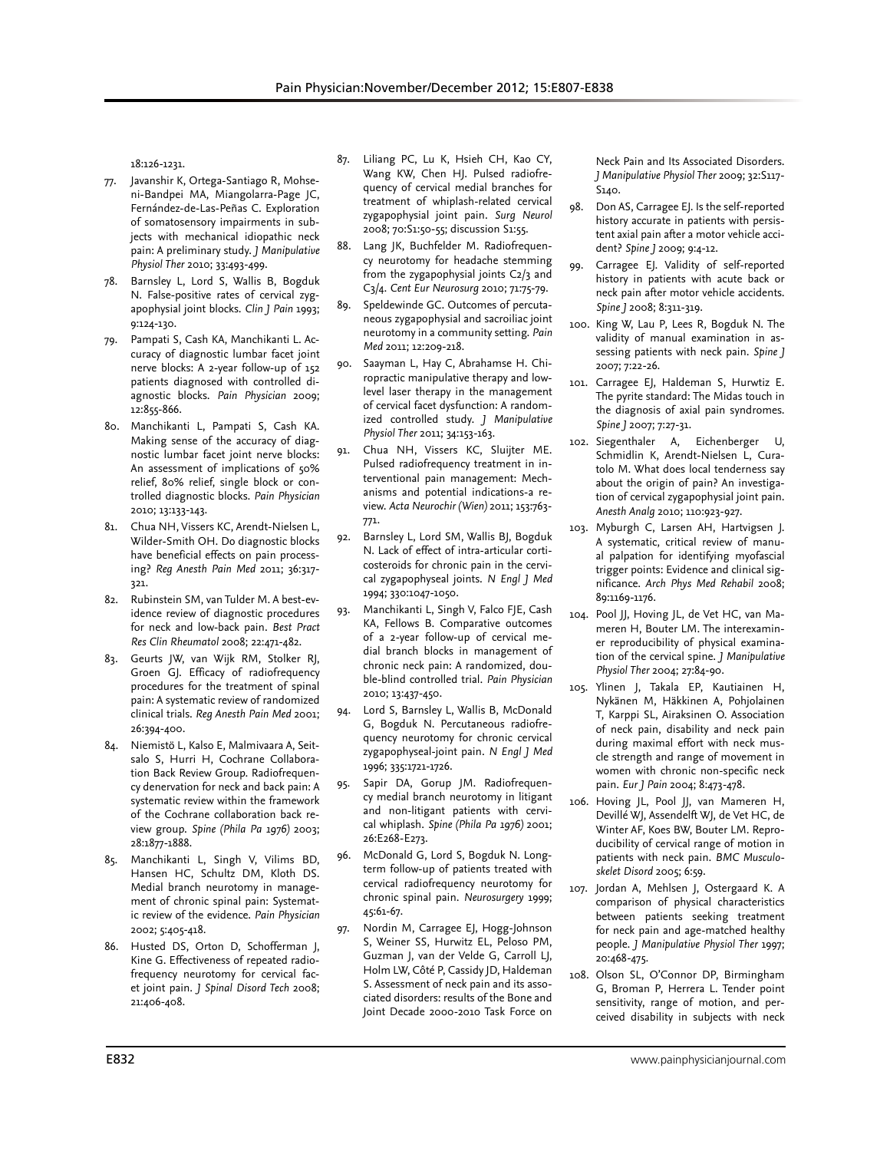18:126-1231.

- 77. Javanshir K, Ortega-Santiago R, Mohseni-Bandpei MA, Miangolarra-Page JC, Fernández-de-Las-Peñas C. Exploration of somatosensory impairments in subjects with mechanical idiopathic neck pain: A preliminary study. *J Manipulative Physiol Ther* 2010; 33:493-499.
- 78. Barnsley L, Lord S, Wallis B, Bogduk N. False-positive rates of cervical zygapophysial joint blocks. *Clin J Pain* 1993; 9:124-130.
- 79. Pampati S, Cash KA, Manchikanti L. Accuracy of diagnostic lumbar facet joint nerve blocks: A 2-year follow-up of 152 patients diagnosed with controlled diagnostic blocks. *Pain Physician* 2009; 12:855-866.
- 80. Manchikanti L, Pampati S, Cash KA. Making sense of the accuracy of diagnostic lumbar facet joint nerve blocks: An assessment of implications of 50% relief, 80% relief, single block or controlled diagnostic blocks. *Pain Physician*  2010; 13:133-143.
- 81. Chua NH, Vissers KC, Arendt-Nielsen L, Wilder-Smith OH. Do diagnostic blocks have beneficial effects on pain processing? *Reg Anesth Pain Med* 2011; 36:317- 321.
- 82. Rubinstein SM, van Tulder M. A best-evidence review of diagnostic procedures for neck and low-back pain. *Best Pract Res Clin Rheumatol* 2008; 22:471-482.
- 83. Geurts JW, van Wijk RM, Stolker RJ, Groen GJ. Efficacy of radiofrequency procedures for the treatment of spinal pain: A systematic review of randomized clinical trials. *Reg Anesth Pain Med* 2001; 26:394-400.
- 84. Niemistö L, Kalso E, Malmivaara A, Seitsalo S, Hurri H, Cochrane Collaboration Back Review Group. Radiofrequency denervation for neck and back pain: A systematic review within the framework of the Cochrane collaboration back review group. *Spine (Phila Pa 1976)* 2003; 28:1877-1888.
- 85. Manchikanti L, Singh V, Vilims BD, Hansen HC, Schultz DM, Kloth DS. Medial branch neurotomy in management of chronic spinal pain: Systematic review of the evidence. *Pain Physician*  2002; 5:405-418.
- 86. Husted DS, Orton D, Schofferman J, Kine G. Effectiveness of repeated radiofrequency neurotomy for cervical facet joint pain. *J Spinal Disord Tech* 2008; 21:406-408.
- 87. Liliang PC, Lu K, Hsieh CH, Kao CY, Wang KW, Chen HJ. Pulsed radiofrequency of cervical medial branches for treatment of whiplash-related cervical zygapophysial joint pain. *Surg Neurol* 2008; 70:S1:50-55; discussion S1:55.
- 88. Lang JK, Buchfelder M. Radiofrequency neurotomy for headache stemming from the zygapophysial joints C2/3 and C3/4. *Cent Eur Neurosurg* 2010; 71:75-79.
- 89. Speldewinde GC. Outcomes of percutaneous zygapophysial and sacroiliac joint neurotomy in a community setting. *Pain Med* 2011; 12:209-218.
- 90. Saayman L, Hay C, Abrahamse H. Chiropractic manipulative therapy and lowlevel laser therapy in the management of cervical facet dysfunction: A randomized controlled study. *J Manipulative Physiol Ther* 2011; 34:153-163.
- 91. Chua NH, Vissers KC, Sluijter ME. Pulsed radiofrequency treatment in interventional pain management: Mechanisms and potential indications-a review. *Acta Neurochir (Wien)* 2011; 153:763- 771.
- 92. Barnsley L, Lord SM, Wallis BJ, Bogduk N. Lack of effect of intra-articular corticosteroids for chronic pain in the cervical zygapophyseal joints. *N Engl J Med*  1994; 330:1047-1050.
- 93. Manchikanti L, Singh V, Falco FJE, Cash KA, Fellows B. Comparative outcomes of a 2-year follow-up of cervical medial branch blocks in management of chronic neck pain: A randomized, double-blind controlled trial. *Pain Physician* 2010; 13:437-450.
- 94. Lord S, Barnsley L, Wallis B, McDonald G, Bogduk N. Percutaneous radiofrequency neurotomy for chronic cervical zygapophyseal-joint pain. *N Engl J Med*  1996; 335:1721-1726.
- 95. Sapir DA, Gorup JM. Radiofrequency medial branch neurotomy in litigant and non-litigant patients with cervical whiplash. *Spine (Phila Pa 1976)* 2001; 26:E268-E273.
- 96. McDonald G, Lord S, Bogduk N. Longterm follow-up of patients treated with cervical radiofrequency neurotomy for chronic spinal pain. *Neurosurgery* 1999; 45:61-67.
- 97. Nordin M, Carragee EJ, Hogg-Johnson S, Weiner SS, Hurwitz EL, Peloso PM, Guzman J, van der Velde G, Carroll LJ, Holm LW, Côté P, Cassidy JD, Haldeman S. Assessment of neck pain and its associated disorders: results of the Bone and Joint Decade 2000-2010 Task Force on

Neck Pain and Its Associated Disorders. *J Manipulative Physiol Ther* 2009; 32:S117- S140.

- 98. Don AS, Carragee EJ. Is the self-reported history accurate in patients with persistent axial pain after a motor vehicle accident? *Spine J* 2009; 9:4-12.
- 99. Carragee EJ. Validity of self-reported history in patients with acute back or neck pain after motor vehicle accidents. *Spine J* 2008; 8:311-319.
- 100. King W, Lau P, Lees R, Bogduk N. The validity of manual examination in assessing patients with neck pain. *Spine J* 2007; 7:22-26.
- 101. Carragee EJ, Haldeman S, Hurwtiz E. The pyrite standard: The Midas touch in the diagnosis of axial pain syndromes. *Spine J* 2007; 7:27-31.
- 102. Siegenthaler A, Eichenberger U, Schmidlin K, Arendt-Nielsen L, Curatolo M. What does local tenderness say about the origin of pain? An investigation of cervical zygapophysial joint pain. *Anesth Analg* 2010; 110:923-927.
- 103. Myburgh C, Larsen AH, Hartvigsen J. A systematic, critical review of manual palpation for identifying myofascial trigger points: Evidence and clinical significance. *Arch Phys Med Rehabil* 2008; 89:1169-1176.
- 104. Pool JJ, Hoving JL, de Vet HC, van Mameren H, Bouter LM. The interexaminer reproducibility of physical examination of the cervical spine. *J Manipulative Physiol Ther* 2004; 27:84-90.
- 105. Ylinen J, Takala EP, Kautiainen H, Nykänen M, Häkkinen A, Pohjolainen T, Karppi SL, Airaksinen O. Association of neck pain, disability and neck pain during maximal effort with neck muscle strength and range of movement in women with chronic non-specific neck pain. *Eur J Pain* 2004; 8:473-478.
- 106. Hoving JL, Pool JJ, van Mameren H, Devillé WJ, Assendelft WJ, de Vet HC, de Winter AF, Koes BW, Bouter LM. Reproducibility of cervical range of motion in patients with neck pain. *BMC Musculoskelet Disord* 2005; 6:59.
- 107. Jordan A, Mehlsen J, Ostergaard K. A comparison of physical characteristics between patients seeking treatment for neck pain and age-matched healthy people. *J Manipulative Physiol Ther* 1997; 20:468-475.
- 108. Olson SL, O'Connor DP, Birmingham G, Broman P, Herrera L. Tender point sensitivity, range of motion, and perceived disability in subjects with neck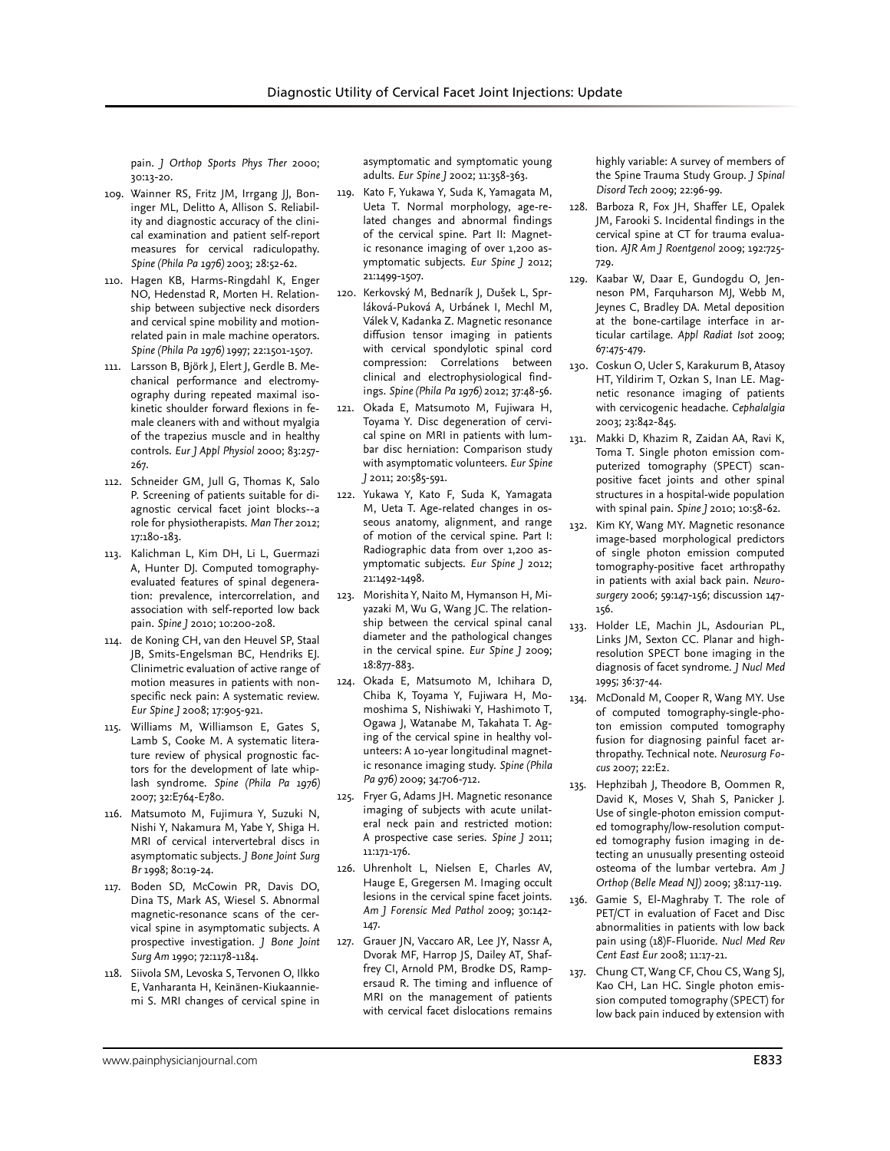pain. *J Orthop Sports Phys Ther* 2000; 30:13-20.

- 109. Wainner RS, Fritz JM, Irrgang JJ, Boninger ML, Delitto A, Allison S. Reliability and diagnostic accuracy of the clinical examination and patient self-report measures for cervical radiculopathy. *Spine (Phila Pa 1976)* 2003; 28:52-62.
- 110. Hagen KB, Harms-Ringdahl K, Enger NO, Hedenstad R, Morten H. Relationship between subjective neck disorders and cervical spine mobility and motionrelated pain in male machine operators. *Spine (Phila Pa 1976)* 1997; 22:1501-1507.
- 111. Larsson B, Björk J, Elert J, Gerdle B. Mechanical performance and electromyography during repeated maximal isokinetic shoulder forward flexions in female cleaners with and without myalgia of the trapezius muscle and in healthy controls. *Eur J Appl Physiol* 2000; 83:257- 267.
- 112. Schneider GM, Jull G, Thomas K, Salo P. Screening of patients suitable for diagnostic cervical facet joint blocks--a role for physiotherapists. *Man Ther* 2012; 17:180-183.
- 113. Kalichman L, Kim DH, Li L, Guermazi A, Hunter DJ. Computed tomographyevaluated features of spinal degeneration: prevalence, intercorrelation, and association with self-reported low back pain. *Spine J* 2010; 10:200-208.
- 114. de Koning CH, van den Heuvel SP, Staal JB, Smits-Engelsman BC, Hendriks EJ. Clinimetric evaluation of active range of motion measures in patients with nonspecific neck pain: A systematic review. *Eur Spine J* 2008; 17:905-921.
- 115. Williams M, Williamson E, Gates S, Lamb S, Cooke M. A systematic literature review of physical prognostic factors for the development of late whiplash syndrome. *Spine (Phila Pa 1976)* 2007; 32:E764-E780.
- 116. Matsumoto M, Fujimura Y, Suzuki N, Nishi Y, Nakamura M, Yabe Y, Shiga H. MRI of cervical intervertebral discs in asymptomatic subjects. *J Bone Joint Surg Br* 1998; 80:19-24.
- 117. Boden SD, McCowin PR, Davis DO, Dina TS, Mark AS, Wiesel S. Abnormal magnetic-resonance scans of the cervical spine in asymptomatic subjects. A prospective investigation. *J Bone Joint Surg Am* 1990; 72:1178-1184.
- 118. Siivola SM, Levoska S, Tervonen O, Ilkko E, Vanharanta H, Keinänen-Kiukaanniemi S. MRI changes of cervical spine in

asymptomatic and symptomatic young adults. *Eur Spine J* 2002; 11:358-363.

- 119. Kato F, Yukawa Y, Suda K, Yamagata M, Ueta T. Normal morphology, age-related changes and abnormal findings of the cervical spine. Part II: Magnetic resonance imaging of over 1,200 asymptomatic subjects. *Eur Spine J* 2012; 21:1499-1507.
- 120. Kerkovský M, Bednarík J, Dušek L, Sprláková-Puková A, Urbánek I, Mechl M, Válek V, Kadanka Z. Magnetic resonance diffusion tensor imaging in patients with cervical spondylotic spinal cord compression: Correlations between clinical and electrophysiological findings. *Spine (Phila Pa 1976)* 2012; 37:48-56.
- 121. Okada E, Matsumoto M, Fujiwara H, Toyama Y. Disc degeneration of cervical spine on MRI in patients with lumbar disc herniation: Comparison study with asymptomatic volunteers. *Eur Spine J* 2011; 20:585-591.
- 122. Yukawa Y, Kato F, Suda K, Yamagata M, Ueta T. Age-related changes in osseous anatomy, alignment, and range of motion of the cervical spine. Part I: Radiographic data from over 1,200 asymptomatic subjects. *Eur Spine J* 2012; 21:1492-1498.
- 123. Morishita Y, Naito M, Hymanson H, Miyazaki M, Wu G, Wang JC. The relationship between the cervical spinal canal diameter and the pathological changes in the cervical spine. *Eur Spine J* 2009; 18:877-883.
- 124. Okada E, Matsumoto M, Ichihara D, Chiba K, Toyama Y, Fujiwara H, Momoshima S, Nishiwaki Y, Hashimoto T, Ogawa J, Watanabe M, Takahata T. Aging of the cervical spine in healthy volunteers: A 10-year longitudinal magnetic resonance imaging study. *Spine (Phila Pa 976)* 2009; 34:706-712.
- 125. Fryer G, Adams JH. Magnetic resonance imaging of subjects with acute unilateral neck pain and restricted motion: A prospective case series. *Spine J* 2011; 11:171-176.
- 126. Uhrenholt L, Nielsen E, Charles AV, Hauge E, Gregersen M. Imaging occult lesions in the cervical spine facet joints. *Am J Forensic Med Pathol* 2009; 30:142- 147.
- 127. Grauer JN, Vaccaro AR, Lee JY, Nassr A, Dvorak MF, Harrop JS, Dailey AT, Shaffrey CI, Arnold PM, Brodke DS, Rampersaud R. The timing and influence of MRI on the management of patients with cervical facet dislocations remains

highly variable: A survey of members of the Spine Trauma Study Group. *J Spinal Disord Tech* 2009; 22:96-99.

- 128. Barboza R, Fox JH, Shaffer LE, Opalek JM, Farooki S. Incidental findings in the cervical spine at CT for trauma evaluation. *AJR Am J Roentgenol* 2009; 192:725- 729.
- 129. Kaabar W, Daar E, Gundogdu O, Jenneson PM, Farquharson MJ, Webb M, Jeynes C, Bradley DA. Metal deposition at the bone-cartilage interface in articular cartilage. *Appl Radiat Isot* 2009; 67:475-479.
- 130. Coskun O, Ucler S, Karakurum B, Atasoy HT, Yildirim T, Ozkan S, Inan LE. Magnetic resonance imaging of patients with cervicogenic headache. *Cephalalgia* 2003; 23:842-845.
- 131. Makki D, Khazim R, Zaidan AA, Ravi K, Toma T. Single photon emission computerized tomography (SPECT) scanpositive facet joints and other spinal structures in a hospital-wide population with spinal pain. *Spine J* 2010; 10:58-62.
- 132. Kim KY, Wang MY. Magnetic resonance image-based morphological predictors of single photon emission computed tomography-positive facet arthropathy in patients with axial back pain. *Neurosurgery* 2006; 59:147-156; discussion 147- 156.
- 133. Holder LE, Machin JL, Asdourian PL, Links JM, Sexton CC. Planar and highresolution SPECT bone imaging in the diagnosis of facet syndrome. *J Nucl Med* 1995; 36:37-44.
- 134. McDonald M, Cooper R, Wang MY. Use of computed tomography-single-photon emission computed tomography fusion for diagnosing painful facet arthropathy. Technical note. *Neurosurg Focus* 2007; 22:E2.
- 135. Hephzibah J, Theodore B, Oommen R, David K, Moses V, Shah S, Panicker J. Use of single-photon emission computed tomography/low-resolution computed tomography fusion imaging in detecting an unusually presenting osteoid osteoma of the lumbar vertebra. *Am J Orthop (Belle Mead NJ)* 2009; 38:117-119.
- 136. Gamie S, El-Maghraby T. The role of PET/CT in evaluation of Facet and Disc abnormalities in patients with low back pain using (18)F-Fluoride. *Nucl Med Rev Cent East Eur* 2008; 11:17-21.
- 137. Chung CT, Wang CF, Chou CS, Wang SJ, Kao CH, Lan HC. Single photon emission computed tomography (SPECT) for low back pain induced by extension with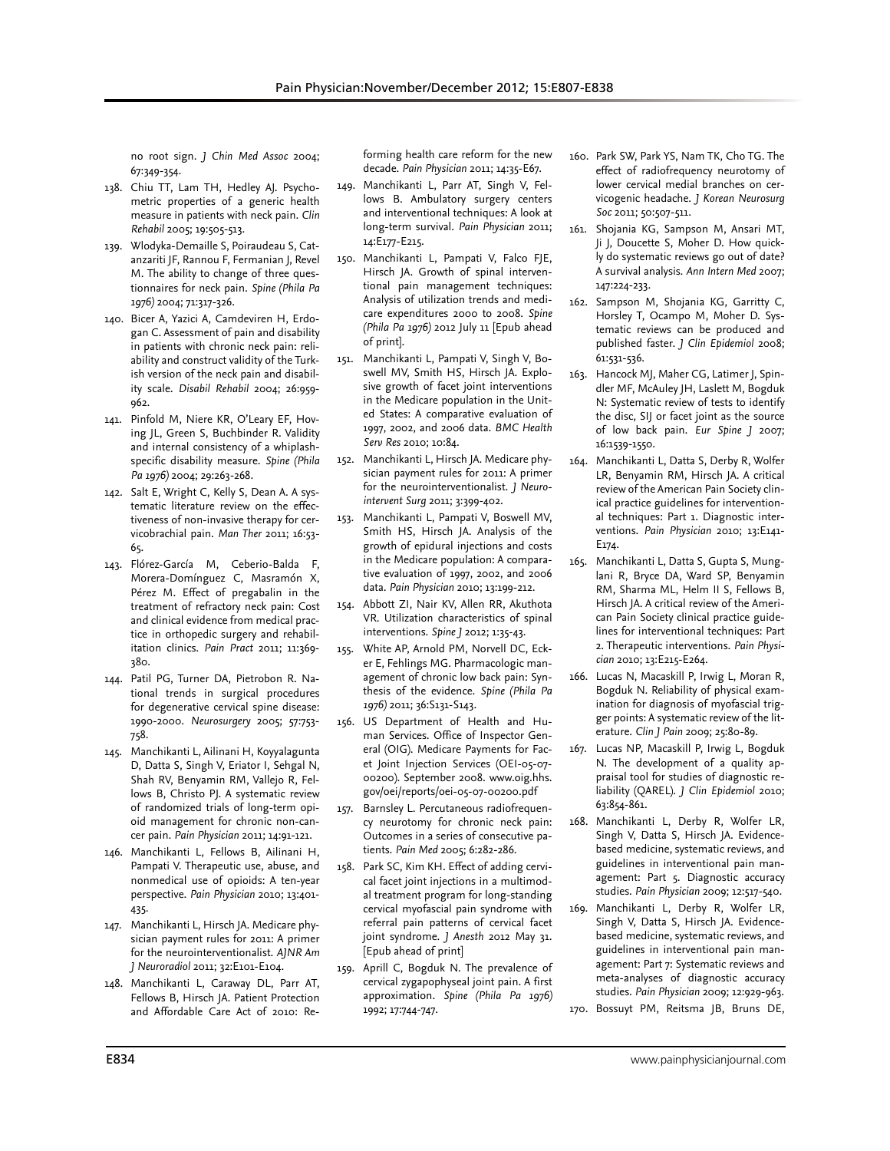no root sign. *J Chin Med Assoc* 2004; 67:349-354.

- 138. Chiu TT, Lam TH, Hedley AJ. Psychometric properties of a generic health measure in patients with neck pain. *Clin Rehabil* 2005; 19:505-513.
- 139. Wlodyka-Demaille S, Poiraudeau S, Catanzariti JF, Rannou F, Fermanian J, Revel M. The ability to change of three questionnaires for neck pain. *Spine (Phila Pa 1976)* 2004; 71:317-326.
- 140. Bicer A, Yazici A, Camdeviren H, Erdogan C. Assessment of pain and disability in patients with chronic neck pain: reliability and construct validity of the Turkish version of the neck pain and disability scale. *Disabil Rehabil* 2004; 26:959- 962.
- 141. Pinfold M, Niere KR, O'Leary EF, Hoving JL, Green S, Buchbinder R. Validity and internal consistency of a whiplashspecific disability measure. *Spine (Phila Pa 1976)* 2004; 29:263-268.
- 142. Salt E, Wright C, Kelly S, Dean A. A systematic literature review on the effectiveness of non-invasive therapy for cervicobrachial pain. *Man Ther* 2011; 16:53- 65.
- 143. Flórez-García M, Ceberio-Balda F, Morera-Domínguez C, Masramón X, Pérez M. Effect of pregabalin in the treatment of refractory neck pain: Cost and clinical evidence from medical practice in orthopedic surgery and rehabilitation clinics. *Pain Pract* 2011; 11:369- 380.
- 144. Patil PG, Turner DA, Pietrobon R. National trends in surgical procedures for degenerative cervical spine disease: 1990-2000. *Neurosurgery* 2005; 57:753- 758.
- 145. Manchikanti L, Ailinani H, Koyyalagunta D, Datta S, Singh V, Eriator I, Sehgal N, Shah RV, Benyamin RM, Vallejo R, Fellows B, Christo PJ. A systematic review of randomized trials of long-term opioid management for chronic non-cancer pain. *Pain Physician* 2011; 14:91-121.
- 146. Manchikanti L, Fellows B, Ailinani H, Pampati V. Therapeutic use, abuse, and nonmedical use of opioids: A ten-year perspective. *Pain Physician* 2010; 13:401- 435.
- 147. Manchikanti L, Hirsch JA. Medicare physician payment rules for 2011: A primer for the neurointerventionalist. *AJNR Am J Neuroradiol* 2011; 32:E101-E104.
- 148. Manchikanti L, Caraway DL, Parr AT, Fellows B, Hirsch JA. Patient Protection and Affordable Care Act of 2010: Re-

forming health care reform for the new decade. *Pain Physician* 2011; 14:35-E67.

- 149. Manchikanti L, Parr AT, Singh V, Fellows B. Ambulatory surgery centers and interventional techniques: A look at long-term survival. *Pain Physician* 2011; 14:E177-E215.
- 150. Manchikanti L, Pampati V, Falco FJE, Hirsch JA. Growth of spinal interventional pain management techniques: Analysis of utilization trends and medicare expenditures 2000 to 2008. *Spine (Phila Pa 1976)* 2012 July 11 [Epub ahead of print].
- 151. Manchikanti L, Pampati V, Singh V, Boswell MV, Smith HS, Hirsch JA. Explosive growth of facet joint interventions in the Medicare population in the United States: A comparative evaluation of 1997, 2002, and 2006 data. *BMC Health Serv Res* 2010; 10:84.
- 152. Manchikanti L, Hirsch JA. Medicare physician payment rules for 2011: A primer for the neurointerventionalist. *J Neurointervent Surg* 2011; 3:399-402.
- 153. Manchikanti L, Pampati V, Boswell MV, Smith HS, Hirsch JA. Analysis of the growth of epidural injections and costs in the Medicare population: A comparative evaluation of 1997, 2002, and 2006 data. *Pain Physician* 2010; 13:199-212.
- 154. Abbott ZI, Nair KV, Allen RR, Akuthota VR. Utilization characteristics of spinal interventions. *Spine J* 2012; 1:35-43.
- 155. White AP, Arnold PM, Norvell DC, Ecker E, Fehlings MG. Pharmacologic management of chronic low back pain: Synthesis of the evidence. *Spine (Phila Pa 1976)* 2011; 36:S131-S143.
- 156. US Department of Health and Human Services. Office of Inspector General (OIG). Medicare Payments for Facet Joint Injection Services (OEI-05-07- 00200). September 2008. www.oig.hhs. gov/oei/reports/oei-05-07-00200.pdf
- 157. Barnsley L. Percutaneous radiofrequency neurotomy for chronic neck pain: Outcomes in a series of consecutive patients. *Pain Med* 2005; 6:282-286.
- 158. Park SC, Kim KH. Effect of adding cervical facet joint injections in a multimodal treatment program for long-standing cervical myofascial pain syndrome with referral pain patterns of cervical facet joint syndrome. *J Anesth* 2012 May 31. [Epub ahead of print]
- 159. Aprill C, Bogduk N. The prevalence of cervical zygapophyseal joint pain. A first approximation. *Spine (Phila Pa 1976)* 1992; 17:744-747.
- 160. Park SW, Park YS, Nam TK, Cho TG. The effect of radiofrequency neurotomy of lower cervical medial branches on cervicogenic headache. *J Korean Neurosurg Soc* 2011; 50:507-511.
- 161. Shojania KG, Sampson M, Ansari MT, Ji J, Doucette S, Moher D. How quickly do systematic reviews go out of date? A survival analysis. *Ann Intern Med* 2007; 147:224-233.
- 162. Sampson M, Shojania KG, Garritty C, Horsley T, Ocampo M, Moher D. Systematic reviews can be produced and published faster. *J Clin Epidemiol* 2008; 61:531-536.
- 163. Hancock MJ, Maher CG, Latimer J, Spindler MF, McAuley JH, Laslett M, Bogduk N: Systematic review of tests to identify the disc, SIJ or facet joint as the source of low back pain. *Eur Spine J* 2007; 16:1539-1550.
- 164. Manchikanti L, Datta S, Derby R, Wolfer LR, Benyamin RM, Hirsch JA. A critical review of the American Pain Society clinical practice guidelines for interventional techniques: Part 1. Diagnostic interventions. *Pain Physician* 2010; 13:E141- E174.
- 165. Manchikanti L, Datta S, Gupta S, Munglani R, Bryce DA, Ward SP, Benyamin RM, Sharma ML, Helm II S, Fellows B, Hirsch JA. A critical review of the American Pain Society clinical practice guidelines for interventional techniques: Part 2. Therapeutic interventions. *Pain Physician* 2010; 13:E215-E264.
- 166. Lucas N, Macaskill P, Irwig L, Moran R, Bogduk N. Reliability of physical examination for diagnosis of myofascial trigger points: A systematic review of the literature. *Clin J Pain* 2009; 25:80-89.
- 167. Lucas NP, Macaskill P, Irwig L, Bogduk N. The development of a quality appraisal tool for studies of diagnostic reliability (QAREL). *J Clin Epidemiol* 2010; 63:854-861.
- 168. Manchikanti L, Derby R, Wolfer LR, Singh V, Datta S, Hirsch JA. Evidencebased medicine, systematic reviews, and guidelines in interventional pain management: Part 5. Diagnostic accuracy studies. *Pain Physician* 2009; 12:517-540.
- 169. Manchikanti L, Derby R, Wolfer LR, Singh V, Datta S, Hirsch JA. Evidencebased medicine, systematic reviews, and guidelines in interventional pain management: Part 7: Systematic reviews and meta-analyses of diagnostic accuracy studies. *Pain Physician* 2009; 12:929-963.
- 170. Bossuyt PM, Reitsma JB, Bruns DE,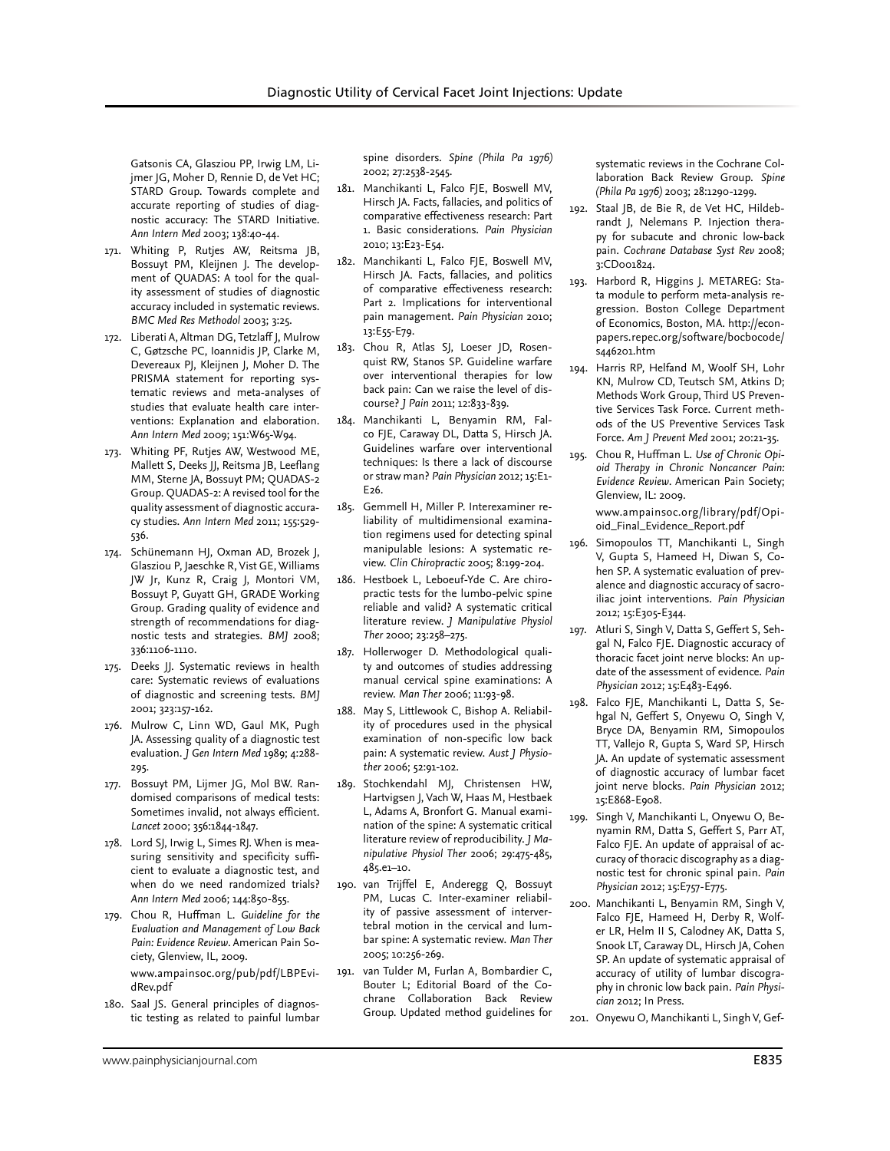Gatsonis CA, Glasziou PP, Irwig LM, Lijmer JG, Moher D, Rennie D, de Vet HC; STARD Group. Towards complete and accurate reporting of studies of diagnostic accuracy: The STARD Initiative. *Ann Intern Med* 2003; 138:40-44.

- 171. Whiting P, Rutjes AW, Reitsma JB, Bossuyt PM, Kleijnen J. The development of QUADAS: A tool for the quality assessment of studies of diagnostic accuracy included in systematic reviews. *BMC Med Res Methodol* 2003; 3:25.
- 172. Liberati A, Altman DG, Tetzlaff J, Mulrow C, Gøtzsche PC, Ioannidis JP, Clarke M, Devereaux PJ, Kleijnen J, Moher D. The PRISMA statement for reporting systematic reviews and meta-analyses of studies that evaluate health care interventions: Explanation and elaboration. *Ann Intern Med* 2009; 151:W65-W94.
- 173. Whiting PF, Rutjes AW, Westwood ME, Mallett S, Deeks JJ, Reitsma JB, Leeflang MM, Sterne JA, Bossuyt PM; QUADAS-2 Group. QUADAS-2: A revised tool for the quality assessment of diagnostic accuracy studies. *Ann Intern Med* 2011; 155:529- 536.
- 174. Schünemann HJ, Oxman AD, Brozek J, Glasziou P, Jaeschke R, Vist GE, Williams JW Jr, Kunz R, Craig J, Montori VM, Bossuyt P, Guyatt GH, GRADE Working Group. Grading quality of evidence and strength of recommendations for diagnostic tests and strategies. *BMJ* 2008; 336:1106-1110.
- 175. Deeks JJ. Systematic reviews in health care: Systematic reviews of evaluations of diagnostic and screening tests. *BMJ*  2001; 323:157-162.
- 176. Mulrow C, Linn WD, Gaul MK, Pugh JA. Assessing quality of a diagnostic test evaluation. *J Gen Intern Med* 1989; 4:288- 295.
- 177. Bossuyt PM, Lijmer JG, Mol BW. Randomised comparisons of medical tests: Sometimes invalid, not always efficient. *Lancet* 2000; 356:1844-1847.
- 178. Lord SJ, Irwig L, Simes RJ. When is measuring sensitivity and specificity sufficient to evaluate a diagnostic test, and when do we need randomized trials? *Ann Intern Med* 2006; 144:850-855.
- 179. Chou R, Huffman L. *Guideline for the Evaluation and Management of Low Back Pain: Evidence Review*. American Pain Society, Glenview, IL, 2009. www.ampainsoc.org/pub/pdf/LBPEvidRev.pdf
- 180. Saal JS. General principles of diagnostic testing as related to painful lumbar

spine disorders. *Spine (Phila Pa 1976)*  2002; 27:2538-2545.

- 181. Manchikanti L, Falco FJE, Boswell MV, Hirsch JA. Facts, fallacies, and politics of comparative effectiveness research: Part 1. Basic considerations. *Pain Physician* 2010; 13:E23-E54.
- 182. Manchikanti L, Falco FJE, Boswell MV, Hirsch JA. Facts, fallacies, and politics of comparative effectiveness research: Part 2. Implications for interventional pain management. *Pain Physician* 2010; 13:E55-E79.
- 183. Chou R, Atlas SJ, Loeser JD, Rosenquist RW, Stanos SP. Guideline warfare over interventional therapies for low back pain: Can we raise the level of discourse? *J Pain* 2011; 12:833-839.
- 184. Manchikanti L, Benyamin RM, Falco FJE, Caraway DL, Datta S, Hirsch JA. Guidelines warfare over interventional techniques: Is there a lack of discourse or straw man? *Pain Physician* 2012; 15:E1- E26.
- 185. Gemmell H, Miller P. Interexaminer reliability of multidimensional examination regimens used for detecting spinal manipulable lesions: A systematic review. *Clin Chiropractic* 2005; 8:199-204.
- 186. Hestboek L, Leboeuf-Yde C. Are chiropractic tests for the lumbo-pelvic spine reliable and valid? A systematic critical literature review. *J Manipulative Physiol Ther* 2000; 23:258–275.
- 187. Hollerwoger D. Methodological quality and outcomes of studies addressing manual cervical spine examinations: A review. *Man Ther* 2006; 11:93-98.
- 188. May S, Littlewook C, Bishop A. Reliability of procedures used in the physical examination of non-specific low back pain: A systematic review. *Aust J Physiother* 2006; 52:91-102.
- 189. Stochkendahl MJ, Christensen HW, Hartvigsen J, Vach W, Haas M, Hestbaek L, Adams A, Bronfort G. Manual examination of the spine: A systematic critical literature review of reproducibility. *J Manipulative Physiol Ther* 2006; 29:475-485, 485.e1–10.
- 190. van Trijffel E, Anderegg Q, Bossuyt PM, Lucas C. Inter-examiner reliability of passive assessment of intervertebral motion in the cervical and lumbar spine: A systematic review. *Man Ther* 2005; 10:256-269.
- 191. van Tulder M, Furlan A, Bombardier C, Bouter L; Editorial Board of the Cochrane Collaboration Back Review Group. Updated method guidelines for

systematic reviews in the Cochrane Collaboration Back Review Group. *Spine (Phila Pa 1976)* 2003; 28:1290-1299.

- 192. Staal JB, de Bie R, de Vet HC, Hildebrandt J, Nelemans P. Injection therapy for subacute and chronic low-back pain. *Cochrane Database Syst Rev* 2008; 3:CD001824.
- 193. Harbord R, Higgins J. METAREG: Stata module to perform meta-analysis regression. Boston College Department of Economics, Boston, MA. http://econpapers.repec.org/software/bocbocode/ s446201.htm
- 194. Harris RP, Helfand M, Woolf SH, Lohr KN, Mulrow CD, Teutsch SM, Atkins D; Methods Work Group, Third US Preventive Services Task Force. Current methods of the US Preventive Services Task Force. *Am J Prevent Med* 2001; 20:21-35.
- 195. Chou R, Huffman L. *Use of Chronic Opioid Therapy in Chronic Noncancer Pain: Evidence Review*. American Pain Society; Glenview, IL: 2009.

www.ampainsoc.org/library/pdf/Opioid\_Final\_Evidence\_Report.pdf

- 196. Simopoulos TT, Manchikanti L, Singh V, Gupta S, Hameed H, Diwan S, Cohen SP. A systematic evaluation of prevalence and diagnostic accuracy of sacroiliac joint interventions. *Pain Physician*  2012; 15:E305-E344.
- 197. Atluri S, Singh V, Datta S, Geffert S, Sehgal N, Falco FJE. Diagnostic accuracy of thoracic facet joint nerve blocks: An update of the assessment of evidence. *Pain Physician* 2012; 15:E483-E496.
- 198. Falco FJE, Manchikanti L, Datta S, Sehgal N, Geffert S, Onyewu O, Singh V, Bryce DA, Benyamin RM, Simopoulos TT, Vallejo R, Gupta S, Ward SP, Hirsch JA. An update of systematic assessment of diagnostic accuracy of lumbar facet joint nerve blocks. *Pain Physician* 2012; 15:E868-E908.
- 199. Singh V, Manchikanti L, Onyewu O, Benyamin RM, Datta S, Geffert S, Parr AT, Falco FJE. An update of appraisal of accuracy of thoracic discography as a diagnostic test for chronic spinal pain. *Pain Physician* 2012; 15:E757-E775.
- 200. Manchikanti L, Benyamin RM, Singh V, Falco FJE, Hameed H, Derby R, Wolfer LR, Helm II S, Calodney AK, Datta S, Snook LT, Caraway DL, Hirsch JA, Cohen SP. An update of systematic appraisal of accuracy of utility of lumbar discography in chronic low back pain. *Pain Physician* 2012; In Press.
- 201. Onyewu O, Manchikanti L, Singh V, Gef-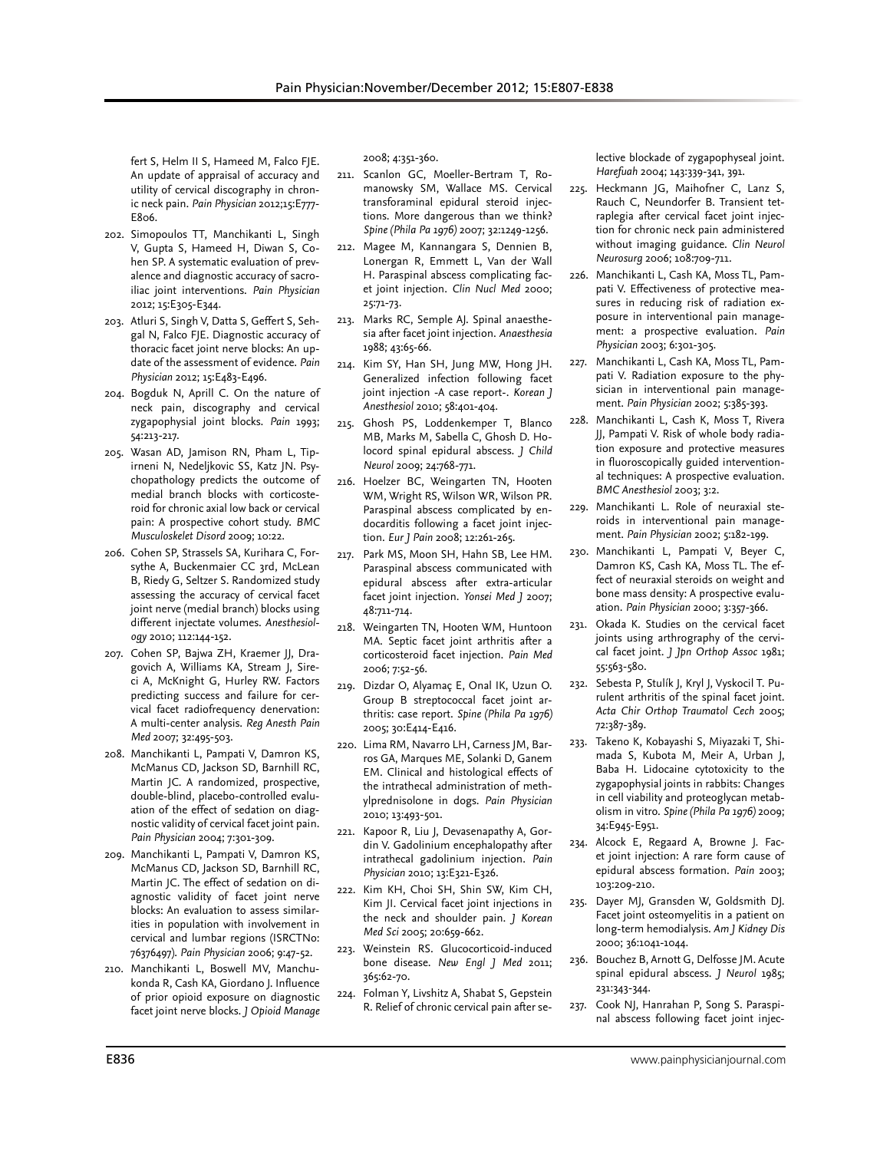fert S, Helm II S, Hameed M, Falco FJE. An update of appraisal of accuracy and utility of cervical discography in chronic neck pain. *Pain Physician* 2012;15:E777- E806.

- 202. Simopoulos TT, Manchikanti L, Singh V, Gupta S, Hameed H, Diwan S, Cohen SP. A systematic evaluation of prevalence and diagnostic accuracy of sacroiliac joint interventions. *Pain Physician*  2012; 15:E305-E344.
- 203. Atluri S, Singh V, Datta S, Geffert S, Sehgal N, Falco FJE. Diagnostic accuracy of thoracic facet joint nerve blocks: An update of the assessment of evidence. *Pain Physician* 2012; 15:E483-E496.
- 204. Bogduk N, Aprill C. On the nature of neck pain, discography and cervical zygapophysial joint blocks. *Pain* 1993; 54:213-217.
- 205. Wasan AD, Jamison RN, Pham L, Tipirneni N, Nedeljkovic SS, Katz JN. Psychopathology predicts the outcome of medial branch blocks with corticosteroid for chronic axial low back or cervical pain: A prospective cohort study. *BMC Musculoskelet Disord* 2009; 10:22.
- 206. Cohen SP, Strassels SA, Kurihara C, Forsythe A, Buckenmaier CC 3rd, McLean B, Riedy G, Seltzer S. Randomized study assessing the accuracy of cervical facet joint nerve (medial branch) blocks using different injectate volumes. *Anesthesiology* 2010; 112:144-152.
- 207. Cohen SP, Bajwa ZH, Kraemer JJ, Dragovich A, Williams KA, Stream J, Sireci A, McKnight G, Hurley RW. Factors predicting success and failure for cervical facet radiofrequency denervation: A multi-center analysis. *Reg Anesth Pain Med* 2007; 32:495-503.
- 208. Manchikanti L, Pampati V, Damron KS, McManus CD, Jackson SD, Barnhill RC, Martin JC. A randomized, prospective, double-blind, placebo-controlled evaluation of the effect of sedation on diagnostic validity of cervical facet joint pain. *Pain Physician* 2004; 7:301-309.
- 209. Manchikanti L, Pampati V, Damron KS, McManus CD, Jackson SD, Barnhill RC, Martin JC. The effect of sedation on diagnostic validity of facet joint nerve blocks: An evaluation to assess similarities in population with involvement in cervical and lumbar regions (ISRCTNo: 76376497). *Pain Physician* 2006; 9:47-52.
- 210. Manchikanti L, Boswell MV, Manchukonda R, Cash KA, Giordano J. Influence of prior opioid exposure on diagnostic facet joint nerve blocks. *J Opioid Manage*

2008; 4:351-360.

- 211. Scanlon GC, Moeller-Bertram T, Romanowsky SM, Wallace MS. Cervical transforaminal epidural steroid injections. More dangerous than we think? *Spine (Phila Pa 1976)* 2007; 32:1249-1256.
- 212. Magee M, Kannangara S, Dennien B, Lonergan R, Emmett L, Van der Wall H. Paraspinal abscess complicating facet joint injection. *Clin Nucl Med* 2000; 25:71-73.
- 213. Marks RC, Semple AJ. Spinal anaesthesia after facet joint injection. *Anaesthesia*  1988; 43:65-66.
- 214. Kim SY, Han SH, Jung MW, Hong JH. Generalized infection following facet joint injection -A case report-. *Korean J Anesthesiol* 2010; 58:401-404.
- 215. Ghosh PS, Loddenkemper T, Blanco MB, Marks M, Sabella C, Ghosh D. Holocord spinal epidural abscess. *J Child Neurol* 2009; 24:768-771.
- 216. Hoelzer BC, Weingarten TN, Hooten WM, Wright RS, Wilson WR, Wilson PR. Paraspinal abscess complicated by endocarditis following a facet joint injection. *Eur J Pain* 2008; 12:261-265.
- 217. Park MS, Moon SH, Hahn SB, Lee HM. Paraspinal abscess communicated with epidural abscess after extra-articular facet joint injection. *Yonsei Med J* 2007; 48:711-714.
- 218. Weingarten TN, Hooten WM, Huntoon MA. Septic facet joint arthritis after a corticosteroid facet injection. *Pain Med*  2006; 7:52-56.
- 219. Dizdar O, Alyamaç E, Onal IK, Uzun O. Group B streptococcal facet joint arthritis: case report. *Spine (Phila Pa 1976)*  2005; 30:E414-E416.
- 220. Lima RM, Navarro LH, Carness JM, Barros GA, Marques ME, Solanki D, Ganem EM. Clinical and histological effects of the intrathecal administration of methylprednisolone in dogs. *Pain Physician* 2010; 13:493-501.
- 221. Kapoor R, Liu J, Devasenapathy A, Gordin V. Gadolinium encephalopathy after intrathecal gadolinium injection. *Pain Physician* 2010; 13:E321-E326.
- 222. Kim KH, Choi SH, Shin SW, Kim CH, Kim JI. Cervical facet joint injections in the neck and shoulder pain. *J Korean Med Sci* 2005; 20:659-662.
- 223. Weinstein RS. Glucocorticoid-induced bone disease. *New Engl J Med* 2011; 365:62-70.
- 224. Folman Y, Livshitz A, Shabat S, Gepstein R. Relief of chronic cervical pain after se-

lective blockade of zygapophyseal joint. *Harefuah* 2004; 143:339-341, 391.

- 225. Heckmann JG, Maihofner C, Lanz S, Rauch C, Neundorfer B. Transient tetraplegia after cervical facet joint injection for chronic neck pain administered without imaging guidance. *Clin Neurol Neurosurg* 2006; 108:709-711.
- 226. Manchikanti L, Cash KA, Moss TL, Pampati V. Effectiveness of protective measures in reducing risk of radiation exposure in interventional pain management: a prospective evaluation. *Pain Physician* 2003; 6:301-305.
- 227. Manchikanti L, Cash KA, Moss TL, Pampati V. Radiation exposure to the physician in interventional pain management. *Pain Physician* 2002; 5:385-393.
- 228. Manchikanti L, Cash K, Moss T, Rivera JJ, Pampati V. Risk of whole body radiation exposure and protective measures in fluoroscopically guided interventional techniques: A prospective evaluation. *BMC Anesthesiol* 2003; 3:2.
- 229. Manchikanti L. Role of neuraxial steroids in interventional pain management. *Pain Physician* 2002; 5:182-199.
- 230. Manchikanti L, Pampati V, Beyer C, Damron KS, Cash KA, Moss TL. The effect of neuraxial steroids on weight and bone mass density: A prospective evaluation. *Pain Physician* 2000; 3:357-366.
- 231. Okada K. Studies on the cervical facet joints using arthrography of the cervical facet joint. *J Jpn Orthop Assoc* 1981; 55:563-580.
- 232. Sebesta P, Stulík J, Kryl J, Vyskocil T. Purulent arthritis of the spinal facet joint. *Acta Chir Orthop Traumatol Cech* 2005; 72:387-389.
- 233. Takeno K, Kobayashi S, Miyazaki T, Shimada S, Kubota M, Meir A, Urban J, Baba H. Lidocaine cytotoxicity to the zygapophysial joints in rabbits: Changes in cell viability and proteoglycan metabolism in vitro. *Spine (Phila Pa 1976)* 2009; 34:E945-E951.
- 234. Alcock E, Regaard A, Browne J. Facet joint injection: A rare form cause of epidural abscess formation. *Pain* 2003; 103:209-210.
- 235. Dayer MJ, Gransden W, Goldsmith DJ. Facet joint osteomyelitis in a patient on long-term hemodialysis. *Am J Kidney Dis*  2000; 36:1041-1044.
- 236. Bouchez B, Arnott G, Delfosse JM. Acute spinal epidural abscess. *J Neurol* 1985; 231:343-344.
- 237. Cook NJ, Hanrahan P, Song S. Paraspinal abscess following facet joint injec-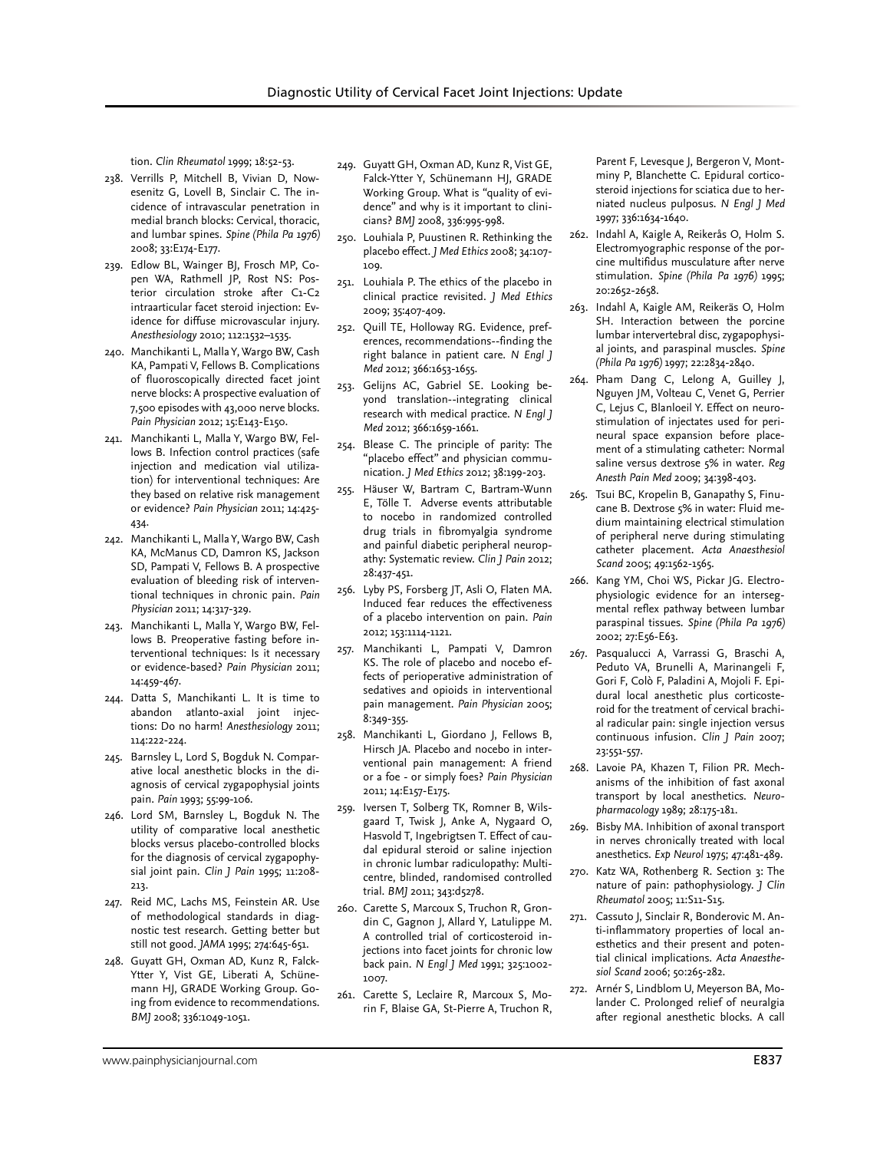tion. *Clin Rheumatol* 1999; 18:52-53.

- 238. Verrills P, Mitchell B, Vivian D, Nowesenitz G, Lovell B, Sinclair C. The incidence of intravascular penetration in medial branch blocks: Cervical, thoracic, and lumbar spines. *Spine (Phila Pa 1976)*  2008; 33:E174-E177.
- 239. Edlow BL, Wainger BJ, Frosch MP, Copen WA, Rathmell JP, Rost NS: Posterior circulation stroke after C1-C2 intraarticular facet steroid injection: Evidence for diffuse microvascular injury. *Anesthesiology* 2010; 112:1532–1535.
- 240. Manchikanti L, Malla Y, Wargo BW, Cash KA, Pampati V, Fellows B. Complications of fluoroscopically directed facet joint nerve blocks: A prospective evaluation of 7,500 episodes with 43,000 nerve blocks. *Pain Physician* 2012; 15:E143-E150.
- 241. Manchikanti L, Malla Y, Wargo BW, Fellows B. Infection control practices (safe injection and medication vial utilization) for interventional techniques: Are they based on relative risk management or evidence? *Pain Physician* 2011; 14:425- 434.
- 242. Manchikanti L, Malla Y, Wargo BW, Cash KA, McManus CD, Damron KS, Jackson SD, Pampati V, Fellows B. A prospective evaluation of bleeding risk of interventional techniques in chronic pain. *Pain Physician* 2011; 14:317-329.
- 243. Manchikanti L, Malla Y, Wargo BW, Fellows B. Preoperative fasting before interventional techniques: Is it necessary or evidence-based? *Pain Physician* 2011; 14:459-467.
- 244. Datta S, Manchikanti L. It is time to abandon atlanto-axial joint injections: Do no harm! *Anesthesiology* 2011; 114:222-224.
- 245. Barnsley L, Lord S, Bogduk N. Comparative local anesthetic blocks in the diagnosis of cervical zygapophysial joints pain. *Pain* 1993; 55:99-106.
- 246. Lord SM, Barnsley L, Bogduk N. The utility of comparative local anesthetic blocks versus placebo-controlled blocks for the diagnosis of cervical zygapophysial joint pain. *Clin J Pain* 1995; 11:208- 213.
- 247. Reid MC, Lachs MS, Feinstein AR. Use of methodological standards in diagnostic test research. Getting better but still not good. *JAMA* 1995; 274:645-651.
- 248. Guyatt GH, Oxman AD, Kunz R, Falck-Ytter Y, Vist GE, Liberati A, Schünemann HJ, GRADE Working Group. Going from evidence to recommendations. *BMJ* 2008; 336:1049-1051.
- 249. Guyatt GH, Oxman AD, Kunz R, Vist GE, Falck-Ytter Y, Schünemann HJ, GRADE Working Group. What is "quality of evidence" and why is it important to clinicians? *BMJ* 2008, 336:995-998.
- 250. Louhiala P, Puustinen R. Rethinking the placebo effect. *J Med Ethics* 2008; 34:107- 109.
- 251. Louhiala P. The ethics of the placebo in clinical practice revisited. *J Med Ethics* 2009; 35:407-409.
- 252. Quill TE, Holloway RG. Evidence, preferences, recommendations--finding the right balance in patient care. *N Engl J Med* 2012; 366:1653-1655.
- 253. Gelijns AC, Gabriel SE. Looking beyond translation--integrating clinical research with medical practice. *N Engl J Med* 2012; 366:1659-1661.
- 254. Blease C. The principle of parity: The "placebo effect" and physician communication. *J Med Ethics* 2012; 38:199-203.
- 255. Häuser W, Bartram C, Bartram-Wunn E, Tölle T. Adverse events attributable to nocebo in randomized controlled drug trials in fibromyalgia syndrome and painful diabetic peripheral neuropathy: Systematic review. *Clin J Pain* 2012; 28:437-451.
- 256. Lyby PS, Forsberg JT, Asli O, Flaten MA. Induced fear reduces the effectiveness of a placebo intervention on pain. *Pain* 2012; 153:1114-1121.
- 257. Manchikanti L, Pampati V, Damron KS. The role of placebo and nocebo effects of perioperative administration of sedatives and opioids in interventional pain management. *Pain Physician* 2005; 8:349-355.
- 258. Manchikanti L, Giordano J, Fellows B, Hirsch JA. Placebo and nocebo in interventional pain management: A friend or a foe - or simply foes? *Pain Physician* 2011; 14:E157-E175.
- 259. Iversen T, Solberg TK, Romner B, Wilsgaard T, Twisk J, Anke A, Nygaard O, Hasvold T, Ingebrigtsen T. Effect of caudal epidural steroid or saline injection in chronic lumbar radiculopathy: Multicentre, blinded, randomised controlled trial. *BMJ* 2011; 343:d5278.
- 260. Carette S, Marcoux S, Truchon R, Grondin C, Gagnon J, Allard Y, Latulippe M. A controlled trial of corticosteroid injections into facet joints for chronic low back pain. *N Engl J Med* 1991; 325:1002- 1007.
- 261. Carette S, Leclaire R, Marcoux S, Morin F, Blaise GA, St-Pierre A, Truchon R,

Parent F, Levesque J, Bergeron V, Montminy P, Blanchette C. Epidural corticosteroid injections for sciatica due to herniated nucleus pulposus. *N Engl J Med*  1997; 336:1634-1640.

- 262. Indahl A, Kaigle A, Reikerås O, Holm S. Electromyographic response of the porcine multifidus musculature after nerve stimulation. *Spine (Phila Pa 1976)* 1995; 20:2652-2658.
- 263. Indahl A, Kaigle AM, Reikeräs O, Holm SH. Interaction between the porcine lumbar intervertebral disc, zygapophysial joints, and paraspinal muscles. *Spine (Phila Pa 1976)* 1997; 22:2834-2840.
- 264. Pham Dang C, Lelong A, Guilley J, Nguyen JM, Volteau C, Venet G, Perrier C, Lejus C, Blanloeil Y. Effect on neurostimulation of injectates used for perineural space expansion before placement of a stimulating catheter: Normal saline versus dextrose 5% in water. *Reg Anesth Pain Med* 2009; 34:398-403.
- 265. Tsui BC, Kropelin B, Ganapathy S, Finucane B. Dextrose 5% in water: Fluid medium maintaining electrical stimulation of peripheral nerve during stimulating catheter placement. *Acta Anaesthesiol Scand* 2005; 49:1562-1565.
- 266. Kang YM, Choi WS, Pickar JG. Electrophysiologic evidence for an intersegmental reflex pathway between lumbar paraspinal tissues. *Spine (Phila Pa 1976)* 2002; 27:E56-E63.
- 267. Pasqualucci A, Varrassi G, Braschi A, Peduto VA, Brunelli A, Marinangeli F, Gori F, Colò F, Paladini A, Mojoli F. Epidural local anesthetic plus corticosteroid for the treatment of cervical brachial radicular pain: single injection versus continuous infusion. *Clin J Pain* 2007; 23:551-557.
- 268. Lavoie PA, Khazen T, Filion PR. Mechanisms of the inhibition of fast axonal transport by local anesthetics. *Neuropharmacology* 1989; 28:175-181.
- 269. Bisby MA. Inhibition of axonal transport in nerves chronically treated with local anesthetics. *Exp Neurol* 1975; 47:481-489.
- 270. Katz WA, Rothenberg R. Section 3: The nature of pain: pathophysiology. *J Clin Rheumatol* 2005; 11:S11-S15.
- 271. Cassuto J, Sinclair R, Bonderovic M. Anti-inflammatory properties of local anesthetics and their present and potential clinical implications. *Acta Anaesthesiol Scand* 2006; 50:265-282.
- 272. Arnér S, Lindblom U, Meyerson BA, Molander C. Prolonged relief of neuralgia after regional anesthetic blocks. A call